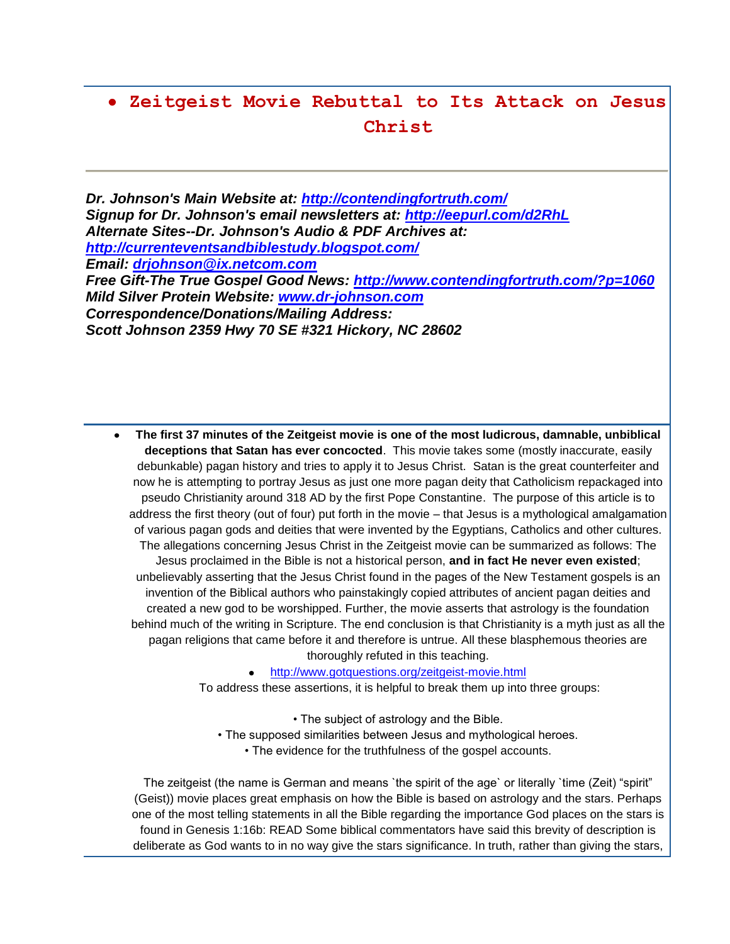# **Zeitgeist Movie Rebuttal to Its Attack on Jesus Christ**

*Dr. Johnson's Main Website at:<http://contendingfortruth.com/> Signup for Dr. Johnson's email newsletters at:<http://eepurl.com/d2RhL> Alternate Sites--Dr. Johnson's Audio & PDF Archives at: <http://currenteventsandbiblestudy.blogspot.com/> Email: [drjohnson@ix.netcom.com](mailto:drjohnson@ix.netcom.com) Free Gift-The True Gospel Good News:<http://www.contendingfortruth.com/?p=1060> Mild Silver Protein Website: [www.dr-johnson.com](http://www.dr-johnson.com/) Correspondence/Donations/Mailing Address: Scott Johnson 2359 Hwy 70 SE #321 Hickory, NC 28602*

**The first 37 minutes of the Zeitgeist movie is one of the most ludicrous, damnable, unbiblical deceptions that Satan has ever concocted**. This movie takes some (mostly inaccurate, easily debunkable) pagan history and tries to apply it to Jesus Christ. Satan is the great counterfeiter and now he is attempting to portray Jesus as just one more pagan deity that Catholicism repackaged into pseudo Christianity around 318 AD by the first Pope Constantine. The purpose of this article is to address the first theory (out of four) put forth in the movie – that Jesus is a mythological amalgamation of various pagan gods and deities that were invented by the Egyptians, Catholics and other cultures. The allegations concerning Jesus Christ in the Zeitgeist movie can be summarized as follows: The Jesus proclaimed in the Bible is not a historical person, **and in fact He never even existed**; unbelievably asserting that the Jesus Christ found in the pages of the New Testament gospels is an invention of the Biblical authors who painstakingly copied attributes of ancient pagan deities and created a new god to be worshipped. Further, the movie asserts that astrology is the foundation behind much of the writing in Scripture. The end conclusion is that Christianity is a myth just as all the pagan religions that came before it and therefore is untrue. All these blasphemous theories are thoroughly refuted in this teaching.

<http://www.gotquestions.org/zeitgeist-movie.html>

To address these assertions, it is helpful to break them up into three groups:

- The subject of astrology and the Bible.
- The supposed similarities between Jesus and mythological heroes.
	- The evidence for the truthfulness of the gospel accounts.

The zeitgeist (the name is German and means `the spirit of the age` or literally `time (Zeit) "spirit" (Geist)) movie places great emphasis on how the Bible is based on astrology and the stars. Perhaps one of the most telling statements in all the Bible regarding the importance God places on the stars is found in Genesis 1:16b: READ Some biblical commentators have said this brevity of description is deliberate as God wants to in no way give the stars significance. In truth, rather than giving the stars,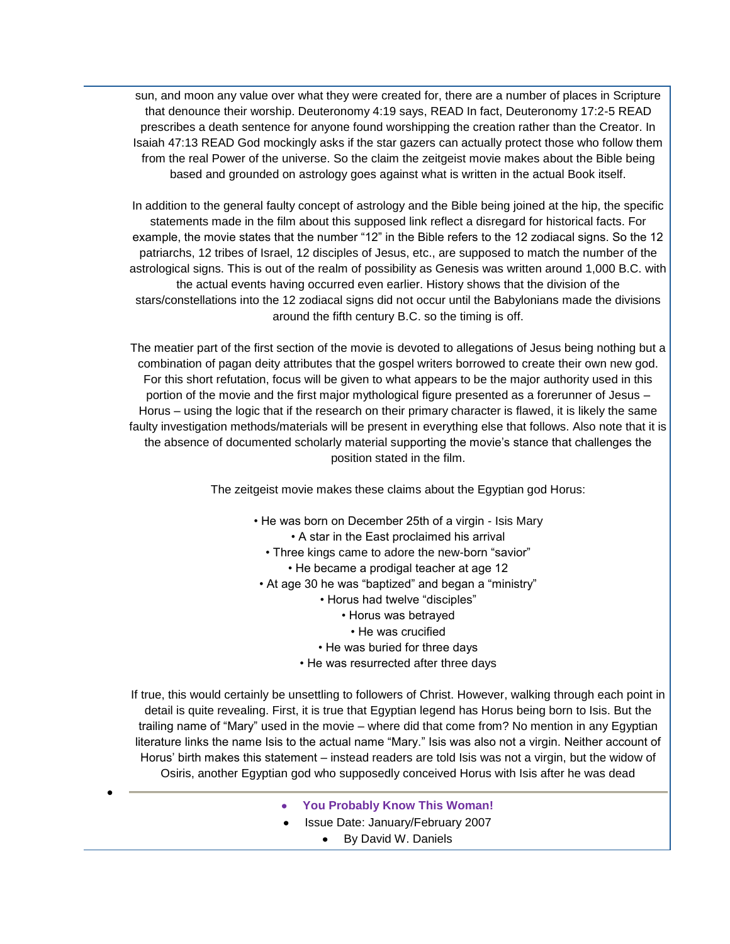sun, and moon any value over what they were created for, there are a number of places in Scripture that denounce their worship. Deuteronomy 4:19 says, READ In fact, Deuteronomy 17:2-5 READ prescribes a death sentence for anyone found worshipping the creation rather than the Creator. In Isaiah 47:13 READ God mockingly asks if the star gazers can actually protect those who follow them from the real Power of the universe. So the claim the zeitgeist movie makes about the Bible being based and grounded on astrology goes against what is written in the actual Book itself.

In addition to the general faulty concept of astrology and the Bible being joined at the hip, the specific statements made in the film about this supposed link reflect a disregard for historical facts. For example, the movie states that the number "12" in the Bible refers to the 12 zodiacal signs. So the 12 patriarchs, 12 tribes of Israel, 12 disciples of Jesus, etc., are supposed to match the number of the astrological signs. This is out of the realm of possibility as Genesis was written around 1,000 B.C. with the actual events having occurred even earlier. History shows that the division of the stars/constellations into the 12 zodiacal signs did not occur until the Babylonians made the divisions around the fifth century B.C. so the timing is off.

The meatier part of the first section of the movie is devoted to allegations of Jesus being nothing but a combination of pagan deity attributes that the gospel writers borrowed to create their own new god. For this short refutation, focus will be given to what appears to be the major authority used in this portion of the movie and the first major mythological figure presented as a forerunner of Jesus – Horus – using the logic that if the research on their primary character is flawed, it is likely the same faulty investigation methods/materials will be present in everything else that follows. Also note that it is the absence of documented scholarly material supporting the movie's stance that challenges the position stated in the film.

The zeitgeist movie makes these claims about the Egyptian god Horus:

- He was born on December 25th of a virgin Isis Mary
	- A star in the East proclaimed his arrival
	- Three kings came to adore the new-born "savior"
		- He became a prodigal teacher at age 12
- At age 30 he was "baptized" and began a "ministry"
	- Horus had twelve "disciples"
		- Horus was betrayed
		- He was crucified
	- He was buried for three days
	- He was resurrected after three days

If true, this would certainly be unsettling to followers of Christ. However, walking through each point in detail is quite revealing. First, it is true that Egyptian legend has Horus being born to Isis. But the trailing name of "Mary" used in the movie – where did that come from? No mention in any Egyptian literature links the name Isis to the actual name "Mary." Isis was also not a virgin. Neither account of Horus' birth makes this statement – instead readers are told Isis was not a virgin, but the widow of Osiris, another Egyptian god who supposedly conceived Horus with Isis after he was dead

- **You Probably Know This Woman!**
- Issue Date: January/February 2007
	- By David W. Daniels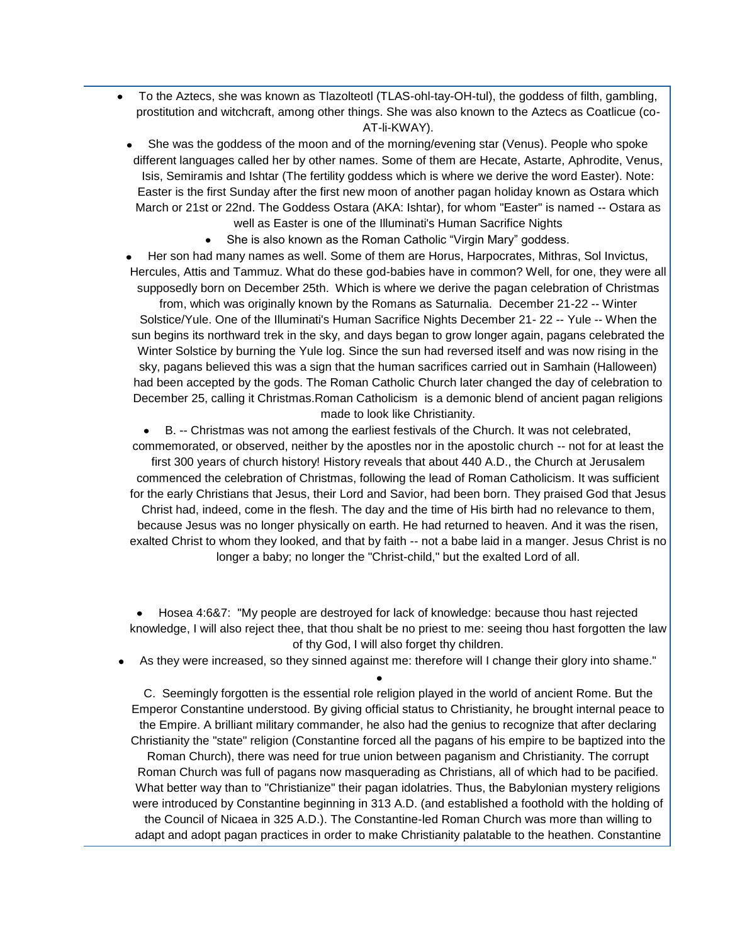- To the Aztecs, she was known as Tlazolteotl (TLAS-ohl-tay-OH-tul), the goddess of filth, gambling, prostitution and witchcraft, among other things. She was also known to the Aztecs as Coatlicue (co-AT-li-KWAY).
- She was the goddess of the moon and of the morning/evening star (Venus). People who spoke different languages called her by other names. Some of them are Hecate, Astarte, Aphrodite, Venus, Isis, Semiramis and Ishtar (The fertility goddess which is where we derive the word Easter). Note: Easter is the first Sunday after the first new moon of another pagan holiday known as Ostara which March or 21st or 22nd. The Goddess Ostara (AKA: Ishtar), for whom "Easter" is named -- Ostara as well as Easter is one of the Illuminati's Human Sacrifice Nights
	- She is also known as the Roman Catholic "Virgin Mary" goddess.
- Her son had many names as well. Some of them are Horus, Harpocrates, Mithras, Sol Invictus, Hercules, Attis and Tammuz. What do these god-babies have in common? Well, for one, they were all supposedly born on December 25th. Which is where we derive the pagan celebration of Christmas from, which was originally known by the Romans as Saturnalia. December 21-22 -- Winter Solstice/Yule. One of the Illuminati's Human Sacrifice Nights December 21- 22 -- Yule -- When the sun begins its northward trek in the sky, and days began to grow longer again, pagans celebrated the Winter Solstice by burning the Yule log. Since the sun had reversed itself and was now rising in the sky, pagans believed this was a sign that the human sacrifices carried out in Samhain (Halloween) had been accepted by the gods. The Roman Catholic Church later changed the day of celebration to December 25, calling it Christmas.Roman Catholicism is a demonic blend of ancient pagan religions made to look like Christianity.

B. -- Christmas was not among the earliest festivals of the Church. It was not celebrated, commemorated, or observed, neither by the apostles nor in the apostolic church -- not for at least the first 300 years of church history! History reveals that about 440 A.D., the Church at Jerusalem commenced the celebration of Christmas, following the lead of Roman Catholicism. It was sufficient for the early Christians that Jesus, their Lord and Savior, had been born. They praised God that Jesus Christ had, indeed, come in the flesh. The day and the time of His birth had no relevance to them, because Jesus was no longer physically on earth. He had returned to heaven. And it was the risen, exalted Christ to whom they looked, and that by faith -- not a babe laid in a manger. Jesus Christ is no longer a baby; no longer the "Christ-child," but the exalted Lord of all.

Hosea 4:6&7: "My people are destroyed for lack of knowledge: because thou hast rejected knowledge, I will also reject thee, that thou shalt be no priest to me: seeing thou hast forgotten the law of thy God, I will also forget thy children.

As they were increased, so they sinned against me: therefore will I change their glory into shame."

C. Seemingly forgotten is the essential role religion played in the world of ancient Rome. But the Emperor Constantine understood. By giving official status to Christianity, he brought internal peace to the Empire. A brilliant military commander, he also had the genius to recognize that after declaring Christianity the "state" religion (Constantine forced all the pagans of his empire to be baptized into the Roman Church), there was need for true union between paganism and Christianity. The corrupt Roman Church was full of pagans now masquerading as Christians, all of which had to be pacified. What better way than to "Christianize" their pagan idolatries. Thus, the Babylonian mystery religions were introduced by Constantine beginning in 313 A.D. (and established a foothold with the holding of the Council of Nicaea in 325 A.D.). The Constantine-led Roman Church was more than willing to adapt and adopt pagan practices in order to make Christianity palatable to the heathen. Constantine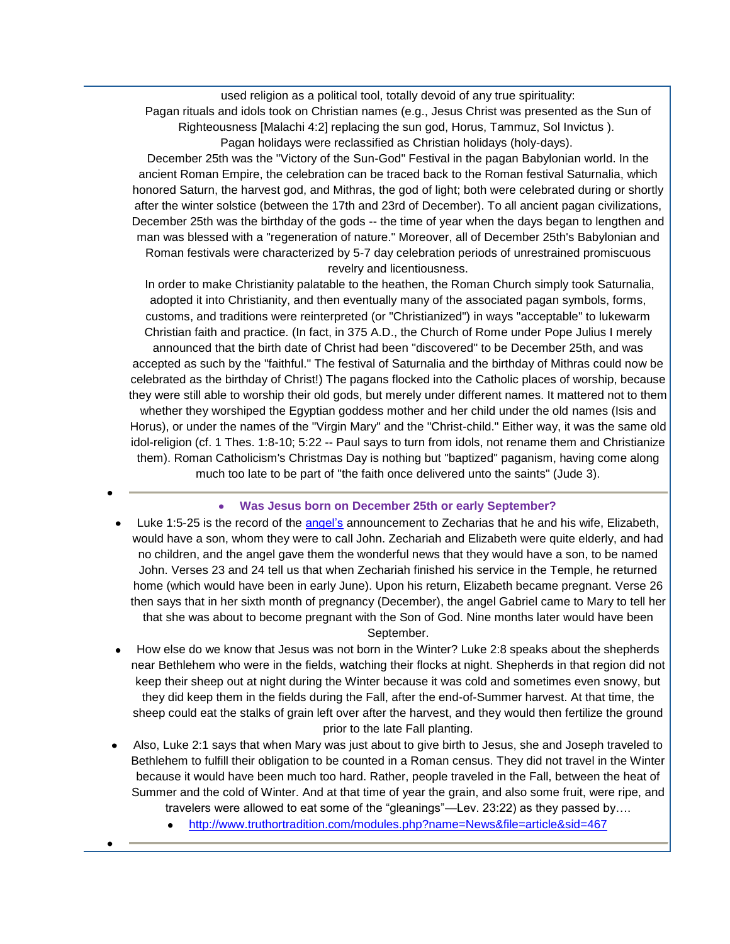used religion as a political tool, totally devoid of any true spirituality: Pagan rituals and idols took on Christian names (e.g., Jesus Christ was presented as the Sun of Righteousness [Malachi 4:2] replacing the sun god, Horus, Tammuz, Sol Invictus ).

Pagan holidays were reclassified as Christian holidays (holy-days). December 25th was the "Victory of the Sun-God" Festival in the pagan Babylonian world. In the ancient Roman Empire, the celebration can be traced back to the Roman festival Saturnalia, which honored Saturn, the harvest god, and Mithras, the god of light; both were celebrated during or shortly

after the winter solstice (between the 17th and 23rd of December). To all ancient pagan civilizations, December 25th was the birthday of the gods -- the time of year when the days began to lengthen and man was blessed with a "regeneration of nature." Moreover, all of December 25th's Babylonian and Roman festivals were characterized by 5-7 day celebration periods of unrestrained promiscuous revelry and licentiousness.

In order to make Christianity palatable to the heathen, the Roman Church simply took Saturnalia, adopted it into Christianity, and then eventually many of the associated pagan symbols, forms, customs, and traditions were reinterpreted (or "Christianized") in ways "acceptable" to lukewarm Christian faith and practice. (In fact, in 375 A.D., the Church of Rome under Pope Julius I merely announced that the birth date of Christ had been "discovered" to be December 25th, and was accepted as such by the "faithful." The festival of Saturnalia and the birthday of Mithras could now be celebrated as the birthday of Christ!) The pagans flocked into the Catholic places of worship, because they were still able to worship their old gods, but merely under different names. It mattered not to them whether they worshiped the Egyptian goddess mother and her child under the old names (Isis and Horus), or under the names of the "Virgin Mary" and the "Christ-child." Either way, it was the same old idol-religion (cf. 1 Thes. 1:8-10; 5:22 -- Paul says to turn from idols, not rename them and Christianize them). Roman Catholicism's Christmas Day is nothing but "baptized" paganism, having come along much too late to be part of "the faith once delivered unto the saints" (Jude 3).

# **Was Jesus born on December 25th or early September?**

- Luke 1:5-25 is the record of the [angel's](http://www.truthortradition.com/modules.php?name=News&file=article&sid=448) announcement to Zecharias that he and his wife, Elizabeth, would have a son, whom they were to call John. Zechariah and Elizabeth were quite elderly, and had no children, and the angel gave them the wonderful news that they would have a son, to be named John. Verses 23 and 24 tell us that when Zechariah finished his service in the Temple, he returned home (which would have been in early June). Upon his return, Elizabeth became pregnant. Verse 26 then says that in her sixth month of pregnancy (December), the angel Gabriel came to Mary to tell her that she was about to become pregnant with the Son of God. Nine months later would have been September.
- How else do we know that Jesus was not born in the Winter? Luke 2:8 speaks about the shepherds near Bethlehem who were in the fields, watching their flocks at night. Shepherds in that region did not keep their sheep out at night during the Winter because it was cold and sometimes even snowy, but they did keep them in the fields during the Fall, after the end-of-Summer harvest. At that time, the sheep could eat the stalks of grain left over after the harvest, and they would then fertilize the ground prior to the late Fall planting.
- Also, Luke 2:1 says that when Mary was just about to give birth to Jesus, she and Joseph traveled to Bethlehem to fulfill their obligation to be counted in a Roman census. They did not travel in the Winter because it would have been much too hard. Rather, people traveled in the Fall, between the heat of Summer and the cold of Winter. And at that time of year the grain, and also some fruit, were ripe, and
	- travelers were allowed to eat some of the "gleanings"—Lev. 23:22) as they passed by….
		- <http://www.truthortradition.com/modules.php?name=News&file=article&sid=467>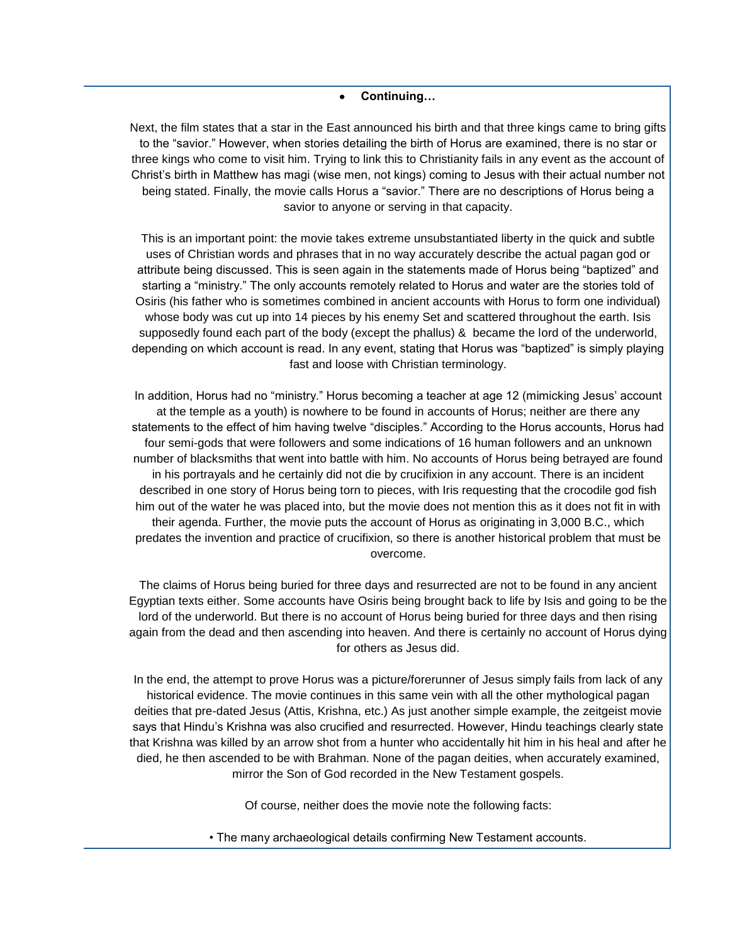#### **Continuing…**

Next, the film states that a star in the East announced his birth and that three kings came to bring gifts to the "savior." However, when stories detailing the birth of Horus are examined, there is no star or three kings who come to visit him. Trying to link this to Christianity fails in any event as the account of Christ's birth in Matthew has magi (wise men, not kings) coming to Jesus with their actual number not being stated. Finally, the movie calls Horus a "savior." There are no descriptions of Horus being a savior to anyone or serving in that capacity.

This is an important point: the movie takes extreme unsubstantiated liberty in the quick and subtle uses of Christian words and phrases that in no way accurately describe the actual pagan god or attribute being discussed. This is seen again in the statements made of Horus being "baptized" and starting a "ministry." The only accounts remotely related to Horus and water are the stories told of Osiris (his father who is sometimes combined in ancient accounts with Horus to form one individual) whose body was cut up into 14 pieces by his enemy Set and scattered throughout the earth. Isis supposedly found each part of the body (except the phallus) & became the lord of the underworld, depending on which account is read. In any event, stating that Horus was "baptized" is simply playing fast and loose with Christian terminology.

In addition, Horus had no "ministry." Horus becoming a teacher at age 12 (mimicking Jesus' account at the temple as a youth) is nowhere to be found in accounts of Horus; neither are there any statements to the effect of him having twelve "disciples." According to the Horus accounts, Horus had four semi-gods that were followers and some indications of 16 human followers and an unknown number of blacksmiths that went into battle with him. No accounts of Horus being betrayed are found in his portrayals and he certainly did not die by crucifixion in any account. There is an incident described in one story of Horus being torn to pieces, with Iris requesting that the crocodile god fish him out of the water he was placed into, but the movie does not mention this as it does not fit in with their agenda. Further, the movie puts the account of Horus as originating in 3,000 B.C., which predates the invention and practice of crucifixion, so there is another historical problem that must be overcome.

The claims of Horus being buried for three days and resurrected are not to be found in any ancient Egyptian texts either. Some accounts have Osiris being brought back to life by Isis and going to be the lord of the underworld. But there is no account of Horus being buried for three days and then rising again from the dead and then ascending into heaven. And there is certainly no account of Horus dying for others as Jesus did.

In the end, the attempt to prove Horus was a picture/forerunner of Jesus simply fails from lack of any historical evidence. The movie continues in this same vein with all the other mythological pagan deities that pre-dated Jesus (Attis, Krishna, etc.) As just another simple example, the zeitgeist movie says that Hindu's Krishna was also crucified and resurrected. However, Hindu teachings clearly state that Krishna was killed by an arrow shot from a hunter who accidentally hit him in his heal and after he died, he then ascended to be with Brahman. None of the pagan deities, when accurately examined, mirror the Son of God recorded in the New Testament gospels.

Of course, neither does the movie note the following facts:

• The many archaeological details confirming New Testament accounts.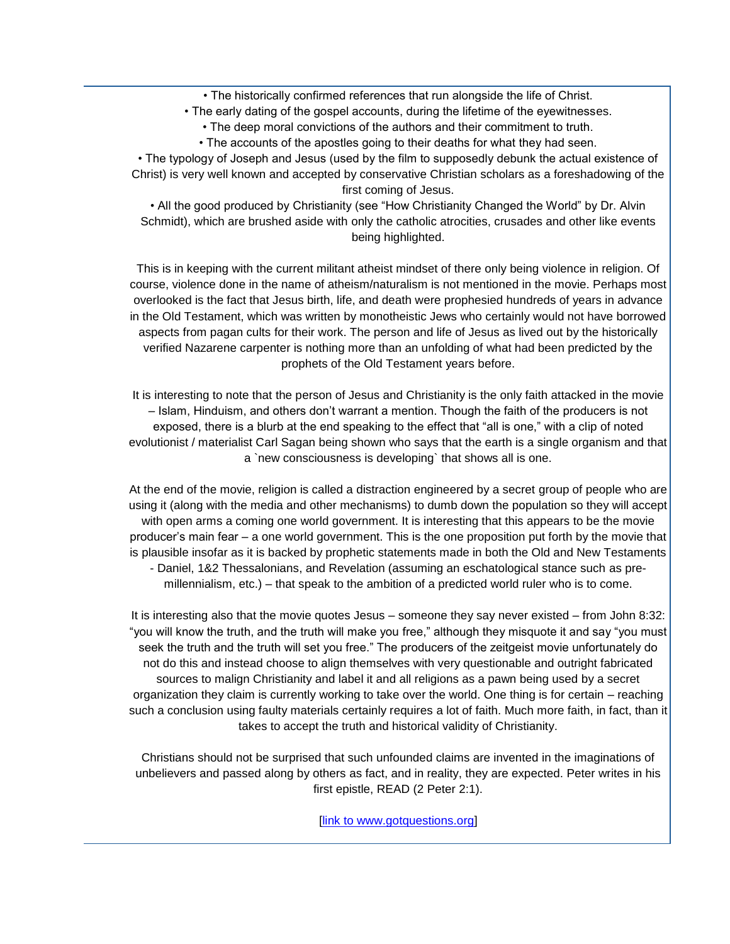• The historically confirmed references that run alongside the life of Christ.

• The early dating of the gospel accounts, during the lifetime of the eyewitnesses.

• The deep moral convictions of the authors and their commitment to truth.

• The accounts of the apostles going to their deaths for what they had seen.

• The typology of Joseph and Jesus (used by the film to supposedly debunk the actual existence of Christ) is very well known and accepted by conservative Christian scholars as a foreshadowing of the first coming of Jesus.

• All the good produced by Christianity (see "How Christianity Changed the World" by Dr. Alvin Schmidt), which are brushed aside with only the catholic atrocities, crusades and other like events being highlighted.

This is in keeping with the current militant atheist mindset of there only being violence in religion. Of course, violence done in the name of atheism/naturalism is not mentioned in the movie. Perhaps most overlooked is the fact that Jesus birth, life, and death were prophesied hundreds of years in advance in the Old Testament, which was written by monotheistic Jews who certainly would not have borrowed aspects from pagan cults for their work. The person and life of Jesus as lived out by the historically verified Nazarene carpenter is nothing more than an unfolding of what had been predicted by the prophets of the Old Testament years before.

It is interesting to note that the person of Jesus and Christianity is the only faith attacked in the movie – Islam, Hinduism, and others don't warrant a mention. Though the faith of the producers is not exposed, there is a blurb at the end speaking to the effect that "all is one," with a clip of noted evolutionist / materialist Carl Sagan being shown who says that the earth is a single organism and that a `new consciousness is developing` that shows all is one.

At the end of the movie, religion is called a distraction engineered by a secret group of people who are using it (along with the media and other mechanisms) to dumb down the population so they will accept with open arms a coming one world government. It is interesting that this appears to be the movie producer's main fear – a one world government. This is the one proposition put forth by the movie that is plausible insofar as it is backed by prophetic statements made in both the Old and New Testaments - Daniel, 1&2 Thessalonians, and Revelation (assuming an eschatological stance such as premillennialism, etc.) – that speak to the ambition of a predicted world ruler who is to come.

It is interesting also that the movie quotes Jesus – someone they say never existed – from John 8:32: "you will know the truth, and the truth will make you free," although they misquote it and say "you must seek the truth and the truth will set you free." The producers of the zeitgeist movie unfortunately do not do this and instead choose to align themselves with very questionable and outright fabricated sources to malign Christianity and label it and all religions as a pawn being used by a secret organization they claim is currently working to take over the world. One thing is for certain – reaching such a conclusion using faulty materials certainly requires a lot of faith. Much more faith, in fact, than it takes to accept the truth and historical validity of Christianity.

Christians should not be surprised that such unfounded claims are invented in the imaginations of unbelievers and passed along by others as fact, and in reality, they are expected. Peter writes in his first epistle, READ (2 Peter 2:1).

[\[link to www.gotquestions.org\]](http://www.gotquestions.org/zeitgeist-movie.html)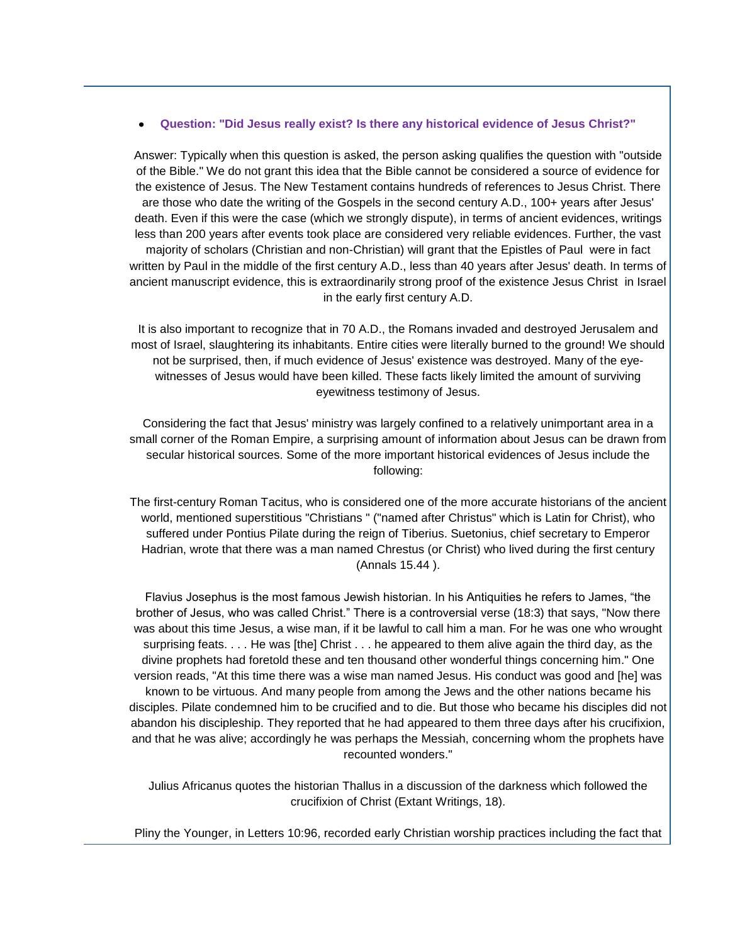#### **Question: "Did Jesus really exist? Is there any historical evidence of Jesus Christ?"**

Answer: Typically when this question is asked, the person asking qualifies the question with "outside of the Bible." We do not grant this idea that the Bible cannot be considered a source of evidence for the existence of Jesus. The New Testament contains hundreds of references to Jesus Christ. There are those who date the writing of the Gospels in the second century A.D., 100+ years after Jesus' death. Even if this were the case (which we strongly dispute), in terms of ancient evidences, writings less than 200 years after events took place are considered very reliable evidences. Further, the vast majority of scholars (Christian and non-Christian) will grant that the Epistles of Paul were in fact written by Paul in the middle of the first century A.D., less than 40 years after Jesus' death. In terms of ancient manuscript evidence, this is extraordinarily strong proof of the existence Jesus Christ in Israel in the early first century A.D.

It is also important to recognize that in 70 A.D., the Romans invaded and destroyed Jerusalem and most of Israel, slaughtering its inhabitants. Entire cities were literally burned to the ground! We should not be surprised, then, if much evidence of Jesus' existence was destroyed. Many of the eyewitnesses of Jesus would have been killed. These facts likely limited the amount of surviving eyewitness testimony of Jesus.

Considering the fact that Jesus' ministry was largely confined to a relatively unimportant area in a small corner of the Roman Empire, a surprising amount of information about Jesus can be drawn from secular historical sources. Some of the more important historical evidences of Jesus include the following:

The first-century Roman Tacitus, who is considered one of the more accurate historians of the ancient world, mentioned superstitious "Christians " ("named after Christus" which is Latin for Christ), who suffered under Pontius Pilate during the reign of Tiberius. Suetonius, chief secretary to Emperor Hadrian, wrote that there was a man named Chrestus (or Christ) who lived during the first century (Annals 15.44 ).

Flavius Josephus is the most famous Jewish historian. In his Antiquities he refers to James, "the brother of Jesus, who was called Christ." There is a controversial verse (18:3) that says, "Now there was about this time Jesus, a wise man, if it be lawful to call him a man. For he was one who wrought surprising feats. . . . He was [the] Christ . . . he appeared to them alive again the third day, as the divine prophets had foretold these and ten thousand other wonderful things concerning him." One version reads, "At this time there was a wise man named Jesus. His conduct was good and [he] was known to be virtuous. And many people from among the Jews and the other nations became his disciples. Pilate condemned him to be crucified and to die. But those who became his disciples did not abandon his discipleship. They reported that he had appeared to them three days after his crucifixion, and that he was alive; accordingly he was perhaps the Messiah, concerning whom the prophets have recounted wonders."

Julius Africanus quotes the historian Thallus in a discussion of the darkness which followed the crucifixion of Christ (Extant Writings, 18).

Pliny the Younger, in Letters 10:96, recorded early Christian worship practices including the fact that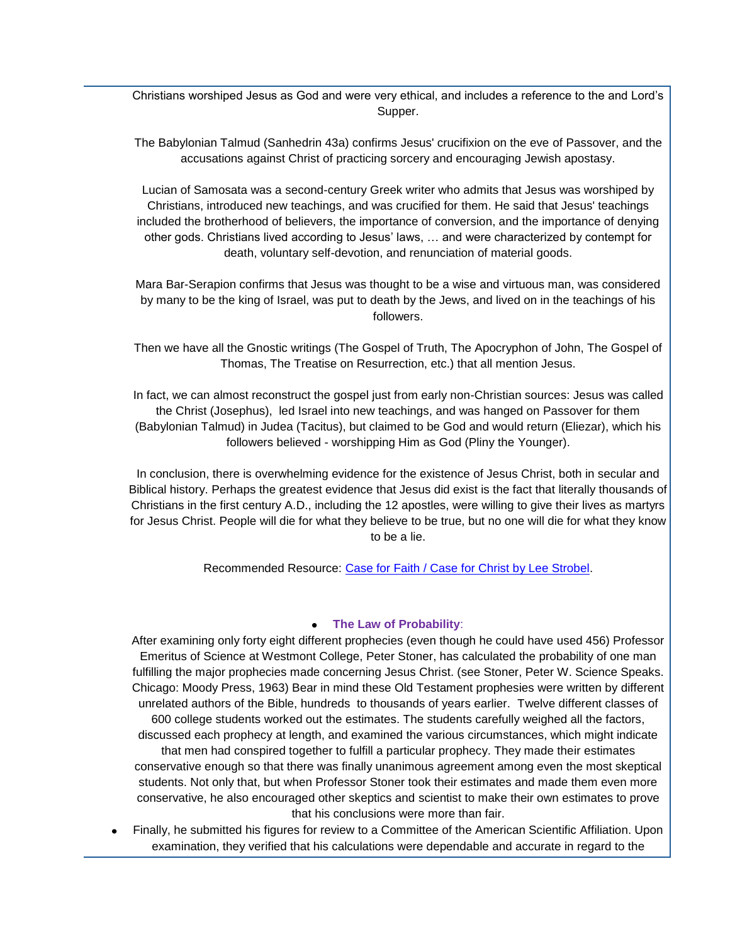Christians worshiped Jesus as God and were very ethical, and includes a reference to the and Lord's Supper.

The Babylonian Talmud (Sanhedrin 43a) confirms Jesus' crucifixion on the eve of Passover, and the accusations against Christ of practicing sorcery and encouraging Jewish apostasy.

Lucian of Samosata was a second-century Greek writer who admits that Jesus was worshiped by Christians, introduced new teachings, and was crucified for them. He said that Jesus' teachings included the brotherhood of believers, the importance of conversion, and the importance of denying other gods. Christians lived according to Jesus' laws, … and were characterized by contempt for death, voluntary self-devotion, and renunciation of material goods.

Mara Bar-Serapion confirms that Jesus was thought to be a wise and virtuous man, was considered by many to be the king of Israel, was put to death by the Jews, and lived on in the teachings of his followers.

Then we have all the Gnostic writings (The Gospel of Truth, The Apocryphon of John, The Gospel of Thomas, The Treatise on Resurrection, etc.) that all mention Jesus.

In fact, we can almost reconstruct the gospel just from early non-Christian sources: Jesus was called the Christ (Josephus), led Israel into new teachings, and was hanged on Passover for them (Babylonian Talmud) in Judea (Tacitus), but claimed to be God and would return (Eliezar), which his followers believed - worshipping Him as God (Pliny the Younger).

In conclusion, there is overwhelming evidence for the existence of Jesus Christ, both in secular and Biblical history. Perhaps the greatest evidence that Jesus did exist is the fact that literally thousands of Christians in the first century A.D., including the 12 apostles, were willing to give their lives as martyrs for Jesus Christ. People will die for what they believe to be true, but no one will die for what they know to be a lie.

Recommended Resource: [Case for Faith / Case for Christ by Lee Strobel.](http://www.christianbook.com/Christian/Books/easy_find?event=AFF&p=1011693&N=0&Ne=1000&Ns=product.number_sold&Nso=1&Ntk=product.long_title_desc|product.full_auth_name&Ntt=Case|Strobel&Nu=product.endeca_rollup)

# **The Law of Probability**:

After examining only forty eight different prophecies (even though he could have used 456) Professor Emeritus of Science at Westmont College, Peter Stoner, has calculated the probability of one man fulfilling the major prophecies made concerning Jesus Christ. (see Stoner, Peter W. Science Speaks. Chicago: Moody Press, 1963) Bear in mind these Old Testament prophesies were written by different unrelated authors of the Bible, hundreds to thousands of years earlier. Twelve different classes of 600 college students worked out the estimates. The students carefully weighed all the factors, discussed each prophecy at length, and examined the various circumstances, which might indicate that men had conspired together to fulfill a particular prophecy. They made their estimates conservative enough so that there was finally unanimous agreement among even the most skeptical students. Not only that, but when Professor Stoner took their estimates and made them even more conservative, he also encouraged other skeptics and scientist to make their own estimates to prove that his conclusions were more than fair.

Finally, he submitted his figures for review to a Committee of the American Scientific Affiliation. Upon examination, they verified that his calculations were dependable and accurate in regard to the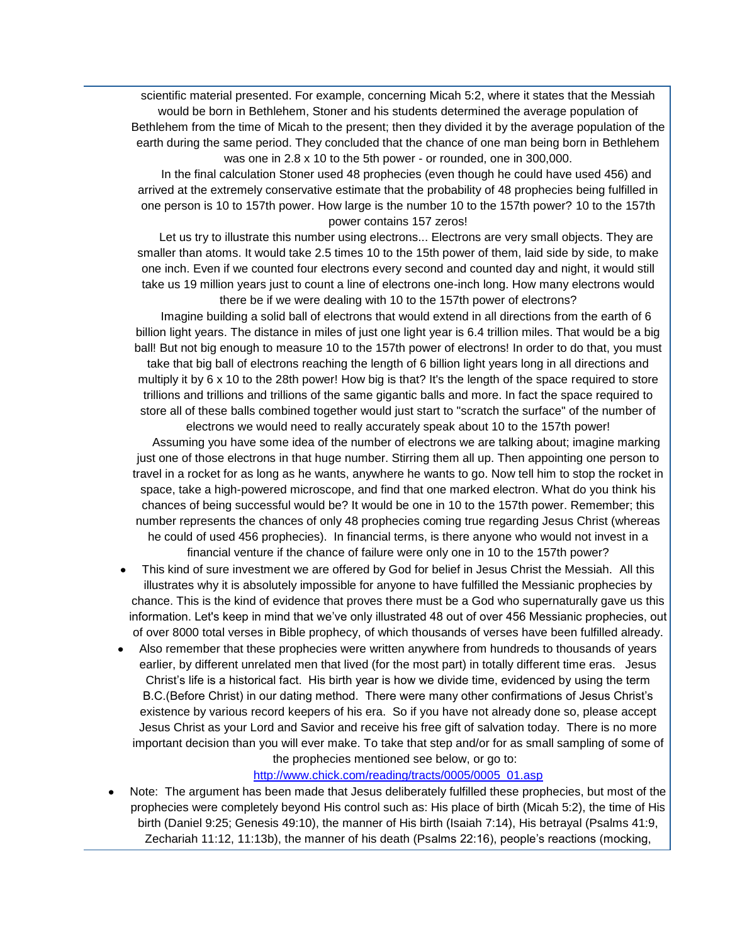scientific material presented. For example, concerning Micah 5:2, where it states that the Messiah would be born in Bethlehem, Stoner and his students determined the average population of Bethlehem from the time of Micah to the present; then they divided it by the average population of the earth during the same period. They concluded that the chance of one man being born in Bethlehem was one in 2.8 x 10 to the 5th power - or rounded, one in 300,000.

 In the final calculation Stoner used 48 prophecies (even though he could have used 456) and arrived at the extremely conservative estimate that the probability of 48 prophecies being fulfilled in one person is 10 to 157th power. How large is the number 10 to the 157th power? 10 to the 157th power contains 157 zeros!

Let us try to illustrate this number using electrons... Electrons are very small objects. They are smaller than atoms. It would take 2.5 times 10 to the 15th power of them, laid side by side, to make one inch. Even if we counted four electrons every second and counted day and night, it would still take us 19 million years just to count a line of electrons one-inch long. How many electrons would there be if we were dealing with 10 to the 157th power of electrons?

 Imagine building a solid ball of electrons that would extend in all directions from the earth of 6 billion light years. The distance in miles of just one light year is 6.4 trillion miles. That would be a big ball! But not big enough to measure 10 to the 157th power of electrons! In order to do that, you must take that big ball of electrons reaching the length of 6 billion light years long in all directions and multiply it by 6 x 10 to the 28th power! How big is that? It's the length of the space required to store trillions and trillions and trillions of the same gigantic balls and more. In fact the space required to store all of these balls combined together would just start to "scratch the surface" of the number of electrons we would need to really accurately speak about 10 to the 157th power!

 Assuming you have some idea of the number of electrons we are talking about; imagine marking just one of those electrons in that huge number. Stirring them all up. Then appointing one person to travel in a rocket for as long as he wants, anywhere he wants to go. Now tell him to stop the rocket in space, take a high-powered microscope, and find that one marked electron. What do you think his chances of being successful would be? It would be one in 10 to the 157th power. Remember; this number represents the chances of only 48 prophecies coming true regarding Jesus Christ (whereas he could of used 456 prophecies). In financial terms, is there anyone who would not invest in a financial venture if the chance of failure were only one in 10 to the 157th power?

- This kind of sure investment we are offered by God for belief in Jesus Christ the Messiah. All this illustrates why it is absolutely impossible for anyone to have fulfilled the Messianic prophecies by chance. This is the kind of evidence that proves there must be a God who supernaturally gave us this information. Let's keep in mind that we've only illustrated 48 out of over 456 Messianic prophecies, out of over 8000 total verses in Bible prophecy, of which thousands of verses have been fulfilled already.
- Also remember that these prophecies were written anywhere from hundreds to thousands of years earlier, by different unrelated men that lived (for the most part) in totally different time eras. Jesus Christ's life is a historical fact. His birth year is how we divide time, evidenced by using the term B.C.(Before Christ) in our dating method. There were many other confirmations of Jesus Christ's existence by various record keepers of his era. So if you have not already done so, please accept Jesus Christ as your Lord and Savior and receive his free gift of salvation today. There is no more important decision than you will ever make. To take that step and/or for as small sampling of some of the prophecies mentioned see below, or go to:

# [http://www.chick.com/reading/tracts/0005/0005\\_01.asp](http://www.chick.com/reading/tracts/0005/0005_01.asp)

Note: The argument has been made that Jesus deliberately fulfilled these prophecies, but most of the prophecies were completely beyond His control such as: His place of birth (Micah 5:2), the time of His birth (Daniel 9:25; Genesis 49:10), the manner of His birth (Isaiah 7:14), His betrayal (Psalms 41:9, Zechariah 11:12, 11:13b), the manner of his death (Psalms 22:16), people's reactions (mocking,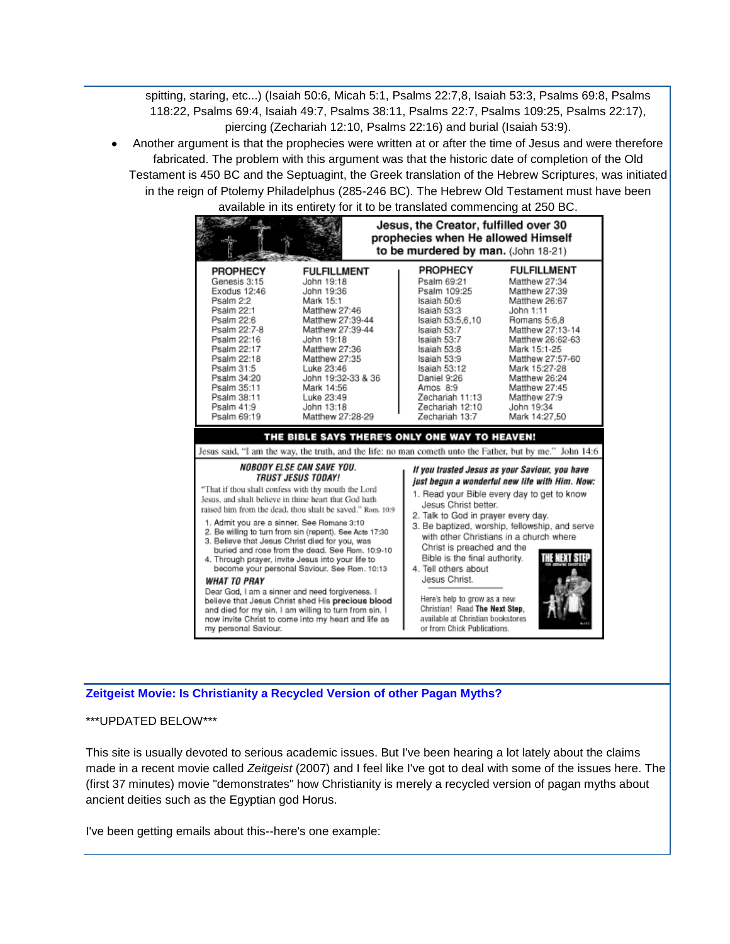spitting, staring, etc...) (Isaiah 50:6, Micah 5:1, Psalms 22:7,8, Isaiah 53:3, Psalms 69:8, Psalms 118:22, Psalms 69:4, Isaiah 49:7, Psalms 38:11, Psalms 22:7, Psalms 109:25, Psalms 22:17), piercing (Zechariah 12:10, Psalms 22:16) and burial (Isaiah 53:9).

Another argument is that the prophecies were written at or after the time of Jesus and were therefore fabricated. The problem with this argument was that the historic date of completion of the Old Testament is 450 BC and the Septuagint, the Greek translation of the Hebrew Scriptures, was initiated in the reign of Ptolemy Philadelphus (285-246 BC). The Hebrew Old Testament must have been



# **[Zeitgeist Movie: Is Christianity a Recycled Version of other Pagan Myths?](http://singinginthereign.blogspot.com/2007/07/zeitgeist-movie-is-christianity.html)**

# \*\*\*UPDATED BELOW\*\*\*

This site is usually devoted to serious academic issues. But I've been hearing a lot lately about the claims made in a recent movie called *Zeitgeist* (2007) and I feel like I've got to deal with some of the issues here. The (first 37 minutes) movie "demonstrates" how Christianity is merely a recycled version of pagan myths about ancient deities such as the Egyptian god Horus.

I've been getting emails about this--here's one example: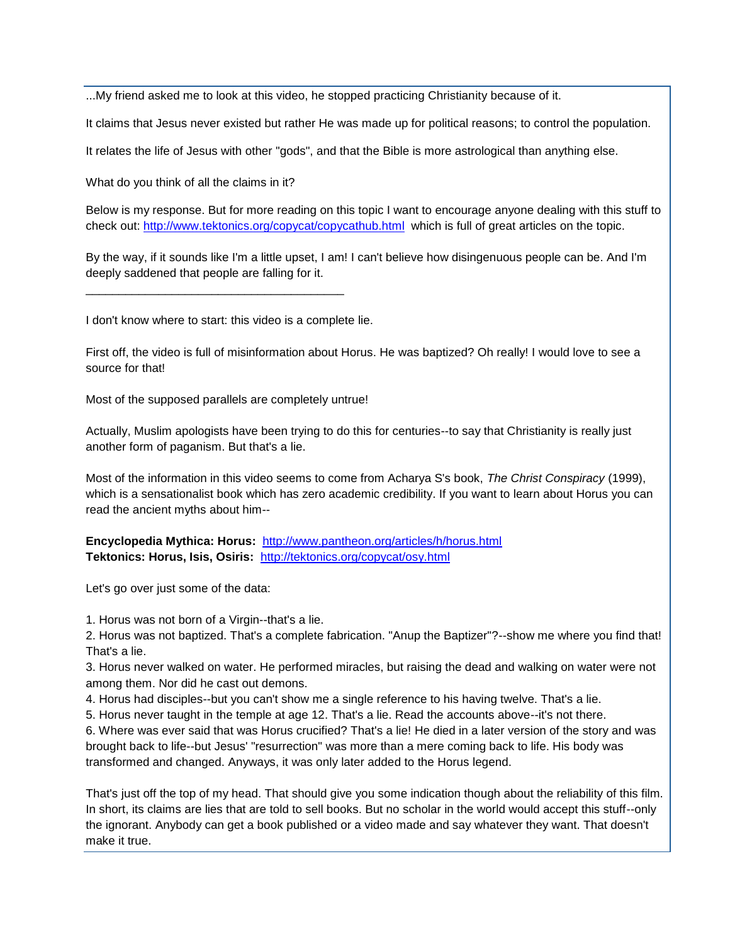...My friend asked me to look at this video, he stopped practicing Christianity because of it.

It claims that Jesus never existed but rather He was made up for political reasons; to control the population.

It relates the life of Jesus with other "gods", and that the Bible is more astrological than anything else.

What do you think of all the claims in it?

Below is my response. But for more reading on this topic I want to encourage anyone dealing with this stuff to check out: <http://www.tektonics.org/copycat/copycathub.html> which is full of great articles on the topic.

By the way, if it sounds like I'm a little upset, I am! I can't believe how disingenuous people can be. And I'm deeply saddened that people are falling for it.

I don't know where to start: this video is a complete lie.

\_\_\_\_\_\_\_\_\_\_\_\_\_\_\_\_\_\_\_\_\_\_\_\_\_\_\_\_\_\_\_\_\_\_\_\_\_\_\_

First off, the video is full of misinformation about Horus. He was baptized? Oh really! I would love to see a source for that!

Most of the supposed parallels are completely untrue!

Actually, Muslim apologists have been trying to do this for centuries--to say that Christianity is really just another form of paganism. But that's a lie.

Most of the information in this video seems to come from Acharya S's book, *The Christ Conspiracy* (1999), which is a sensationalist book which has zero academic credibility. If you want to learn about Horus you can read the ancient myths about him--

**Encyclopedia Mythica: Horus:** <http://www.pantheon.org/articles/h/horus.html> **Tektonics: Horus, Isis, Osiris:** <http://tektonics.org/copycat/osy.html>

Let's go over just some of the data:

1. Horus was not born of a Virgin--that's a lie.

2. Horus was not baptized. That's a complete fabrication. "Anup the Baptizer"?--show me where you find that! That's a lie.

3. Horus never walked on water. He performed miracles, but raising the dead and walking on water were not among them. Nor did he cast out demons.

4. Horus had disciples--but you can't show me a single reference to his having twelve. That's a lie.

5. Horus never taught in the temple at age 12. That's a lie. Read the accounts above--it's not there.

6. Where was ever said that was Horus crucified? That's a lie! He died in a later version of the story and was brought back to life--but Jesus' "resurrection" was more than a mere coming back to life. His body was transformed and changed. Anyways, it was only later added to the Horus legend.

That's just off the top of my head. That should give you some indication though about the reliability of this film. In short, its claims are lies that are told to sell books. But no scholar in the world would accept this stuff--only the ignorant. Anybody can get a book published or a video made and say whatever they want. That doesn't make it true.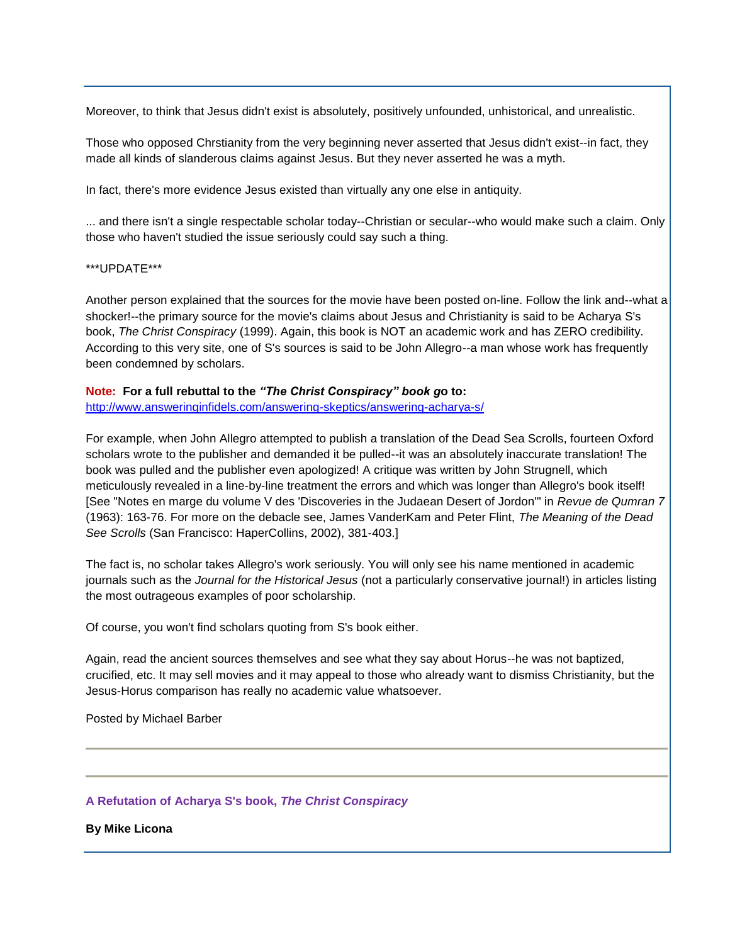Moreover, to think that Jesus didn't exist is absolutely, positively unfounded, unhistorical, and unrealistic.

Those who opposed Chrstianity from the very beginning never asserted that Jesus didn't exist--in fact, they made all kinds of slanderous claims against Jesus. But they never asserted he was a myth.

In fact, there's more evidence Jesus existed than virtually any one else in antiquity.

... and there isn't a single respectable scholar today--Christian or secular--who would make such a claim. Only those who haven't studied the issue seriously could say such a thing.

\*\*\*UPDATE\*\*\*

Another person explained that the sources for the movie have been posted on-line. Follow the link and--what a shocker!--the primary source for the movie's claims about Jesus and Christianity is said to be Acharya S's book, *The Christ Conspiracy* (1999). Again, this book is NOT an academic work and has ZERO credibility. According to this very site, one of S's sources is said to be John Allegro--a man whose work has frequently been condemned by scholars.

# **Note: For a full rebuttal to the** *"The Christ Conspiracy" book g***o to:**

<http://www.answeringinfidels.com/answering-skeptics/answering-acharya-s/>

For example, when John Allegro attempted to publish a translation of the Dead Sea Scrolls, fourteen Oxford scholars wrote to the publisher and demanded it be pulled--it was an absolutely inaccurate translation! The book was pulled and the publisher even apologized! A critique was written by John Strugnell, which meticulously revealed in a line-by-line treatment the errors and which was longer than Allegro's book itself! [See "Notes en marge du volume V des 'Discoveries in the Judaean Desert of Jordon'" in *Revue de Qumran 7*  (1963): 163-76. For more on the debacle see, James VanderKam and Peter Flint, *The Meaning of the Dead See Scrolls* (San Francisco: HaperCollins, 2002), 381-403.]

The fact is, no scholar takes Allegro's work seriously. You will only see his name mentioned in academic journals such as the *Journal for the Historical Jesus* (not a particularly conservative journal!) in articles listing the most outrageous examples of poor scholarship.

Of course, you won't find scholars quoting from S's book either.

Again, read the ancient sources themselves and see what they say about Horus--he was not baptized, crucified, etc. It may sell movies and it may appeal to those who already want to dismiss Christianity, but the Jesus-Horus comparison has really no academic value whatsoever.

Posted by Michael Barber

# **A Refutation of Acharya S's book,** *The Christ Conspiracy*

**By Mike Licona**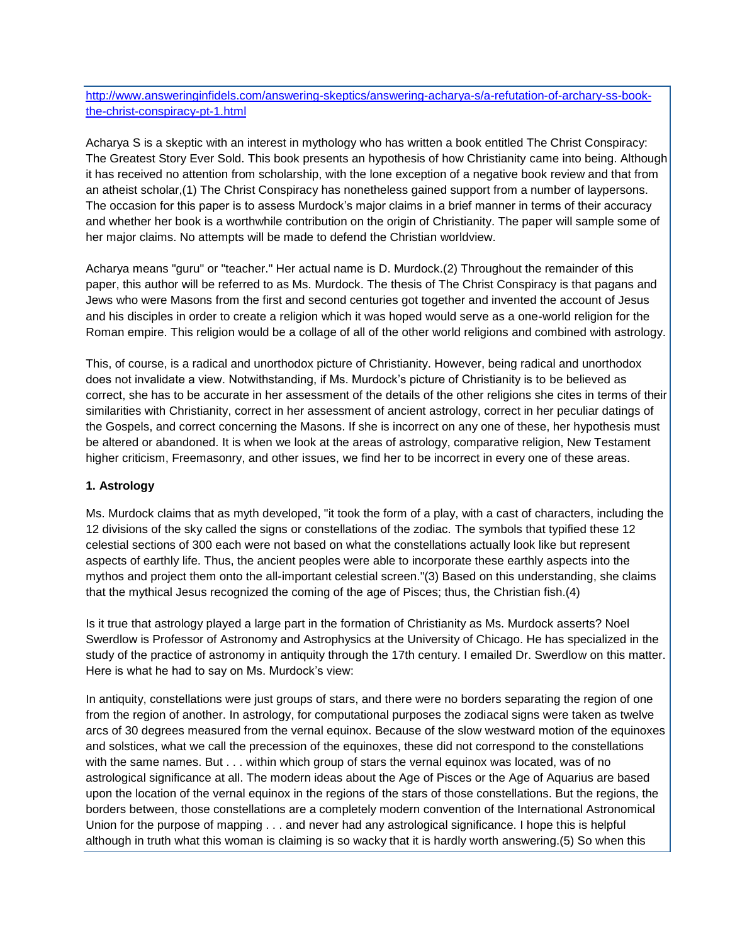[http://www.answeringinfidels.com/answering-skeptics/answering-acharya-s/a-refutation-of-archary-ss-book](http://www.answeringinfidels.com/answering-skeptics/answering-acharya-s/a-refutation-of-archary-ss-book-the-christ-conspiracy-pt-1.html)[the-christ-conspiracy-pt-1.html](http://www.answeringinfidels.com/answering-skeptics/answering-acharya-s/a-refutation-of-archary-ss-book-the-christ-conspiracy-pt-1.html)

Acharya S is a skeptic with an interest in mythology who has written a book entitled The Christ Conspiracy: The Greatest Story Ever Sold. This book presents an hypothesis of how Christianity came into being. Although it has received no attention from scholarship, with the lone exception of a negative book review and that from an atheist scholar,(1) The Christ Conspiracy has nonetheless gained support from a number of laypersons. The occasion for this paper is to assess Murdock's major claims in a brief manner in terms of their accuracy and whether her book is a worthwhile contribution on the origin of Christianity. The paper will sample some of her major claims. No attempts will be made to defend the Christian worldview.

Acharya means "guru" or "teacher." Her actual name is D. Murdock.(2) Throughout the remainder of this paper, this author will be referred to as Ms. Murdock. The thesis of The Christ Conspiracy is that pagans and Jews who were Masons from the first and second centuries got together and invented the account of Jesus and his disciples in order to create a religion which it was hoped would serve as a one-world religion for the Roman empire. This religion would be a collage of all of the other world religions and combined with astrology.

This, of course, is a radical and unorthodox picture of Christianity. However, being radical and unorthodox does not invalidate a view. Notwithstanding, if Ms. Murdock's picture of Christianity is to be believed as correct, she has to be accurate in her assessment of the details of the other religions she cites in terms of their similarities with Christianity, correct in her assessment of ancient astrology, correct in her peculiar datings of the Gospels, and correct concerning the Masons. If she is incorrect on any one of these, her hypothesis must be altered or abandoned. It is when we look at the areas of astrology, comparative religion, New Testament higher criticism, Freemasonry, and other issues, we find her to be incorrect in every one of these areas.

# **1. Astrology**

Ms. Murdock claims that as myth developed, "it took the form of a play, with a cast of characters, including the 12 divisions of the sky called the signs or constellations of the zodiac. The symbols that typified these 12 celestial sections of 300 each were not based on what the constellations actually look like but represent aspects of earthly life. Thus, the ancient peoples were able to incorporate these earthly aspects into the mythos and project them onto the all-important celestial screen."(3) Based on this understanding, she claims that the mythical Jesus recognized the coming of the age of Pisces; thus, the Christian fish.(4)

Is it true that astrology played a large part in the formation of Christianity as Ms. Murdock asserts? Noel Swerdlow is Professor of Astronomy and Astrophysics at the University of Chicago. He has specialized in the study of the practice of astronomy in antiquity through the 17th century. I emailed Dr. Swerdlow on this matter. Here is what he had to say on Ms. Murdock's view:

In antiquity, constellations were just groups of stars, and there were no borders separating the region of one from the region of another. In astrology, for computational purposes the zodiacal signs were taken as twelve arcs of 30 degrees measured from the vernal equinox. Because of the slow westward motion of the equinoxes and solstices, what we call the precession of the equinoxes, these did not correspond to the constellations with the same names. But . . . within which group of stars the vernal equinox was located, was of no astrological significance at all. The modern ideas about the Age of Pisces or the Age of Aquarius are based upon the location of the vernal equinox in the regions of the stars of those constellations. But the regions, the borders between, those constellations are a completely modern convention of the International Astronomical Union for the purpose of mapping . . . and never had any astrological significance. I hope this is helpful although in truth what this woman is claiming is so wacky that it is hardly worth answering.(5) So when this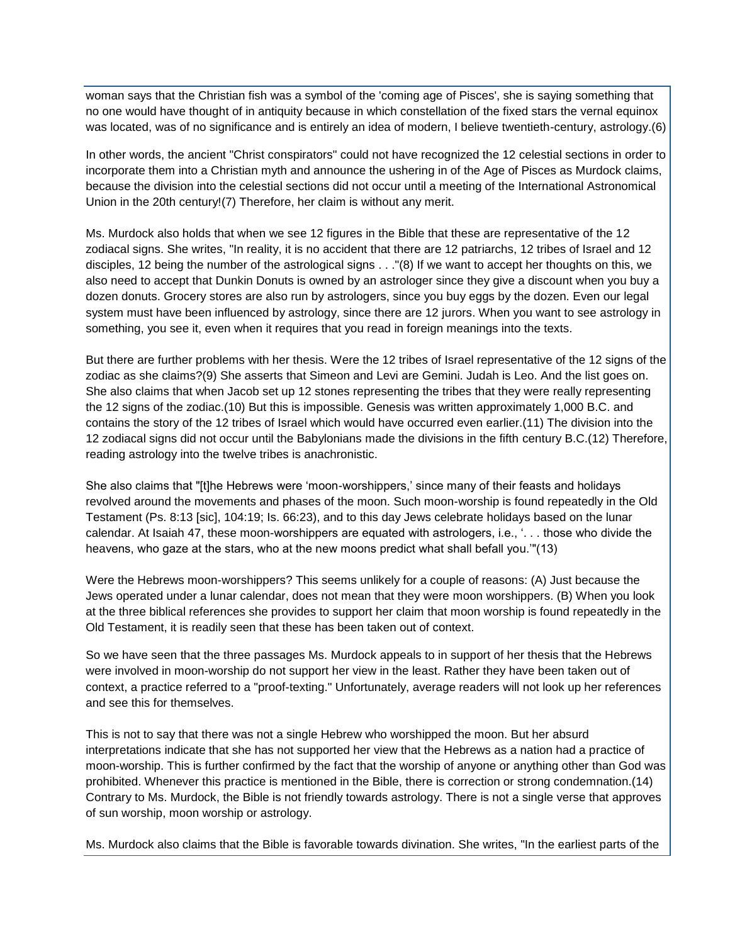woman says that the Christian fish was a symbol of the 'coming age of Pisces', she is saying something that no one would have thought of in antiquity because in which constellation of the fixed stars the vernal equinox was located, was of no significance and is entirely an idea of modern, I believe twentieth-century, astrology.(6)

In other words, the ancient "Christ conspirators" could not have recognized the 12 celestial sections in order to incorporate them into a Christian myth and announce the ushering in of the Age of Pisces as Murdock claims, because the division into the celestial sections did not occur until a meeting of the International Astronomical Union in the 20th century!(7) Therefore, her claim is without any merit.

Ms. Murdock also holds that when we see 12 figures in the Bible that these are representative of the 12 zodiacal signs. She writes, "In reality, it is no accident that there are 12 patriarchs, 12 tribes of Israel and 12 disciples, 12 being the number of the astrological signs . . ."(8) If we want to accept her thoughts on this, we also need to accept that Dunkin Donuts is owned by an astrologer since they give a discount when you buy a dozen donuts. Grocery stores are also run by astrologers, since you buy eggs by the dozen. Even our legal system must have been influenced by astrology, since there are 12 jurors. When you want to see astrology in something, you see it, even when it requires that you read in foreign meanings into the texts.

But there are further problems with her thesis. Were the 12 tribes of Israel representative of the 12 signs of the zodiac as she claims?(9) She asserts that Simeon and Levi are Gemini. Judah is Leo. And the list goes on. She also claims that when Jacob set up 12 stones representing the tribes that they were really representing the 12 signs of the zodiac.(10) But this is impossible. Genesis was written approximately 1,000 B.C. and contains the story of the 12 tribes of Israel which would have occurred even earlier.(11) The division into the 12 zodiacal signs did not occur until the Babylonians made the divisions in the fifth century B.C.(12) Therefore, reading astrology into the twelve tribes is anachronistic.

She also claims that "[t]he Hebrews were 'moon-worshippers,' since many of their feasts and holidays revolved around the movements and phases of the moon. Such moon-worship is found repeatedly in the Old Testament (Ps. 8:13 [sic], 104:19; Is. 66:23), and to this day Jews celebrate holidays based on the lunar calendar. At Isaiah 47, these moon-worshippers are equated with astrologers, i.e., '. . . those who divide the heavens, who gaze at the stars, who at the new moons predict what shall befall you.'"(13)

Were the Hebrews moon-worshippers? This seems unlikely for a couple of reasons: (A) Just because the Jews operated under a lunar calendar, does not mean that they were moon worshippers. (B) When you look at the three biblical references she provides to support her claim that moon worship is found repeatedly in the Old Testament, it is readily seen that these has been taken out of context.

So we have seen that the three passages Ms. Murdock appeals to in support of her thesis that the Hebrews were involved in moon-worship do not support her view in the least. Rather they have been taken out of context, a practice referred to a "proof-texting." Unfortunately, average readers will not look up her references and see this for themselves.

This is not to say that there was not a single Hebrew who worshipped the moon. But her absurd interpretations indicate that she has not supported her view that the Hebrews as a nation had a practice of moon-worship. This is further confirmed by the fact that the worship of anyone or anything other than God was prohibited. Whenever this practice is mentioned in the Bible, there is correction or strong condemnation.(14) Contrary to Ms. Murdock, the Bible is not friendly towards astrology. There is not a single verse that approves of sun worship, moon worship or astrology.

Ms. Murdock also claims that the Bible is favorable towards divination. She writes, "In the earliest parts of the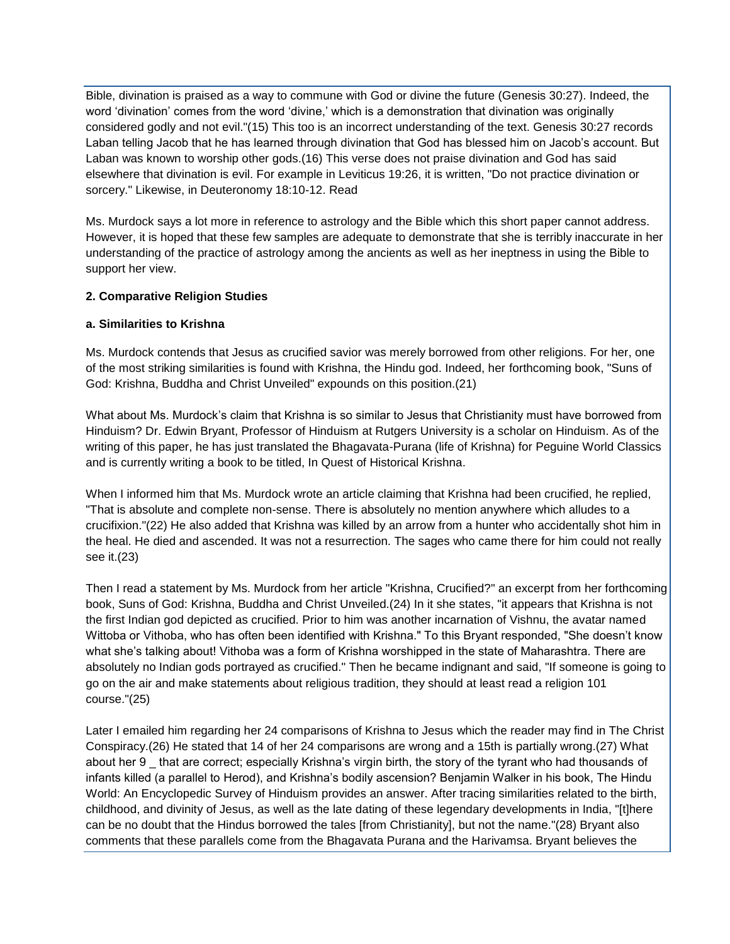Bible, divination is praised as a way to commune with God or divine the future (Genesis 30:27). Indeed, the word 'divination' comes from the word 'divine,' which is a demonstration that divination was originally considered godly and not evil."(15) This too is an incorrect understanding of the text. Genesis 30:27 records Laban telling Jacob that he has learned through divination that God has blessed him on Jacob's account. But Laban was known to worship other gods.(16) This verse does not praise divination and God has said elsewhere that divination is evil. For example in Leviticus 19:26, it is written, "Do not practice divination or sorcery." Likewise, in Deuteronomy 18:10-12. Read

Ms. Murdock says a lot more in reference to astrology and the Bible which this short paper cannot address. However, it is hoped that these few samples are adequate to demonstrate that she is terribly inaccurate in her understanding of the practice of astrology among the ancients as well as her ineptness in using the Bible to support her view.

# **2. Comparative Religion Studies**

# **a. Similarities to Krishna**

Ms. Murdock contends that Jesus as crucified savior was merely borrowed from other religions. For her, one of the most striking similarities is found with Krishna, the Hindu god. Indeed, her forthcoming book, "Suns of God: Krishna, Buddha and Christ Unveiled" expounds on this position.(21)

What about Ms. Murdock's claim that Krishna is so similar to Jesus that Christianity must have borrowed from Hinduism? Dr. Edwin Bryant, Professor of Hinduism at Rutgers University is a scholar on Hinduism. As of the writing of this paper, he has just translated the Bhagavata-Purana (life of Krishna) for Peguine World Classics and is currently writing a book to be titled, In Quest of Historical Krishna.

When I informed him that Ms. Murdock wrote an article claiming that Krishna had been crucified, he replied, "That is absolute and complete non-sense. There is absolutely no mention anywhere which alludes to a crucifixion."(22) He also added that Krishna was killed by an arrow from a hunter who accidentally shot him in the heal. He died and ascended. It was not a resurrection. The sages who came there for him could not really see it.(23)

Then I read a statement by Ms. Murdock from her article "Krishna, Crucified?" an excerpt from her forthcoming book, Suns of God: Krishna, Buddha and Christ Unveiled.(24) In it she states, "it appears that Krishna is not the first Indian god depicted as crucified. Prior to him was another incarnation of Vishnu, the avatar named Wittoba or Vithoba, who has often been identified with Krishna." To this Bryant responded, "She doesn't know what she's talking about! Vithoba was a form of Krishna worshipped in the state of Maharashtra. There are absolutely no Indian gods portrayed as crucified." Then he became indignant and said, "If someone is going to go on the air and make statements about religious tradition, they should at least read a religion 101 course."(25)

Later I emailed him regarding her 24 comparisons of Krishna to Jesus which the reader may find in The Christ Conspiracy.(26) He stated that 14 of her 24 comparisons are wrong and a 15th is partially wrong.(27) What about her 9 that are correct; especially Krishna's virgin birth, the story of the tyrant who had thousands of infants killed (a parallel to Herod), and Krishna's bodily ascension? Benjamin Walker in his book, The Hindu World: An Encyclopedic Survey of Hinduism provides an answer. After tracing similarities related to the birth, childhood, and divinity of Jesus, as well as the late dating of these legendary developments in India, "[t]here can be no doubt that the Hindus borrowed the tales [from Christianity], but not the name."(28) Bryant also comments that these parallels come from the Bhagavata Purana and the Harivamsa. Bryant believes the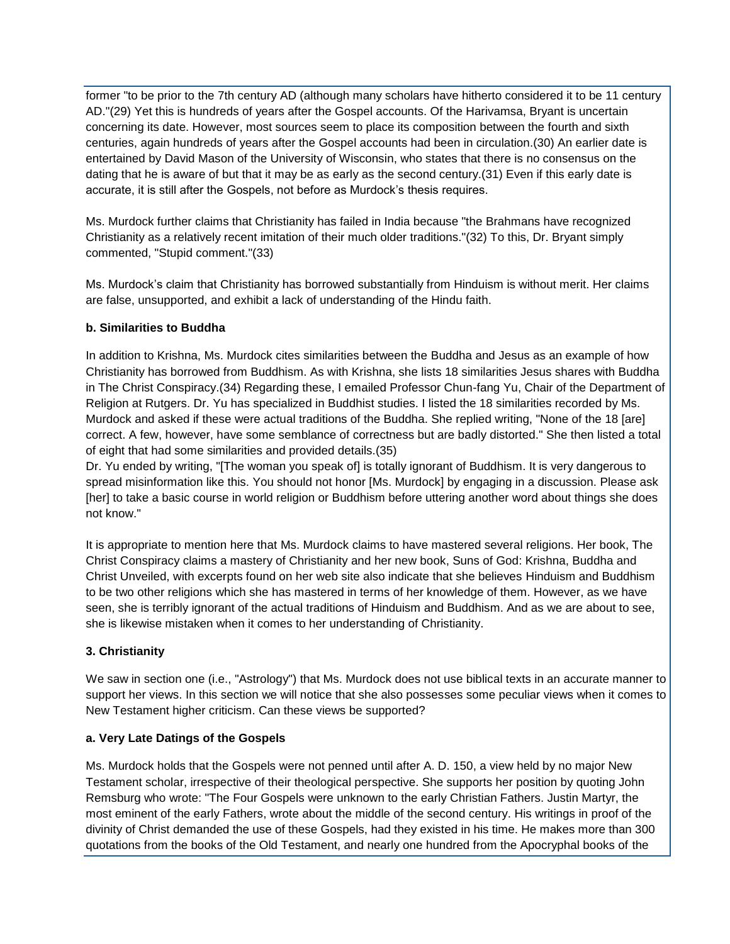former "to be prior to the 7th century AD (although many scholars have hitherto considered it to be 11 century AD."(29) Yet this is hundreds of years after the Gospel accounts. Of the Harivamsa, Bryant is uncertain concerning its date. However, most sources seem to place its composition between the fourth and sixth centuries, again hundreds of years after the Gospel accounts had been in circulation.(30) An earlier date is entertained by David Mason of the University of Wisconsin, who states that there is no consensus on the dating that he is aware of but that it may be as early as the second century.(31) Even if this early date is accurate, it is still after the Gospels, not before as Murdock's thesis requires.

Ms. Murdock further claims that Christianity has failed in India because "the Brahmans have recognized Christianity as a relatively recent imitation of their much older traditions."(32) To this, Dr. Bryant simply commented, "Stupid comment."(33)

Ms. Murdock's claim that Christianity has borrowed substantially from Hinduism is without merit. Her claims are false, unsupported, and exhibit a lack of understanding of the Hindu faith.

# **b. Similarities to Buddha**

In addition to Krishna, Ms. Murdock cites similarities between the Buddha and Jesus as an example of how Christianity has borrowed from Buddhism. As with Krishna, she lists 18 similarities Jesus shares with Buddha in The Christ Conspiracy.(34) Regarding these, I emailed Professor Chun-fang Yu, Chair of the Department of Religion at Rutgers. Dr. Yu has specialized in Buddhist studies. I listed the 18 similarities recorded by Ms. Murdock and asked if these were actual traditions of the Buddha. She replied writing, "None of the 18 [are] correct. A few, however, have some semblance of correctness but are badly distorted." She then listed a total of eight that had some similarities and provided details.(35)

Dr. Yu ended by writing, "[The woman you speak of] is totally ignorant of Buddhism. It is very dangerous to spread misinformation like this. You should not honor [Ms. Murdock] by engaging in a discussion. Please ask [her] to take a basic course in world religion or Buddhism before uttering another word about things she does not know."

It is appropriate to mention here that Ms. Murdock claims to have mastered several religions. Her book, The Christ Conspiracy claims a mastery of Christianity and her new book, Suns of God: Krishna, Buddha and Christ Unveiled, with excerpts found on her web site also indicate that she believes Hinduism and Buddhism to be two other religions which she has mastered in terms of her knowledge of them. However, as we have seen, she is terribly ignorant of the actual traditions of Hinduism and Buddhism. And as we are about to see, she is likewise mistaken when it comes to her understanding of Christianity.

# **3. Christianity**

We saw in section one (i.e., "Astrology") that Ms. Murdock does not use biblical texts in an accurate manner to support her views. In this section we will notice that she also possesses some peculiar views when it comes to New Testament higher criticism. Can these views be supported?

# **a. Very Late Datings of the Gospels**

Ms. Murdock holds that the Gospels were not penned until after A. D. 150, a view held by no major New Testament scholar, irrespective of their theological perspective. She supports her position by quoting John Remsburg who wrote: "The Four Gospels were unknown to the early Christian Fathers. Justin Martyr, the most eminent of the early Fathers, wrote about the middle of the second century. His writings in proof of the divinity of Christ demanded the use of these Gospels, had they existed in his time. He makes more than 300 quotations from the books of the Old Testament, and nearly one hundred from the Apocryphal books of the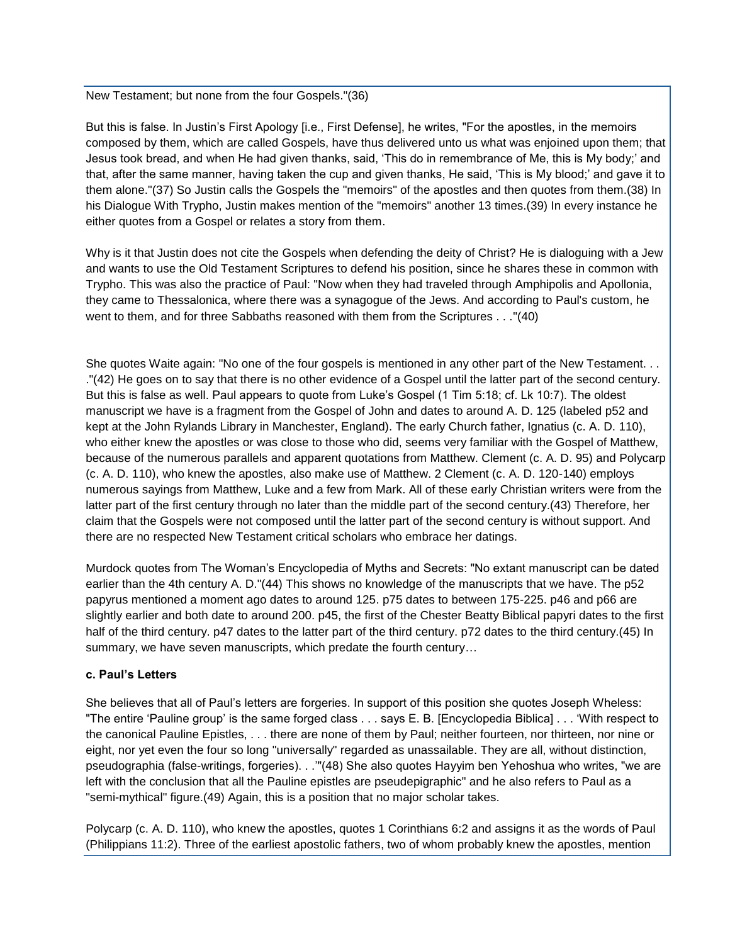New Testament; but none from the four Gospels."(36)

But this is false. In Justin's First Apology [i.e., First Defense], he writes, "For the apostles, in the memoirs composed by them, which are called Gospels, have thus delivered unto us what was enjoined upon them; that Jesus took bread, and when He had given thanks, said, 'This do in remembrance of Me, this is My body;' and that, after the same manner, having taken the cup and given thanks, He said, 'This is My blood;' and gave it to them alone."(37) So Justin calls the Gospels the "memoirs" of the apostles and then quotes from them.(38) In his Dialogue With Trypho, Justin makes mention of the "memoirs" another 13 times.(39) In every instance he either quotes from a Gospel or relates a story from them.

Why is it that Justin does not cite the Gospels when defending the deity of Christ? He is dialoguing with a Jew and wants to use the Old Testament Scriptures to defend his position, since he shares these in common with Trypho. This was also the practice of Paul: "Now when they had traveled through Amphipolis and Apollonia, they came to Thessalonica, where there was a synagogue of the Jews. And according to Paul's custom, he went to them, and for three Sabbaths reasoned with them from the Scriptures . . ."(40)

She quotes Waite again: "No one of the four gospels is mentioned in any other part of the New Testament. . . ."(42) He goes on to say that there is no other evidence of a Gospel until the latter part of the second century. But this is false as well. Paul appears to quote from Luke's Gospel (1 Tim 5:18; cf. Lk 10:7). The oldest manuscript we have is a fragment from the Gospel of John and dates to around A. D. 125 (labeled p52 and kept at the John Rylands Library in Manchester, England). The early Church father, Ignatius (c. A. D. 110), who either knew the apostles or was close to those who did, seems very familiar with the Gospel of Matthew, because of the numerous parallels and apparent quotations from Matthew. Clement (c. A. D. 95) and Polycarp (c. A. D. 110), who knew the apostles, also make use of Matthew. 2 Clement (c. A. D. 120-140) employs numerous sayings from Matthew, Luke and a few from Mark. All of these early Christian writers were from the latter part of the first century through no later than the middle part of the second century.(43) Therefore, her claim that the Gospels were not composed until the latter part of the second century is without support. And there are no respected New Testament critical scholars who embrace her datings.

Murdock quotes from The Woman's Encyclopedia of Myths and Secrets: "No extant manuscript can be dated earlier than the 4th century A. D."(44) This shows no knowledge of the manuscripts that we have. The p52 papyrus mentioned a moment ago dates to around 125. p75 dates to between 175-225. p46 and p66 are slightly earlier and both date to around 200. p45, the first of the Chester Beatty Biblical papyri dates to the first half of the third century. p47 dates to the latter part of the third century. p72 dates to the third century. (45) In summary, we have seven manuscripts, which predate the fourth century…

# **c. Paul's Letters**

She believes that all of Paul's letters are forgeries. In support of this position she quotes Joseph Wheless: "The entire 'Pauline group' is the same forged class . . . says E. B. [Encyclopedia Biblica] . . . 'With respect to the canonical Pauline Epistles, . . . there are none of them by Paul; neither fourteen, nor thirteen, nor nine or eight, nor yet even the four so long "universally" regarded as unassailable. They are all, without distinction, pseudographia (false-writings, forgeries). . .'"(48) She also quotes Hayyim ben Yehoshua who writes, "we are left with the conclusion that all the Pauline epistles are pseudepigraphic" and he also refers to Paul as a "semi-mythical" figure.(49) Again, this is a position that no major scholar takes.

Polycarp (c. A. D. 110), who knew the apostles, quotes 1 Corinthians 6:2 and assigns it as the words of Paul (Philippians 11:2). Three of the earliest apostolic fathers, two of whom probably knew the apostles, mention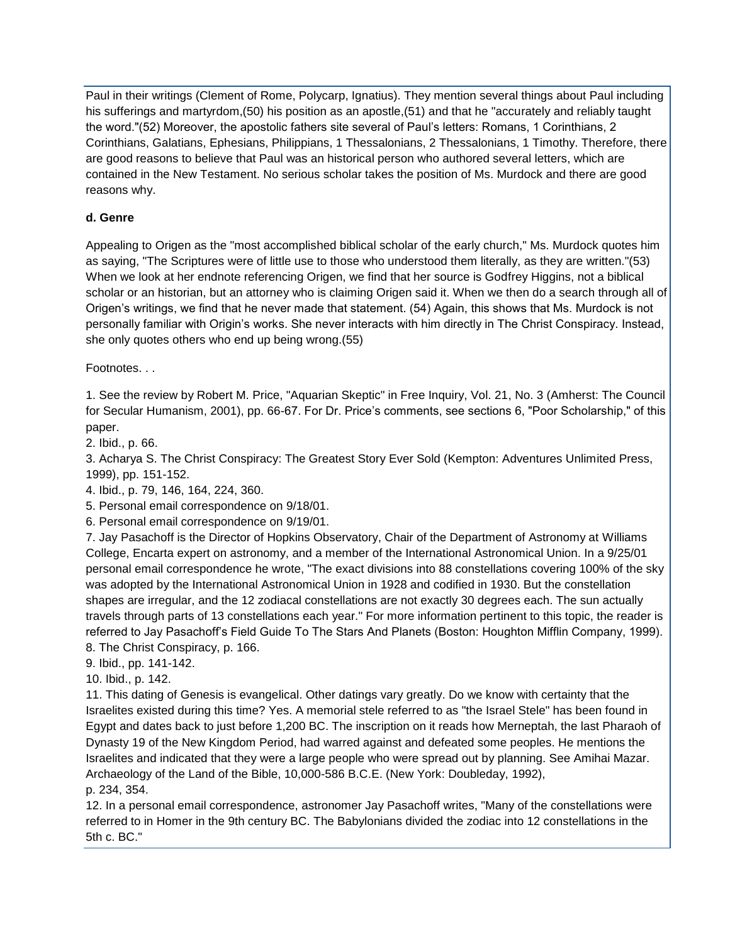Paul in their writings (Clement of Rome, Polycarp, Ignatius). They mention several things about Paul including his sufferings and martyrdom,(50) his position as an apostle,(51) and that he "accurately and reliably taught the word."(52) Moreover, the apostolic fathers site several of Paul's letters: Romans, 1 Corinthians, 2 Corinthians, Galatians, Ephesians, Philippians, 1 Thessalonians, 2 Thessalonians, 1 Timothy. Therefore, there are good reasons to believe that Paul was an historical person who authored several letters, which are contained in the New Testament. No serious scholar takes the position of Ms. Murdock and there are good reasons why.

# **d. Genre**

Appealing to Origen as the "most accomplished biblical scholar of the early church," Ms. Murdock quotes him as saying, "The Scriptures were of little use to those who understood them literally, as they are written."(53) When we look at her endnote referencing Origen, we find that her source is Godfrey Higgins, not a biblical scholar or an historian, but an attorney who is claiming Origen said it. When we then do a search through all of Origen's writings, we find that he never made that statement. (54) Again, this shows that Ms. Murdock is not personally familiar with Origin's works. She never interacts with him directly in The Christ Conspiracy. Instead, she only quotes others who end up being wrong.(55)

Footnotes. . .

1. See the review by Robert M. Price, "Aquarian Skeptic" in Free Inquiry, Vol. 21, No. 3 (Amherst: The Council for Secular Humanism, 2001), pp. 66-67. For Dr. Price's comments, see sections 6, "Poor Scholarship," of this paper.

2. Ibid., p. 66.

3. Acharya S. The Christ Conspiracy: The Greatest Story Ever Sold (Kempton: Adventures Unlimited Press, 1999), pp. 151-152.

4. Ibid., p. 79, 146, 164, 224, 360.

5. Personal email correspondence on 9/18/01.

6. Personal email correspondence on 9/19/01.

7. Jay Pasachoff is the Director of Hopkins Observatory, Chair of the Department of Astronomy at Williams College, Encarta expert on astronomy, and a member of the International Astronomical Union. In a 9/25/01 personal email correspondence he wrote, "The exact divisions into 88 constellations covering 100% of the sky was adopted by the International Astronomical Union in 1928 and codified in 1930. But the constellation shapes are irregular, and the 12 zodiacal constellations are not exactly 30 degrees each. The sun actually travels through parts of 13 constellations each year." For more information pertinent to this topic, the reader is referred to Jay Pasachoff's Field Guide To The Stars And Planets (Boston: Houghton Mifflin Company, 1999). 8. The Christ Conspiracy, p. 166.

9. Ibid., pp. 141-142.

10. Ibid., p. 142.

11. This dating of Genesis is evangelical. Other datings vary greatly. Do we know with certainty that the Israelites existed during this time? Yes. A memorial stele referred to as "the Israel Stele" has been found in Egypt and dates back to just before 1,200 BC. The inscription on it reads how Merneptah, the last Pharaoh of Dynasty 19 of the New Kingdom Period, had warred against and defeated some peoples. He mentions the Israelites and indicated that they were a large people who were spread out by planning. See Amihai Mazar. Archaeology of the Land of the Bible, 10,000-586 B.C.E. (New York: Doubleday, 1992),

p. 234, 354.

12. In a personal email correspondence, astronomer Jay Pasachoff writes, "Many of the constellations were referred to in Homer in the 9th century BC. The Babylonians divided the zodiac into 12 constellations in the 5th c. BC."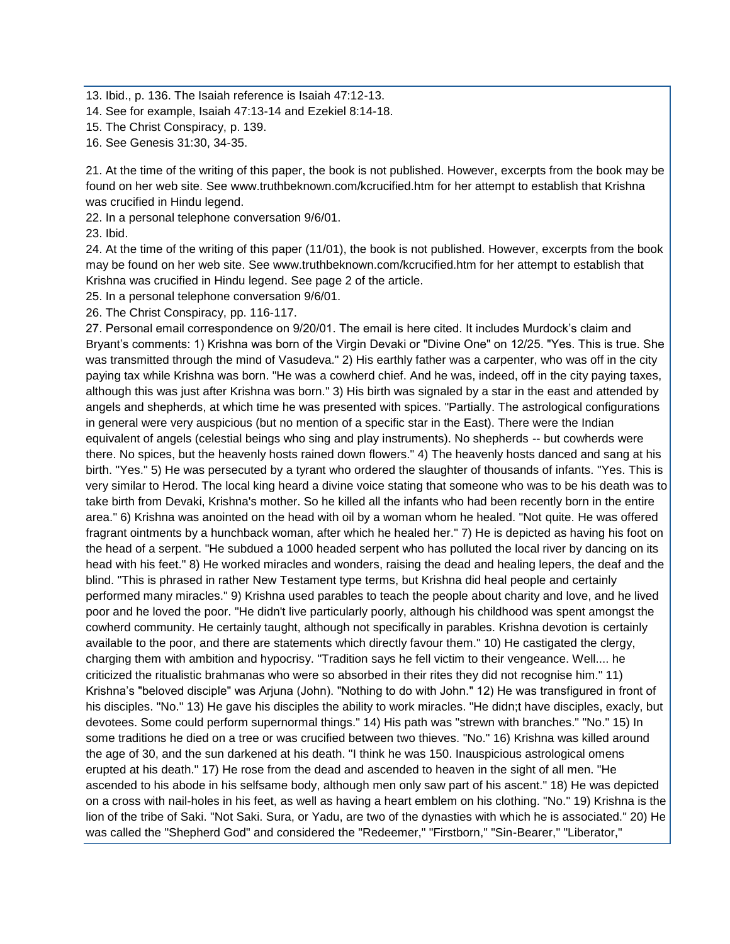13. Ibid., p. 136. The Isaiah reference is Isaiah 47:12-13.

14. See for example, Isaiah 47:13-14 and Ezekiel 8:14-18.

- 15. The Christ Conspiracy, p. 139.
- 16. See Genesis 31:30, 34-35.

21. At the time of the writing of this paper, the book is not published. However, excerpts from the book may be found on her web site. See www.truthbeknown.com/kcrucified.htm for her attempt to establish that Krishna was crucified in Hindu legend.

22. In a personal telephone conversation 9/6/01.

23. Ibid.

24. At the time of the writing of this paper (11/01), the book is not published. However, excerpts from the book may be found on her web site. See www.truthbeknown.com/kcrucified.htm for her attempt to establish that Krishna was crucified in Hindu legend. See page 2 of the article.

25. In a personal telephone conversation 9/6/01.

26. The Christ Conspiracy, pp. 116-117.

27. Personal email correspondence on 9/20/01. The email is here cited. It includes Murdock's claim and Bryant's comments: 1) Krishna was born of the Virgin Devaki or "Divine One" on 12/25. "Yes. This is true. She was transmitted through the mind of Vasudeva." 2) His earthly father was a carpenter, who was off in the city paying tax while Krishna was born. "He was a cowherd chief. And he was, indeed, off in the city paying taxes, although this was just after Krishna was born." 3) His birth was signaled by a star in the east and attended by angels and shepherds, at which time he was presented with spices. "Partially. The astrological configurations in general were very auspicious (but no mention of a specific star in the East). There were the Indian equivalent of angels (celestial beings who sing and play instruments). No shepherds -- but cowherds were there. No spices, but the heavenly hosts rained down flowers." 4) The heavenly hosts danced and sang at his birth. "Yes." 5) He was persecuted by a tyrant who ordered the slaughter of thousands of infants. "Yes. This is very similar to Herod. The local king heard a divine voice stating that someone who was to be his death was to take birth from Devaki, Krishna's mother. So he killed all the infants who had been recently born in the entire area." 6) Krishna was anointed on the head with oil by a woman whom he healed. "Not quite. He was offered fragrant ointments by a hunchback woman, after which he healed her." 7) He is depicted as having his foot on the head of a serpent. "He subdued a 1000 headed serpent who has polluted the local river by dancing on its head with his feet." 8) He worked miracles and wonders, raising the dead and healing lepers, the deaf and the blind. "This is phrased in rather New Testament type terms, but Krishna did heal people and certainly performed many miracles." 9) Krishna used parables to teach the people about charity and love, and he lived poor and he loved the poor. "He didn't live particularly poorly, although his childhood was spent amongst the cowherd community. He certainly taught, although not specifically in parables. Krishna devotion is certainly available to the poor, and there are statements which directly favour them." 10) He castigated the clergy, charging them with ambition and hypocrisy. "Tradition says he fell victim to their vengeance. Well.... he criticized the ritualistic brahmanas who were so absorbed in their rites they did not recognise him." 11) Krishna's "beloved disciple" was Arjuna (John). "Nothing to do with John." 12) He was transfigured in front of his disciples. "No." 13) He gave his disciples the ability to work miracles. "He didn;t have disciples, exacly, but devotees. Some could perform supernormal things." 14) His path was "strewn with branches." "No." 15) In some traditions he died on a tree or was crucified between two thieves. "No." 16) Krishna was killed around the age of 30, and the sun darkened at his death. "I think he was 150. Inauspicious astrological omens erupted at his death." 17) He rose from the dead and ascended to heaven in the sight of all men. "He ascended to his abode in his selfsame body, although men only saw part of his ascent." 18) He was depicted on a cross with nail-holes in his feet, as well as having a heart emblem on his clothing. "No." 19) Krishna is the lion of the tribe of Saki. "Not Saki. Sura, or Yadu, are two of the dynasties with which he is associated." 20) He was called the "Shepherd God" and considered the "Redeemer," "Firstborn," "Sin-Bearer," "Liberator,"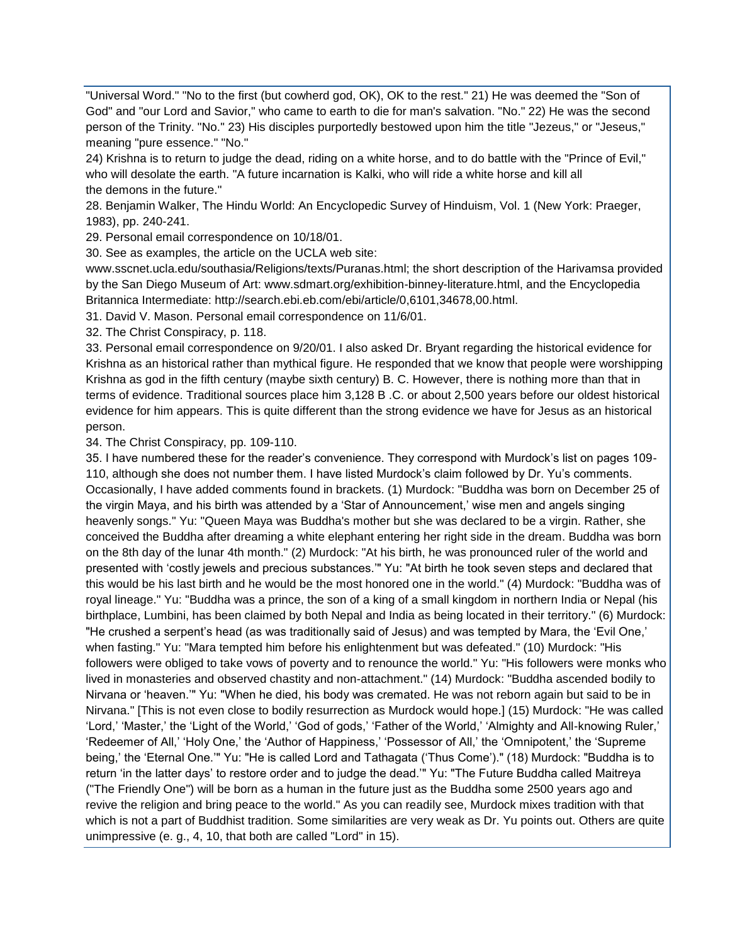"Universal Word." "No to the first (but cowherd god, OK), OK to the rest." 21) He was deemed the "Son of God" and "our Lord and Savior," who came to earth to die for man's salvation. "No." 22) He was the second person of the Trinity. "No." 23) His disciples purportedly bestowed upon him the title "Jezeus," or "Jeseus," meaning "pure essence." "No."

24) Krishna is to return to judge the dead, riding on a white horse, and to do battle with the "Prince of Evil," who will desolate the earth. "A future incarnation is Kalki, who will ride a white horse and kill all the demons in the future."

28. Benjamin Walker, The Hindu World: An Encyclopedic Survey of Hinduism, Vol. 1 (New York: Praeger, 1983), pp. 240-241.

29. Personal email correspondence on 10/18/01.

30. See as examples, the article on the UCLA web site:

www.sscnet.ucla.edu/southasia/Religions/texts/Puranas.html; the short description of the Harivamsa provided by the San Diego Museum of Art: www.sdmart.org/exhibition-binney-literature.html, and the Encyclopedia Britannica Intermediate: http://search.ebi.eb.com/ebi/article/0,6101,34678,00.html.

31. David V. Mason. Personal email correspondence on 11/6/01.

32. The Christ Conspiracy, p. 118.

33. Personal email correspondence on 9/20/01. I also asked Dr. Bryant regarding the historical evidence for Krishna as an historical rather than mythical figure. He responded that we know that people were worshipping Krishna as god in the fifth century (maybe sixth century) B. C. However, there is nothing more than that in terms of evidence. Traditional sources place him 3,128 B .C. or about 2,500 years before our oldest historical evidence for him appears. This is quite different than the strong evidence we have for Jesus as an historical person.

34. The Christ Conspiracy, pp. 109-110.

35. I have numbered these for the reader's convenience. They correspond with Murdock's list on pages 109- 110, although she does not number them. I have listed Murdock's claim followed by Dr. Yu's comments. Occasionally, I have added comments found in brackets. (1) Murdock: "Buddha was born on December 25 of the virgin Maya, and his birth was attended by a 'Star of Announcement,' wise men and angels singing heavenly songs." Yu: "Queen Maya was Buddha's mother but she was declared to be a virgin. Rather, she conceived the Buddha after dreaming a white elephant entering her right side in the dream. Buddha was born on the 8th day of the lunar 4th month." (2) Murdock: "At his birth, he was pronounced ruler of the world and presented with 'costly jewels and precious substances.'" Yu: "At birth he took seven steps and declared that this would be his last birth and he would be the most honored one in the world." (4) Murdock: "Buddha was of royal lineage." Yu: "Buddha was a prince, the son of a king of a small kingdom in northern India or Nepal (his birthplace, Lumbini, has been claimed by both Nepal and India as being located in their territory." (6) Murdock: "He crushed a serpent's head (as was traditionally said of Jesus) and was tempted by Mara, the 'Evil One,' when fasting." Yu: "Mara tempted him before his enlightenment but was defeated." (10) Murdock: "His followers were obliged to take vows of poverty and to renounce the world." Yu: "His followers were monks who lived in monasteries and observed chastity and non-attachment." (14) Murdock: "Buddha ascended bodily to Nirvana or 'heaven.'" Yu: "When he died, his body was cremated. He was not reborn again but said to be in Nirvana." [This is not even close to bodily resurrection as Murdock would hope.] (15) Murdock: "He was called 'Lord,' 'Master,' the 'Light of the World,' 'God of gods,' 'Father of the World,' 'Almighty and All-knowing Ruler,' 'Redeemer of All,' 'Holy One,' the 'Author of Happiness,' 'Possessor of All,' the 'Omnipotent,' the 'Supreme being,' the 'Eternal One.'" Yu: "He is called Lord and Tathagata ('Thus Come')." (18) Murdock: "Buddha is to return 'in the latter days' to restore order and to judge the dead.'" Yu: "The Future Buddha called Maitreya ("The Friendly One") will be born as a human in the future just as the Buddha some 2500 years ago and revive the religion and bring peace to the world." As you can readily see, Murdock mixes tradition with that which is not a part of Buddhist tradition. Some similarities are very weak as Dr. Yu points out. Others are quite unimpressive (e. g., 4, 10, that both are called "Lord" in 15).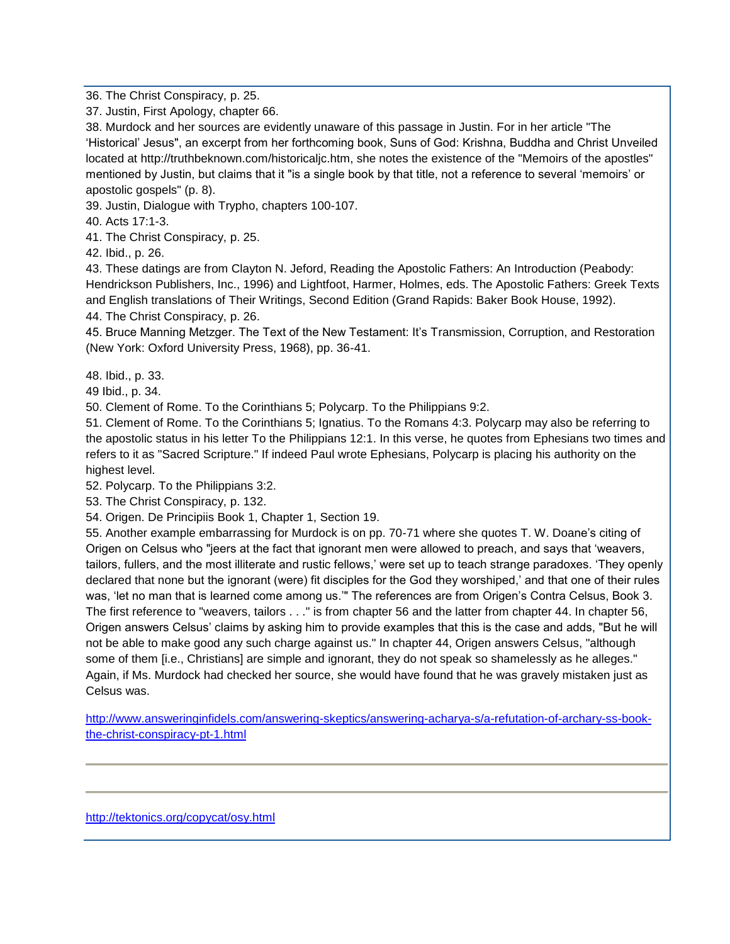36. The Christ Conspiracy, p. 25.

37. Justin, First Apology, chapter 66.

38. Murdock and her sources are evidently unaware of this passage in Justin. For in her article "The 'Historical' Jesus", an excerpt from her forthcoming book, Suns of God: Krishna, Buddha and Christ Unveiled located at http://truthbeknown.com/historicaljc.htm, she notes the existence of the "Memoirs of the apostles" mentioned by Justin, but claims that it "is a single book by that title, not a reference to several 'memoirs' or apostolic gospels" (p. 8).

39. Justin, Dialogue with Trypho, chapters 100-107.

40. Acts 17:1-3.

41. The Christ Conspiracy, p. 25.

42. Ibid., p. 26.

43. These datings are from Clayton N. Jeford, Reading the Apostolic Fathers: An Introduction (Peabody: Hendrickson Publishers, Inc., 1996) and Lightfoot, Harmer, Holmes, eds. The Apostolic Fathers: Greek Texts and English translations of Their Writings, Second Edition (Grand Rapids: Baker Book House, 1992). 44. The Christ Conspiracy, p. 26.

45. Bruce Manning Metzger. The Text of the New Testament: It's Transmission, Corruption, and Restoration (New York: Oxford University Press, 1968), pp. 36-41.

48. Ibid., p. 33.

49 Ibid., p. 34.

50. Clement of Rome. To the Corinthians 5; Polycarp. To the Philippians 9:2.

51. Clement of Rome. To the Corinthians 5; Ignatius. To the Romans 4:3. Polycarp may also be referring to the apostolic status in his letter To the Philippians 12:1. In this verse, he quotes from Ephesians two times and refers to it as "Sacred Scripture." If indeed Paul wrote Ephesians, Polycarp is placing his authority on the highest level.

52. Polycarp. To the Philippians 3:2.

53. The Christ Conspiracy, p. 132.

54. Origen. De Principiis Book 1, Chapter 1, Section 19.

55. Another example embarrassing for Murdock is on pp. 70-71 where she quotes T. W. Doane's citing of Origen on Celsus who "jeers at the fact that ignorant men were allowed to preach, and says that 'weavers, tailors, fullers, and the most illiterate and rustic fellows,' were set up to teach strange paradoxes. 'They openly declared that none but the ignorant (were) fit disciples for the God they worshiped,' and that one of their rules was, 'let no man that is learned come among us.'" The references are from Origen's Contra Celsus, Book 3. The first reference to "weavers, tailors . . ." is from chapter 56 and the latter from chapter 44. In chapter 56, Origen answers Celsus' claims by asking him to provide examples that this is the case and adds, "But he will not be able to make good any such charge against us." In chapter 44, Origen answers Celsus, "although some of them [i.e., Christians] are simple and ignorant, they do not speak so shamelessly as he alleges." Again, if Ms. Murdock had checked her source, she would have found that he was gravely mistaken just as Celsus was.

[http://www.answeringinfidels.com/answering-skeptics/answering-acharya-s/a-refutation-of-archary-ss-book](http://www.answeringinfidels.com/answering-skeptics/answering-acharya-s/a-refutation-of-archary-ss-book-the-christ-conspiracy-pt-1.html)[the-christ-conspiracy-pt-1.html](http://www.answeringinfidels.com/answering-skeptics/answering-acharya-s/a-refutation-of-archary-ss-book-the-christ-conspiracy-pt-1.html)

<http://tektonics.org/copycat/osy.html>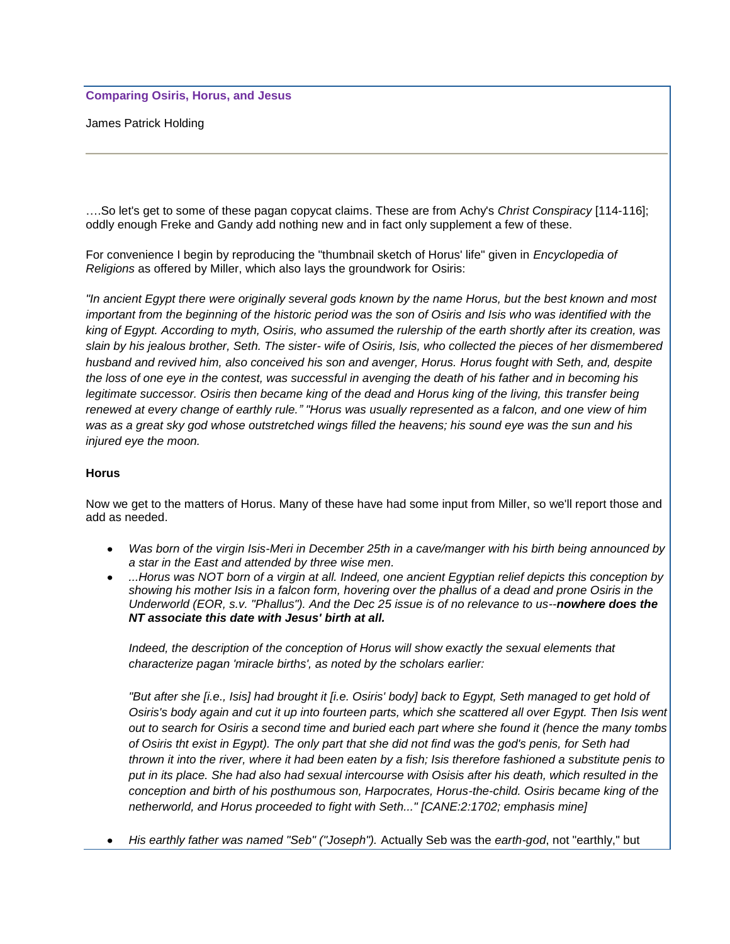# **Comparing Osiris, Horus, and Jesus**

James Patrick Holding

….So let's get to some of these pagan copycat claims. These are from Achy's *Christ Conspiracy* [114-116]; oddly enough Freke and Gandy add nothing new and in fact only supplement a few of these.

For convenience I begin by reproducing the "thumbnail sketch of Horus' life" given in *Encyclopedia of Religions* as offered by Miller, which also lays the groundwork for Osiris:

*"In ancient Egypt there were originally several gods known by the name Horus, but the best known and most important from the beginning of the historic period was the son of Osiris and Isis who was identified with the king of Egypt. According to myth, Osiris, who assumed the rulership of the earth shortly after its creation, was slain by his jealous brother, Seth. The sister- wife of Osiris, Isis, who collected the pieces of her dismembered husband and revived him, also conceived his son and avenger, Horus. Horus fought with Seth, and, despite the loss of one eye in the contest, was successful in avenging the death of his father and in becoming his legitimate successor. Osiris then became king of the dead and Horus king of the living, this transfer being renewed at every change of earthly rule." "Horus was usually represented as a falcon, and one view of him was as a great sky god whose outstretched wings filled the heavens; his sound eye was the sun and his injured eye the moon.* 

# **Horus**

Now we get to the matters of Horus. Many of these have had some input from Miller, so we'll report those and add as needed.

- *Was born of the virgin Isis-Meri in December 25th in a cave/manger with his birth being announced by*   $\bullet$ *a star in the East and attended by three wise men.*
- *...Horus was NOT born of a virgin at all. Indeed, one ancient Egyptian relief depicts this conception by showing his mother Isis in a falcon form, hovering over the phallus of a dead and prone Osiris in the Underworld (EOR, s.v. "Phallus"). And the Dec 25 issue is of no relevance to us--nowhere does the NT associate this date with Jesus' birth at all.*

*Indeed, the description of the conception of Horus will show exactly the sexual elements that characterize pagan 'miracle births', as noted by the scholars earlier:*

*"But after she [i.e., Isis] had brought it [i.e. Osiris' body] back to Egypt, Seth managed to get hold of Osiris's body again and cut it up into fourteen parts, which she scattered all over Egypt. Then Isis went out to search for Osiris a second time and buried each part where she found it (hence the many tombs of Osiris tht exist in Egypt). The only part that she did not find was the god's penis, for Seth had thrown it into the river, where it had been eaten by a fish; Isis therefore fashioned a substitute penis to put in its place. She had also had sexual intercourse with Osisis after his death, which resulted in the conception and birth of his posthumous son, Harpocrates, Horus-the-child. Osiris became king of the netherworld, and Horus proceeded to fight with Seth..." [CANE:2:1702; emphasis mine]* 

*His earthly father was named "Seb" ("Joseph").* Actually Seb was the *earth-god*, not "earthly," but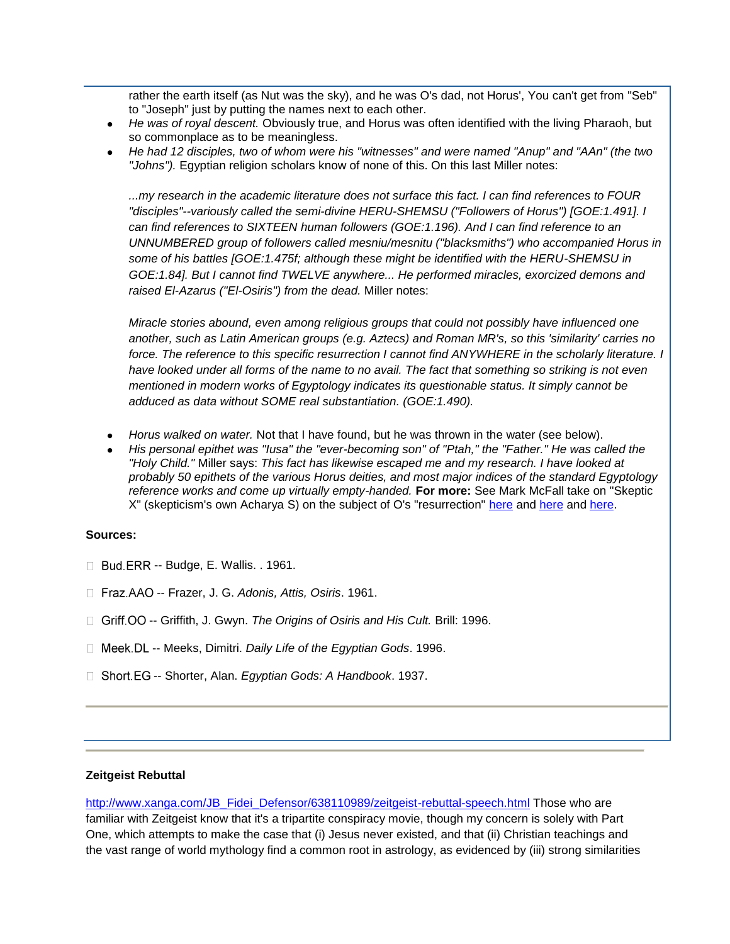rather the earth itself (as Nut was the sky), and he was O's dad, not Horus', You can't get from "Seb" to "Joseph" just by putting the names next to each other.

- *He was of royal descent.* Obviously true, and Horus was often identified with the living Pharaoh, but so commonplace as to be meaningless.
- *He had 12 disciples, two of whom were his "witnesses" and were named "Anup" and "AAn" (the two "Johns").* Egyptian religion scholars know of none of this. On this last Miller notes:

*...my research in the academic literature does not surface this fact. I can find references to FOUR "disciples"--variously called the semi-divine HERU-SHEMSU ("Followers of Horus") [GOE:1.491]. I can find references to SIXTEEN human followers (GOE:1.196). And I can find reference to an UNNUMBERED group of followers called mesniu/mesnitu ("blacksmiths") who accompanied Horus in some of his battles [GOE:1.475f; although these might be identified with the HERU-SHEMSU in GOE:1.84]. But I cannot find TWELVE anywhere... He performed miracles, exorcized demons and raised El-Azarus ("El-Osiris") from the dead.* Miller notes:

*Miracle stories abound, even among religious groups that could not possibly have influenced one another, such as Latin American groups (e.g. Aztecs) and Roman MR's, so this 'similarity' carries no force. The reference to this specific resurrection I cannot find ANYWHERE in the scholarly literature. I have looked under all forms of the name to no avail. The fact that something so striking is not even mentioned in modern works of Egyptology indicates its questionable status. It simply cannot be adduced as data without SOME real substantiation. (GOE:1.490).*

- *Horus walked on water.* Not that I have found, but he was thrown in the water (see below).
- *His personal epithet was "Iusa" the "ever-becoming son" of "Ptah," the "Father." He was called the "Holy Child."* Miller says: *This fact has likewise escaped me and my research. I have looked at probably 50 epithets of the various Horus deities, and most major indices of the standard Egyptology reference works and come up virtually empty-handed.* **For more:** See Mark McFall take on "Skeptic X" (skepticism's own Acharya S) on the subject of O's "resurrection" [here](http://www.geocities.com/intheword1/osiristill.htm) and here and [here.](http://www.geocities.com/intheword1/ohsighris.htm)

#### **Sources:**

- $\Box$  Bud. ERR -- Budge, E. Wallis. . 1961.
- □ Fraz.AAO -- Frazer, J. G. *Adonis, Attis, Osiris*. 1961.
- □ Griff. OO -- Griffith, J. Gwyn. *The Origins of Osiris and His Cult.* Brill: 1996.
- □ Meek. DL -- Meeks, Dimitri. *Daily Life of the Egyptian Gods*. 1996.
- □ Short EG -- Shorter, Alan. *Egyptian Gods: A Handbook*. 1937.

# **Zeitgeist Rebuttal**

[http://www.xanga.com/JB\\_Fidei\\_Defensor/638110989/zeitgeist-rebuttal-speech.html](http://www.xanga.com/JB_Fidei_Defensor/638110989/zeitgeist-rebuttal-speech.html) Those who are familiar with Zeitgeist know that it's a tripartite conspiracy movie, though my concern is solely with Part One, which attempts to make the case that (i) Jesus never existed, and that (ii) Christian teachings and the vast range of world mythology find a common root in astrology, as evidenced by (iii) strong similarities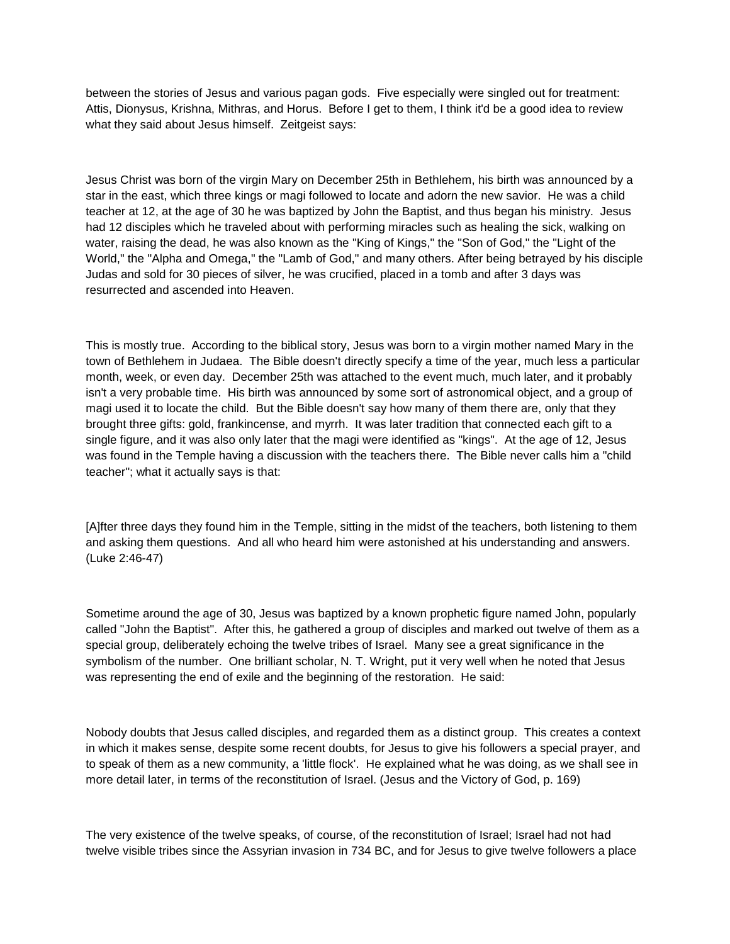between the stories of Jesus and various pagan gods. Five especially were singled out for treatment: Attis, Dionysus, Krishna, Mithras, and Horus. Before I get to them, I think it'd be a good idea to review what they said about Jesus himself. Zeitgeist says:

Jesus Christ was born of the virgin Mary on December 25th in Bethlehem, his birth was announced by a star in the east, which three kings or magi followed to locate and adorn the new savior. He was a child teacher at 12, at the age of 30 he was baptized by John the Baptist, and thus began his ministry. Jesus had 12 disciples which he traveled about with performing miracles such as healing the sick, walking on water, raising the dead, he was also known as the "King of Kings," the "Son of God," the "Light of the World," the "Alpha and Omega," the "Lamb of God," and many others. After being betrayed by his disciple Judas and sold for 30 pieces of silver, he was crucified, placed in a tomb and after 3 days was resurrected and ascended into Heaven.

This is mostly true. According to the biblical story, Jesus was born to a virgin mother named Mary in the town of Bethlehem in Judaea. The Bible doesn't directly specify a time of the year, much less a particular month, week, or even day. December 25th was attached to the event much, much later, and it probably isn't a very probable time. His birth was announced by some sort of astronomical object, and a group of magi used it to locate the child. But the Bible doesn't say how many of them there are, only that they brought three gifts: gold, frankincense, and myrrh. It was later tradition that connected each gift to a single figure, and it was also only later that the magi were identified as "kings". At the age of 12, Jesus was found in the Temple having a discussion with the teachers there. The Bible never calls him a "child teacher"; what it actually says is that:

[A]fter three days they found him in the Temple, sitting in the midst of the teachers, both listening to them and asking them questions. And all who heard him were astonished at his understanding and answers. (Luke 2:46-47)

Sometime around the age of 30, Jesus was baptized by a known prophetic figure named John, popularly called "John the Baptist". After this, he gathered a group of disciples and marked out twelve of them as a special group, deliberately echoing the twelve tribes of Israel. Many see a great significance in the symbolism of the number. One brilliant scholar, N. T. Wright, put it very well when he noted that Jesus was representing the end of exile and the beginning of the restoration. He said:

Nobody doubts that Jesus called disciples, and regarded them as a distinct group. This creates a context in which it makes sense, despite some recent doubts, for Jesus to give his followers a special prayer, and to speak of them as a new community, a 'little flock'. He explained what he was doing, as we shall see in more detail later, in terms of the reconstitution of Israel. (Jesus and the Victory of God, p. 169)

The very existence of the twelve speaks, of course, of the reconstitution of Israel; Israel had not had twelve visible tribes since the Assyrian invasion in 734 BC, and for Jesus to give twelve followers a place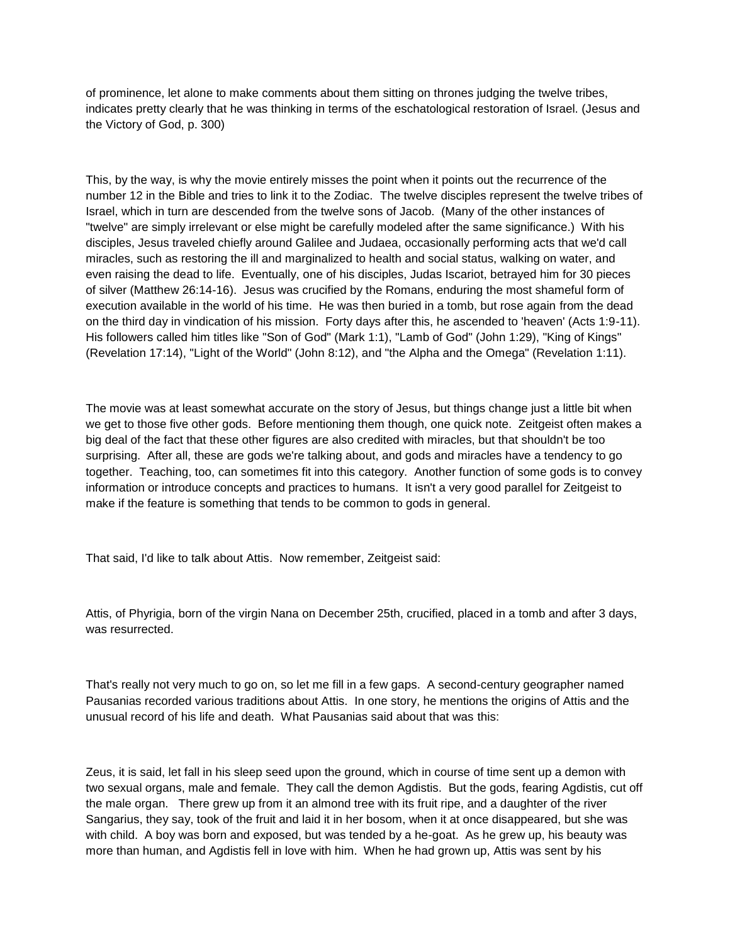of prominence, let alone to make comments about them sitting on thrones judging the twelve tribes, indicates pretty clearly that he was thinking in terms of the eschatological restoration of Israel. (Jesus and the Victory of God, p. 300)

This, by the way, is why the movie entirely misses the point when it points out the recurrence of the number 12 in the Bible and tries to link it to the Zodiac. The twelve disciples represent the twelve tribes of Israel, which in turn are descended from the twelve sons of Jacob. (Many of the other instances of "twelve" are simply irrelevant or else might be carefully modeled after the same significance.) With his disciples, Jesus traveled chiefly around Galilee and Judaea, occasionally performing acts that we'd call miracles, such as restoring the ill and marginalized to health and social status, walking on water, and even raising the dead to life. Eventually, one of his disciples, Judas Iscariot, betrayed him for 30 pieces of silver (Matthew 26:14-16). Jesus was crucified by the Romans, enduring the most shameful form of execution available in the world of his time. He was then buried in a tomb, but rose again from the dead on the third day in vindication of his mission. Forty days after this, he ascended to 'heaven' (Acts 1:9-11). His followers called him titles like "Son of God" (Mark 1:1), "Lamb of God" (John 1:29), "King of Kings" (Revelation 17:14), "Light of the World" (John 8:12), and "the Alpha and the Omega" (Revelation 1:11).

The movie was at least somewhat accurate on the story of Jesus, but things change just a little bit when we get to those five other gods. Before mentioning them though, one quick note. Zeitgeist often makes a big deal of the fact that these other figures are also credited with miracles, but that shouldn't be too surprising. After all, these are gods we're talking about, and gods and miracles have a tendency to go together. Teaching, too, can sometimes fit into this category. Another function of some gods is to convey information or introduce concepts and practices to humans. It isn't a very good parallel for Zeitgeist to make if the feature is something that tends to be common to gods in general.

That said, I'd like to talk about Attis. Now remember, Zeitgeist said:

Attis, of Phyrigia, born of the virgin Nana on December 25th, crucified, placed in a tomb and after 3 days, was resurrected.

That's really not very much to go on, so let me fill in a few gaps. A second-century geographer named Pausanias recorded various traditions about Attis. In one story, he mentions the origins of Attis and the unusual record of his life and death. What Pausanias said about that was this:

Zeus, it is said, let fall in his sleep seed upon the ground, which in course of time sent up a demon with two sexual organs, male and female. They call the demon Agdistis. But the gods, fearing Agdistis, cut off the male organ. There grew up from it an almond tree with its fruit ripe, and a daughter of the river Sangarius, they say, took of the fruit and laid it in her bosom, when it at once disappeared, but she was with child. A boy was born and exposed, but was tended by a he-goat. As he grew up, his beauty was more than human, and Agdistis fell in love with him. When he had grown up, Attis was sent by his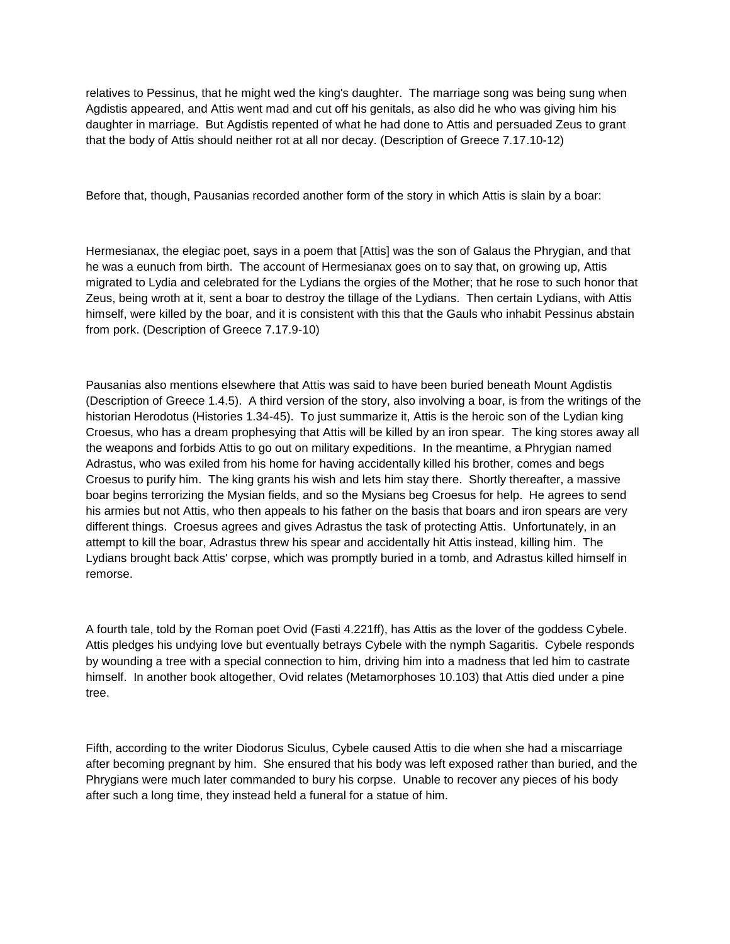relatives to Pessinus, that he might wed the king's daughter. The marriage song was being sung when Agdistis appeared, and Attis went mad and cut off his genitals, as also did he who was giving him his daughter in marriage. But Agdistis repented of what he had done to Attis and persuaded Zeus to grant that the body of Attis should neither rot at all nor decay. (Description of Greece 7.17.10-12)

Before that, though, Pausanias recorded another form of the story in which Attis is slain by a boar:

Hermesianax, the elegiac poet, says in a poem that [Attis] was the son of Galaus the Phrygian, and that he was a eunuch from birth. The account of Hermesianax goes on to say that, on growing up, Attis migrated to Lydia and celebrated for the Lydians the orgies of the Mother; that he rose to such honor that Zeus, being wroth at it, sent a boar to destroy the tillage of the Lydians. Then certain Lydians, with Attis himself, were killed by the boar, and it is consistent with this that the Gauls who inhabit Pessinus abstain from pork. (Description of Greece 7.17.9-10)

Pausanias also mentions elsewhere that Attis was said to have been buried beneath Mount Agdistis (Description of Greece 1.4.5). A third version of the story, also involving a boar, is from the writings of the historian Herodotus (Histories 1.34-45). To just summarize it, Attis is the heroic son of the Lydian king Croesus, who has a dream prophesying that Attis will be killed by an iron spear. The king stores away all the weapons and forbids Attis to go out on military expeditions. In the meantime, a Phrygian named Adrastus, who was exiled from his home for having accidentally killed his brother, comes and begs Croesus to purify him. The king grants his wish and lets him stay there. Shortly thereafter, a massive boar begins terrorizing the Mysian fields, and so the Mysians beg Croesus for help. He agrees to send his armies but not Attis, who then appeals to his father on the basis that boars and iron spears are very different things. Croesus agrees and gives Adrastus the task of protecting Attis. Unfortunately, in an attempt to kill the boar, Adrastus threw his spear and accidentally hit Attis instead, killing him. The Lydians brought back Attis' corpse, which was promptly buried in a tomb, and Adrastus killed himself in remorse.

A fourth tale, told by the Roman poet Ovid (Fasti 4.221ff), has Attis as the lover of the goddess Cybele. Attis pledges his undying love but eventually betrays Cybele with the nymph Sagaritis. Cybele responds by wounding a tree with a special connection to him, driving him into a madness that led him to castrate himself. In another book altogether, Ovid relates (Metamorphoses 10.103) that Attis died under a pine tree.

Fifth, according to the writer Diodorus Siculus, Cybele caused Attis to die when she had a miscarriage after becoming pregnant by him. She ensured that his body was left exposed rather than buried, and the Phrygians were much later commanded to bury his corpse. Unable to recover any pieces of his body after such a long time, they instead held a funeral for a statue of him.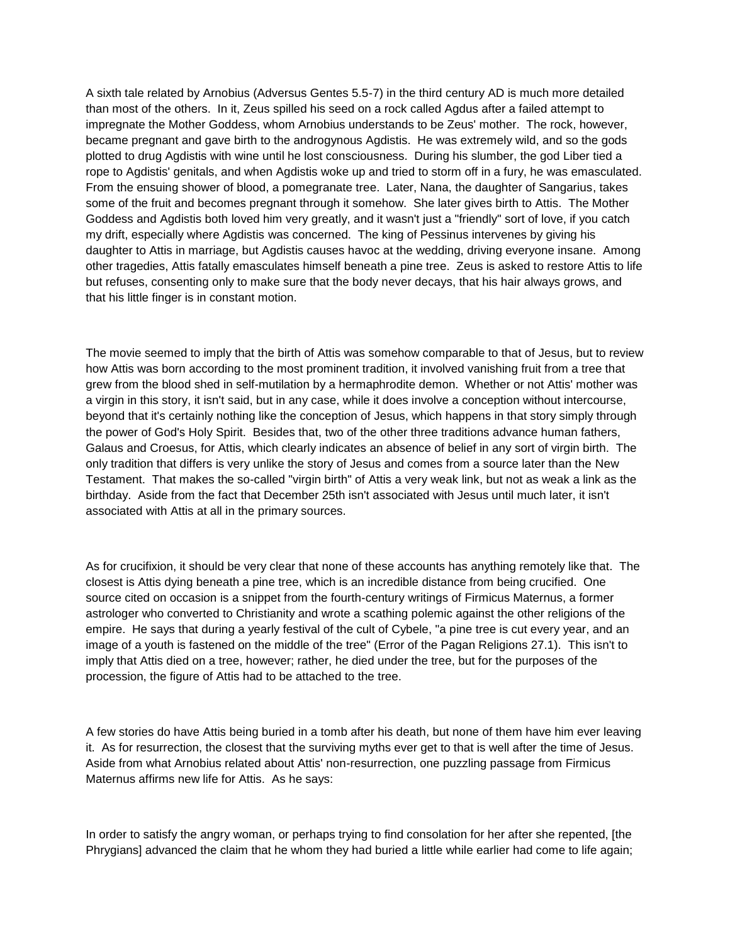A sixth tale related by Arnobius (Adversus Gentes 5.5-7) in the third century AD is much more detailed than most of the others. In it, Zeus spilled his seed on a rock called Agdus after a failed attempt to impregnate the Mother Goddess, whom Arnobius understands to be Zeus' mother. The rock, however, became pregnant and gave birth to the androgynous Agdistis. He was extremely wild, and so the gods plotted to drug Agdistis with wine until he lost consciousness. During his slumber, the god Liber tied a rope to Agdistis' genitals, and when Agdistis woke up and tried to storm off in a fury, he was emasculated. From the ensuing shower of blood, a pomegranate tree. Later, Nana, the daughter of Sangarius, takes some of the fruit and becomes pregnant through it somehow. She later gives birth to Attis. The Mother Goddess and Agdistis both loved him very greatly, and it wasn't just a "friendly" sort of love, if you catch my drift, especially where Agdistis was concerned. The king of Pessinus intervenes by giving his daughter to Attis in marriage, but Agdistis causes havoc at the wedding, driving everyone insane. Among other tragedies, Attis fatally emasculates himself beneath a pine tree. Zeus is asked to restore Attis to life but refuses, consenting only to make sure that the body never decays, that his hair always grows, and that his little finger is in constant motion.

The movie seemed to imply that the birth of Attis was somehow comparable to that of Jesus, but to review how Attis was born according to the most prominent tradition, it involved vanishing fruit from a tree that grew from the blood shed in self-mutilation by a hermaphrodite demon. Whether or not Attis' mother was a virgin in this story, it isn't said, but in any case, while it does involve a conception without intercourse, beyond that it's certainly nothing like the conception of Jesus, which happens in that story simply through the power of God's Holy Spirit. Besides that, two of the other three traditions advance human fathers, Galaus and Croesus, for Attis, which clearly indicates an absence of belief in any sort of virgin birth. The only tradition that differs is very unlike the story of Jesus and comes from a source later than the New Testament. That makes the so-called "virgin birth" of Attis a very weak link, but not as weak a link as the birthday. Aside from the fact that December 25th isn't associated with Jesus until much later, it isn't associated with Attis at all in the primary sources.

As for crucifixion, it should be very clear that none of these accounts has anything remotely like that. The closest is Attis dying beneath a pine tree, which is an incredible distance from being crucified. One source cited on occasion is a snippet from the fourth-century writings of Firmicus Maternus, a former astrologer who converted to Christianity and wrote a scathing polemic against the other religions of the empire. He says that during a yearly festival of the cult of Cybele, "a pine tree is cut every year, and an image of a youth is fastened on the middle of the tree" (Error of the Pagan Religions 27.1). This isn't to imply that Attis died on a tree, however; rather, he died under the tree, but for the purposes of the procession, the figure of Attis had to be attached to the tree.

A few stories do have Attis being buried in a tomb after his death, but none of them have him ever leaving it. As for resurrection, the closest that the surviving myths ever get to that is well after the time of Jesus. Aside from what Arnobius related about Attis' non-resurrection, one puzzling passage from Firmicus Maternus affirms new life for Attis. As he says:

In order to satisfy the angry woman, or perhaps trying to find consolation for her after she repented, [the Phrygians] advanced the claim that he whom they had buried a little while earlier had come to life again;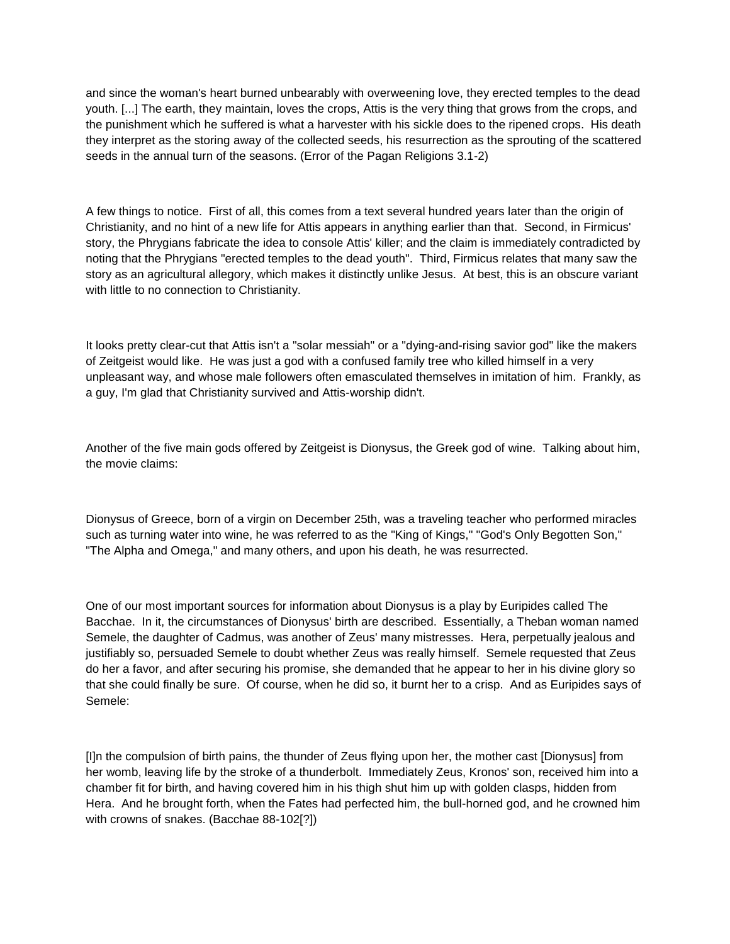and since the woman's heart burned unbearably with overweening love, they erected temples to the dead youth. [...] The earth, they maintain, loves the crops, Attis is the very thing that grows from the crops, and the punishment which he suffered is what a harvester with his sickle does to the ripened crops. His death they interpret as the storing away of the collected seeds, his resurrection as the sprouting of the scattered seeds in the annual turn of the seasons. (Error of the Pagan Religions 3.1-2)

A few things to notice. First of all, this comes from a text several hundred years later than the origin of Christianity, and no hint of a new life for Attis appears in anything earlier than that. Second, in Firmicus' story, the Phrygians fabricate the idea to console Attis' killer; and the claim is immediately contradicted by noting that the Phrygians "erected temples to the dead youth". Third, Firmicus relates that many saw the story as an agricultural allegory, which makes it distinctly unlike Jesus. At best, this is an obscure variant with little to no connection to Christianity.

It looks pretty clear-cut that Attis isn't a "solar messiah" or a "dying-and-rising savior god" like the makers of Zeitgeist would like. He was just a god with a confused family tree who killed himself in a very unpleasant way, and whose male followers often emasculated themselves in imitation of him. Frankly, as a guy, I'm glad that Christianity survived and Attis-worship didn't.

Another of the five main gods offered by Zeitgeist is Dionysus, the Greek god of wine. Talking about him, the movie claims:

Dionysus of Greece, born of a virgin on December 25th, was a traveling teacher who performed miracles such as turning water into wine, he was referred to as the "King of Kings," "God's Only Begotten Son," "The Alpha and Omega," and many others, and upon his death, he was resurrected.

One of our most important sources for information about Dionysus is a play by Euripides called The Bacchae. In it, the circumstances of Dionysus' birth are described. Essentially, a Theban woman named Semele, the daughter of Cadmus, was another of Zeus' many mistresses. Hera, perpetually jealous and justifiably so, persuaded Semele to doubt whether Zeus was really himself. Semele requested that Zeus do her a favor, and after securing his promise, she demanded that he appear to her in his divine glory so that she could finally be sure. Of course, when he did so, it burnt her to a crisp. And as Euripides says of Semele:

[I]n the compulsion of birth pains, the thunder of Zeus flying upon her, the mother cast [Dionysus] from her womb, leaving life by the stroke of a thunderbolt. Immediately Zeus, Kronos' son, received him into a chamber fit for birth, and having covered him in his thigh shut him up with golden clasps, hidden from Hera. And he brought forth, when the Fates had perfected him, the bull-horned god, and he crowned him with crowns of snakes. (Bacchae 88-102[?])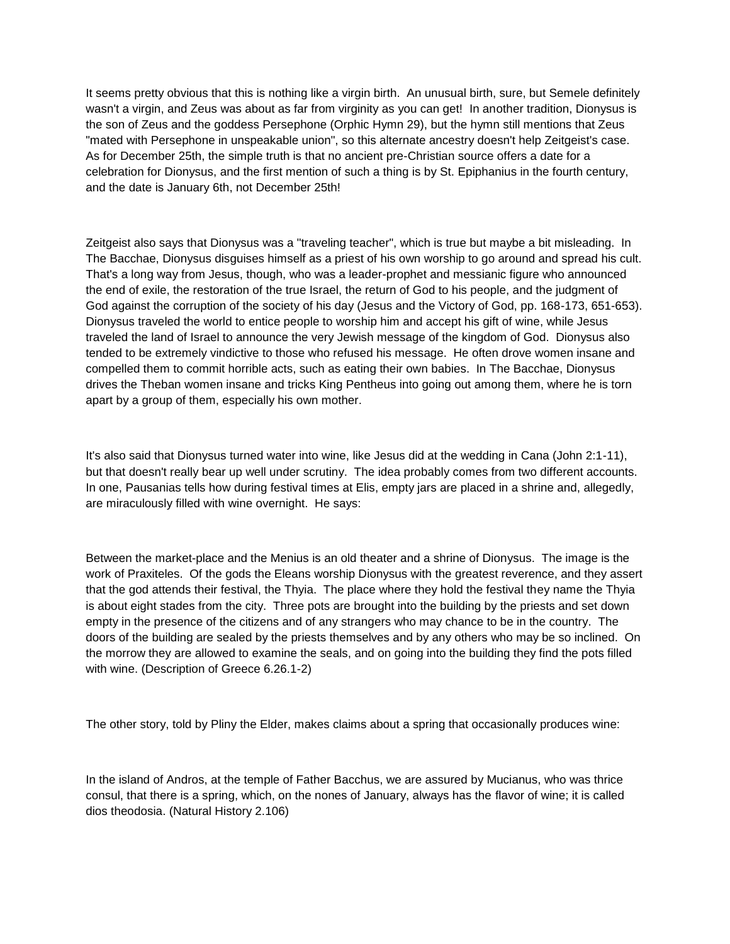It seems pretty obvious that this is nothing like a virgin birth. An unusual birth, sure, but Semele definitely wasn't a virgin, and Zeus was about as far from virginity as you can get! In another tradition, Dionysus is the son of Zeus and the goddess Persephone (Orphic Hymn 29), but the hymn still mentions that Zeus "mated with Persephone in unspeakable union", so this alternate ancestry doesn't help Zeitgeist's case. As for December 25th, the simple truth is that no ancient pre-Christian source offers a date for a celebration for Dionysus, and the first mention of such a thing is by St. Epiphanius in the fourth century, and the date is January 6th, not December 25th!

Zeitgeist also says that Dionysus was a "traveling teacher", which is true but maybe a bit misleading. In The Bacchae, Dionysus disguises himself as a priest of his own worship to go around and spread his cult. That's a long way from Jesus, though, who was a leader-prophet and messianic figure who announced the end of exile, the restoration of the true Israel, the return of God to his people, and the judgment of God against the corruption of the society of his day (Jesus and the Victory of God, pp. 168-173, 651-653). Dionysus traveled the world to entice people to worship him and accept his gift of wine, while Jesus traveled the land of Israel to announce the very Jewish message of the kingdom of God. Dionysus also tended to be extremely vindictive to those who refused his message. He often drove women insane and compelled them to commit horrible acts, such as eating their own babies. In The Bacchae, Dionysus drives the Theban women insane and tricks King Pentheus into going out among them, where he is torn apart by a group of them, especially his own mother.

It's also said that Dionysus turned water into wine, like Jesus did at the wedding in Cana (John 2:1-11), but that doesn't really bear up well under scrutiny. The idea probably comes from two different accounts. In one, Pausanias tells how during festival times at Elis, empty jars are placed in a shrine and, allegedly, are miraculously filled with wine overnight. He says:

Between the market-place and the Menius is an old theater and a shrine of Dionysus. The image is the work of Praxiteles. Of the gods the Eleans worship Dionysus with the greatest reverence, and they assert that the god attends their festival, the Thyia. The place where they hold the festival they name the Thyia is about eight stades from the city. Three pots are brought into the building by the priests and set down empty in the presence of the citizens and of any strangers who may chance to be in the country. The doors of the building are sealed by the priests themselves and by any others who may be so inclined. On the morrow they are allowed to examine the seals, and on going into the building they find the pots filled with wine. (Description of Greece 6.26.1-2)

The other story, told by Pliny the Elder, makes claims about a spring that occasionally produces wine:

In the island of Andros, at the temple of Father Bacchus, we are assured by Mucianus, who was thrice consul, that there is a spring, which, on the nones of January, always has the flavor of wine; it is called dios theodosia. (Natural History 2.106)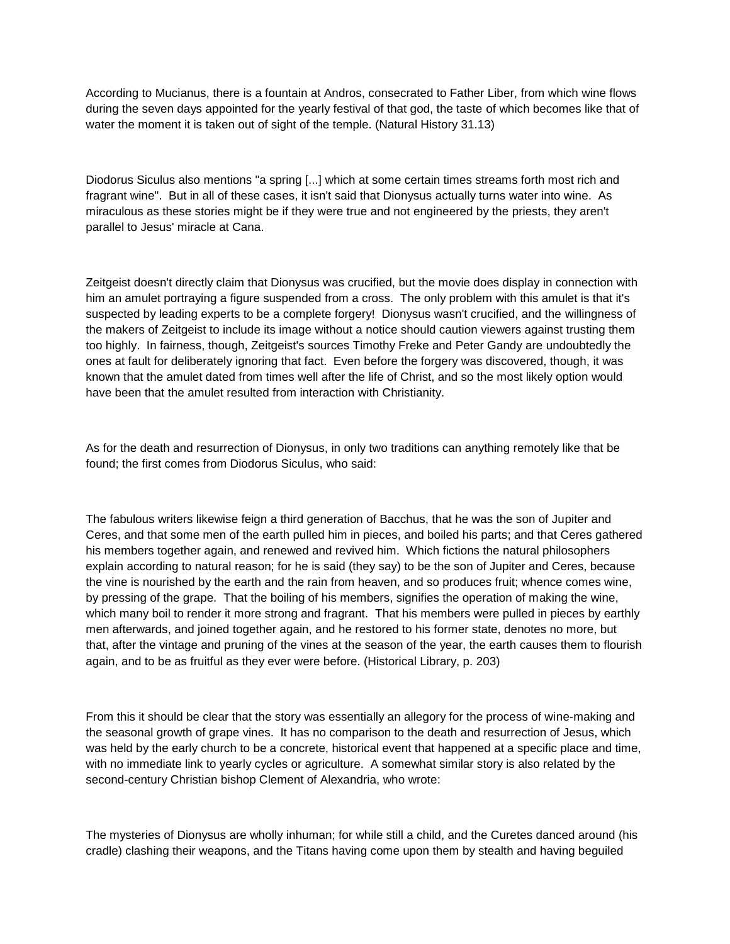According to Mucianus, there is a fountain at Andros, consecrated to Father Liber, from which wine flows during the seven days appointed for the yearly festival of that god, the taste of which becomes like that of water the moment it is taken out of sight of the temple. (Natural History 31.13)

Diodorus Siculus also mentions "a spring [...] which at some certain times streams forth most rich and fragrant wine". But in all of these cases, it isn't said that Dionysus actually turns water into wine. As miraculous as these stories might be if they were true and not engineered by the priests, they aren't parallel to Jesus' miracle at Cana.

Zeitgeist doesn't directly claim that Dionysus was crucified, but the movie does display in connection with him an amulet portraying a figure suspended from a cross. The only problem with this amulet is that it's suspected by leading experts to be a complete forgery! Dionysus wasn't crucified, and the willingness of the makers of Zeitgeist to include its image without a notice should caution viewers against trusting them too highly. In fairness, though, Zeitgeist's sources Timothy Freke and Peter Gandy are undoubtedly the ones at fault for deliberately ignoring that fact. Even before the forgery was discovered, though, it was known that the amulet dated from times well after the life of Christ, and so the most likely option would have been that the amulet resulted from interaction with Christianity.

As for the death and resurrection of Dionysus, in only two traditions can anything remotely like that be found; the first comes from Diodorus Siculus, who said:

The fabulous writers likewise feign a third generation of Bacchus, that he was the son of Jupiter and Ceres, and that some men of the earth pulled him in pieces, and boiled his parts; and that Ceres gathered his members together again, and renewed and revived him. Which fictions the natural philosophers explain according to natural reason; for he is said (they say) to be the son of Jupiter and Ceres, because the vine is nourished by the earth and the rain from heaven, and so produces fruit; whence comes wine, by pressing of the grape. That the boiling of his members, signifies the operation of making the wine, which many boil to render it more strong and fragrant. That his members were pulled in pieces by earthly men afterwards, and joined together again, and he restored to his former state, denotes no more, but that, after the vintage and pruning of the vines at the season of the year, the earth causes them to flourish again, and to be as fruitful as they ever were before. (Historical Library, p. 203)

From this it should be clear that the story was essentially an allegory for the process of wine-making and the seasonal growth of grape vines. It has no comparison to the death and resurrection of Jesus, which was held by the early church to be a concrete, historical event that happened at a specific place and time, with no immediate link to yearly cycles or agriculture. A somewhat similar story is also related by the second-century Christian bishop Clement of Alexandria, who wrote:

The mysteries of Dionysus are wholly inhuman; for while still a child, and the Curetes danced around (his cradle) clashing their weapons, and the Titans having come upon them by stealth and having beguiled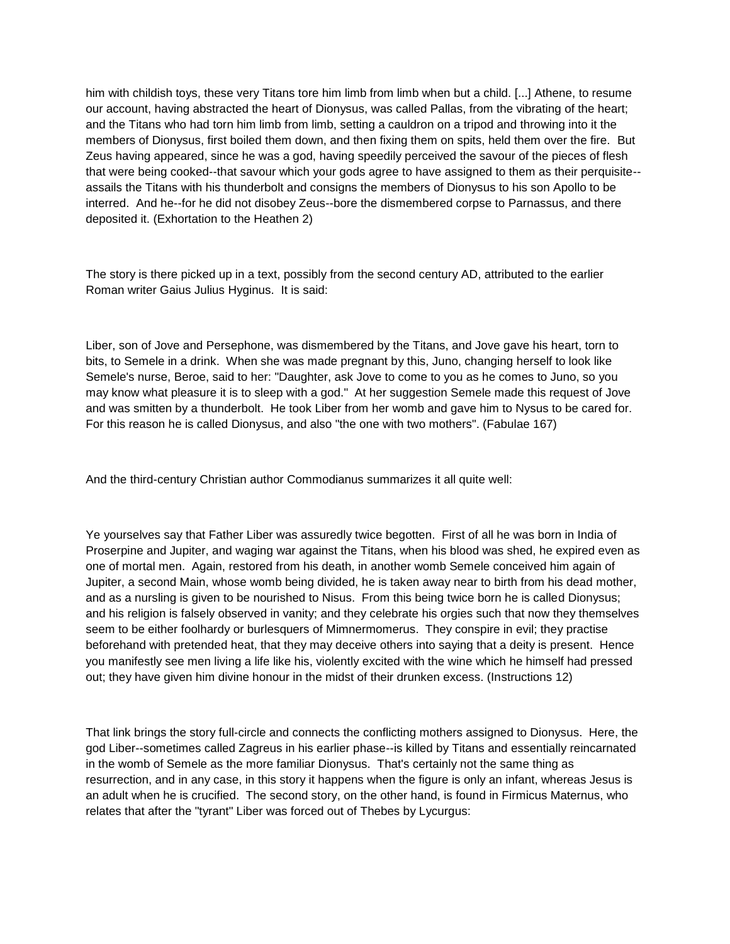him with childish toys, these very Titans tore him limb from limb when but a child. [...] Athene, to resume our account, having abstracted the heart of Dionysus, was called Pallas, from the vibrating of the heart; and the Titans who had torn him limb from limb, setting a cauldron on a tripod and throwing into it the members of Dionysus, first boiled them down, and then fixing them on spits, held them over the fire. But Zeus having appeared, since he was a god, having speedily perceived the savour of the pieces of flesh that were being cooked--that savour which your gods agree to have assigned to them as their perquisite- assails the Titans with his thunderbolt and consigns the members of Dionysus to his son Apollo to be interred. And he--for he did not disobey Zeus--bore the dismembered corpse to Parnassus, and there deposited it. (Exhortation to the Heathen 2)

The story is there picked up in a text, possibly from the second century AD, attributed to the earlier Roman writer Gaius Julius Hyginus. It is said:

Liber, son of Jove and Persephone, was dismembered by the Titans, and Jove gave his heart, torn to bits, to Semele in a drink. When she was made pregnant by this, Juno, changing herself to look like Semele's nurse, Beroe, said to her: "Daughter, ask Jove to come to you as he comes to Juno, so you may know what pleasure it is to sleep with a god." At her suggestion Semele made this request of Jove and was smitten by a thunderbolt. He took Liber from her womb and gave him to Nysus to be cared for. For this reason he is called Dionysus, and also "the one with two mothers". (Fabulae 167)

And the third-century Christian author Commodianus summarizes it all quite well:

Ye yourselves say that Father Liber was assuredly twice begotten. First of all he was born in India of Proserpine and Jupiter, and waging war against the Titans, when his blood was shed, he expired even as one of mortal men. Again, restored from his death, in another womb Semele conceived him again of Jupiter, a second Main, whose womb being divided, he is taken away near to birth from his dead mother, and as a nursling is given to be nourished to Nisus. From this being twice born he is called Dionysus; and his religion is falsely observed in vanity; and they celebrate his orgies such that now they themselves seem to be either foolhardy or burlesquers of Mimnermomerus. They conspire in evil; they practise beforehand with pretended heat, that they may deceive others into saying that a deity is present. Hence you manifestly see men living a life like his, violently excited with the wine which he himself had pressed out; they have given him divine honour in the midst of their drunken excess. (Instructions 12)

That link brings the story full-circle and connects the conflicting mothers assigned to Dionysus. Here, the god Liber--sometimes called Zagreus in his earlier phase--is killed by Titans and essentially reincarnated in the womb of Semele as the more familiar Dionysus. That's certainly not the same thing as resurrection, and in any case, in this story it happens when the figure is only an infant, whereas Jesus is an adult when he is crucified. The second story, on the other hand, is found in Firmicus Maternus, who relates that after the "tyrant" Liber was forced out of Thebes by Lycurgus: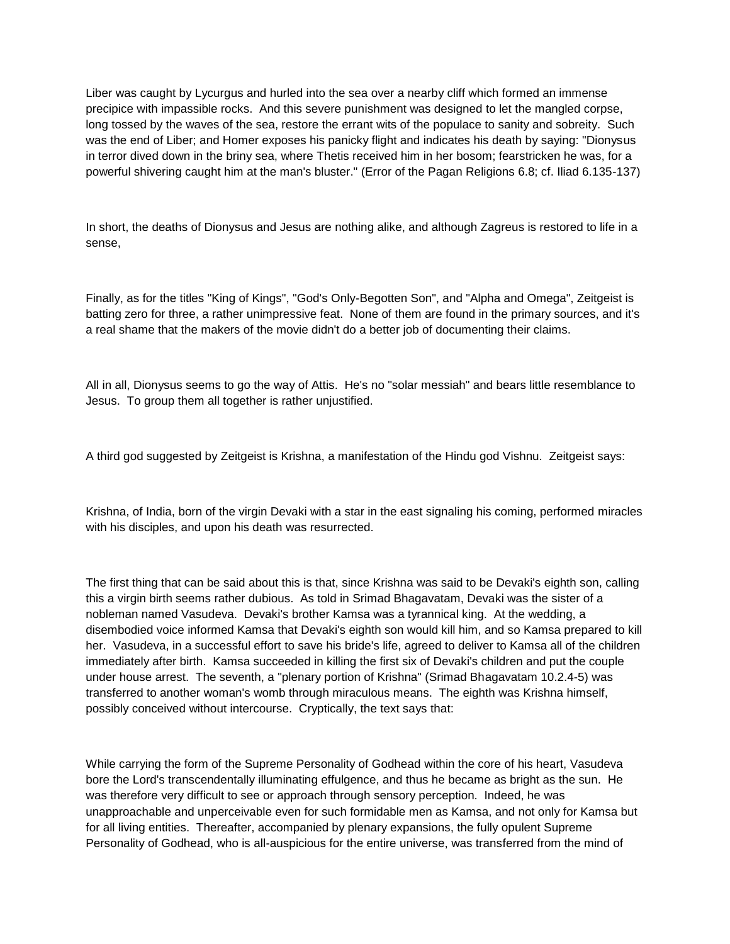Liber was caught by Lycurgus and hurled into the sea over a nearby cliff which formed an immense precipice with impassible rocks. And this severe punishment was designed to let the mangled corpse, long tossed by the waves of the sea, restore the errant wits of the populace to sanity and sobreity. Such was the end of Liber; and Homer exposes his panicky flight and indicates his death by saying: "Dionysus in terror dived down in the briny sea, where Thetis received him in her bosom; fearstricken he was, for a powerful shivering caught him at the man's bluster." (Error of the Pagan Religions 6.8; cf. Iliad 6.135-137)

In short, the deaths of Dionysus and Jesus are nothing alike, and although Zagreus is restored to life in a sense,

Finally, as for the titles "King of Kings", "God's Only-Begotten Son", and "Alpha and Omega", Zeitgeist is batting zero for three, a rather unimpressive feat. None of them are found in the primary sources, and it's a real shame that the makers of the movie didn't do a better job of documenting their claims.

All in all, Dionysus seems to go the way of Attis. He's no "solar messiah" and bears little resemblance to Jesus. To group them all together is rather unjustified.

A third god suggested by Zeitgeist is Krishna, a manifestation of the Hindu god Vishnu. Zeitgeist says:

Krishna, of India, born of the virgin Devaki with a star in the east signaling his coming, performed miracles with his disciples, and upon his death was resurrected.

The first thing that can be said about this is that, since Krishna was said to be Devaki's eighth son, calling this a virgin birth seems rather dubious. As told in Srimad Bhagavatam, Devaki was the sister of a nobleman named Vasudeva. Devaki's brother Kamsa was a tyrannical king. At the wedding, a disembodied voice informed Kamsa that Devaki's eighth son would kill him, and so Kamsa prepared to kill her. Vasudeva, in a successful effort to save his bride's life, agreed to deliver to Kamsa all of the children immediately after birth. Kamsa succeeded in killing the first six of Devaki's children and put the couple under house arrest. The seventh, a "plenary portion of Krishna" (Srimad Bhagavatam 10.2.4-5) was transferred to another woman's womb through miraculous means. The eighth was Krishna himself, possibly conceived without intercourse. Cryptically, the text says that:

While carrying the form of the Supreme Personality of Godhead within the core of his heart, Vasudeva bore the Lord's transcendentally illuminating effulgence, and thus he became as bright as the sun. He was therefore very difficult to see or approach through sensory perception. Indeed, he was unapproachable and unperceivable even for such formidable men as Kamsa, and not only for Kamsa but for all living entities. Thereafter, accompanied by plenary expansions, the fully opulent Supreme Personality of Godhead, who is all-auspicious for the entire universe, was transferred from the mind of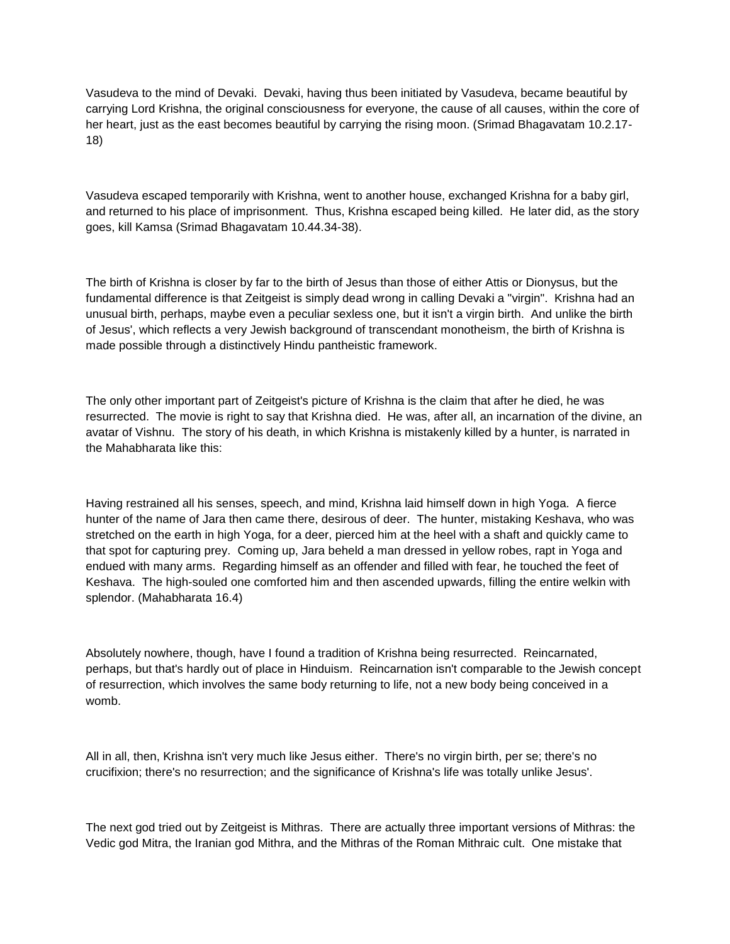Vasudeva to the mind of Devaki. Devaki, having thus been initiated by Vasudeva, became beautiful by carrying Lord Krishna, the original consciousness for everyone, the cause of all causes, within the core of her heart, just as the east becomes beautiful by carrying the rising moon. (Srimad Bhagavatam 10.2.17- 18)

Vasudeva escaped temporarily with Krishna, went to another house, exchanged Krishna for a baby girl, and returned to his place of imprisonment. Thus, Krishna escaped being killed. He later did, as the story goes, kill Kamsa (Srimad Bhagavatam 10.44.34-38).

The birth of Krishna is closer by far to the birth of Jesus than those of either Attis or Dionysus, but the fundamental difference is that Zeitgeist is simply dead wrong in calling Devaki a "virgin". Krishna had an unusual birth, perhaps, maybe even a peculiar sexless one, but it isn't a virgin birth. And unlike the birth of Jesus', which reflects a very Jewish background of transcendant monotheism, the birth of Krishna is made possible through a distinctively Hindu pantheistic framework.

The only other important part of Zeitgeist's picture of Krishna is the claim that after he died, he was resurrected. The movie is right to say that Krishna died. He was, after all, an incarnation of the divine, an avatar of Vishnu. The story of his death, in which Krishna is mistakenly killed by a hunter, is narrated in the Mahabharata like this:

Having restrained all his senses, speech, and mind, Krishna laid himself down in high Yoga. A fierce hunter of the name of Jara then came there, desirous of deer. The hunter, mistaking Keshava, who was stretched on the earth in high Yoga, for a deer, pierced him at the heel with a shaft and quickly came to that spot for capturing prey. Coming up, Jara beheld a man dressed in yellow robes, rapt in Yoga and endued with many arms. Regarding himself as an offender and filled with fear, he touched the feet of Keshava. The high-souled one comforted him and then ascended upwards, filling the entire welkin with splendor. (Mahabharata 16.4)

Absolutely nowhere, though, have I found a tradition of Krishna being resurrected. Reincarnated, perhaps, but that's hardly out of place in Hinduism. Reincarnation isn't comparable to the Jewish concept of resurrection, which involves the same body returning to life, not a new body being conceived in a womb.

All in all, then, Krishna isn't very much like Jesus either. There's no virgin birth, per se; there's no crucifixion; there's no resurrection; and the significance of Krishna's life was totally unlike Jesus'.

The next god tried out by Zeitgeist is Mithras. There are actually three important versions of Mithras: the Vedic god Mitra, the Iranian god Mithra, and the Mithras of the Roman Mithraic cult. One mistake that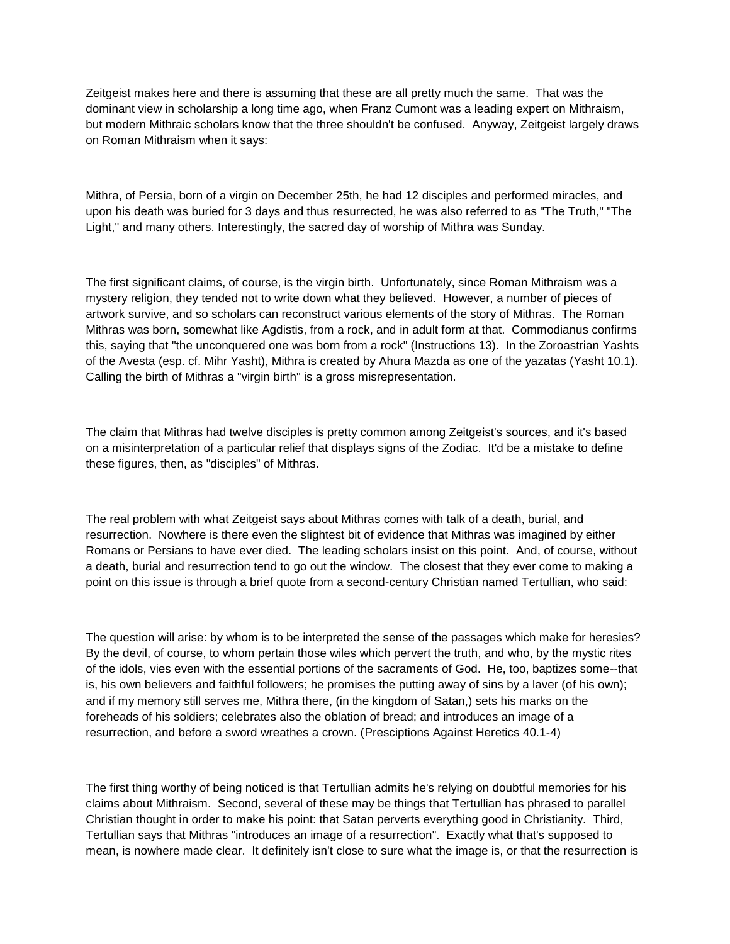Zeitgeist makes here and there is assuming that these are all pretty much the same. That was the dominant view in scholarship a long time ago, when Franz Cumont was a leading expert on Mithraism, but modern Mithraic scholars know that the three shouldn't be confused. Anyway, Zeitgeist largely draws on Roman Mithraism when it says:

Mithra, of Persia, born of a virgin on December 25th, he had 12 disciples and performed miracles, and upon his death was buried for 3 days and thus resurrected, he was also referred to as "The Truth," "The Light," and many others. Interestingly, the sacred day of worship of Mithra was Sunday.

The first significant claims, of course, is the virgin birth. Unfortunately, since Roman Mithraism was a mystery religion, they tended not to write down what they believed. However, a number of pieces of artwork survive, and so scholars can reconstruct various elements of the story of Mithras. The Roman Mithras was born, somewhat like Agdistis, from a rock, and in adult form at that. Commodianus confirms this, saying that "the unconquered one was born from a rock" (Instructions 13). In the Zoroastrian Yashts of the Avesta (esp. cf. Mihr Yasht), Mithra is created by Ahura Mazda as one of the yazatas (Yasht 10.1). Calling the birth of Mithras a "virgin birth" is a gross misrepresentation.

The claim that Mithras had twelve disciples is pretty common among Zeitgeist's sources, and it's based on a misinterpretation of a particular relief that displays signs of the Zodiac. It'd be a mistake to define these figures, then, as "disciples" of Mithras.

The real problem with what Zeitgeist says about Mithras comes with talk of a death, burial, and resurrection. Nowhere is there even the slightest bit of evidence that Mithras was imagined by either Romans or Persians to have ever died. The leading scholars insist on this point. And, of course, without a death, burial and resurrection tend to go out the window. The closest that they ever come to making a point on this issue is through a brief quote from a second-century Christian named Tertullian, who said:

The question will arise: by whom is to be interpreted the sense of the passages which make for heresies? By the devil, of course, to whom pertain those wiles which pervert the truth, and who, by the mystic rites of the idols, vies even with the essential portions of the sacraments of God. He, too, baptizes some--that is, his own believers and faithful followers; he promises the putting away of sins by a laver (of his own); and if my memory still serves me, Mithra there, (in the kingdom of Satan,) sets his marks on the foreheads of his soldiers; celebrates also the oblation of bread; and introduces an image of a resurrection, and before a sword wreathes a crown. (Presciptions Against Heretics 40.1-4)

The first thing worthy of being noticed is that Tertullian admits he's relying on doubtful memories for his claims about Mithraism. Second, several of these may be things that Tertullian has phrased to parallel Christian thought in order to make his point: that Satan perverts everything good in Christianity. Third, Tertullian says that Mithras "introduces an image of a resurrection". Exactly what that's supposed to mean, is nowhere made clear. It definitely isn't close to sure what the image is, or that the resurrection is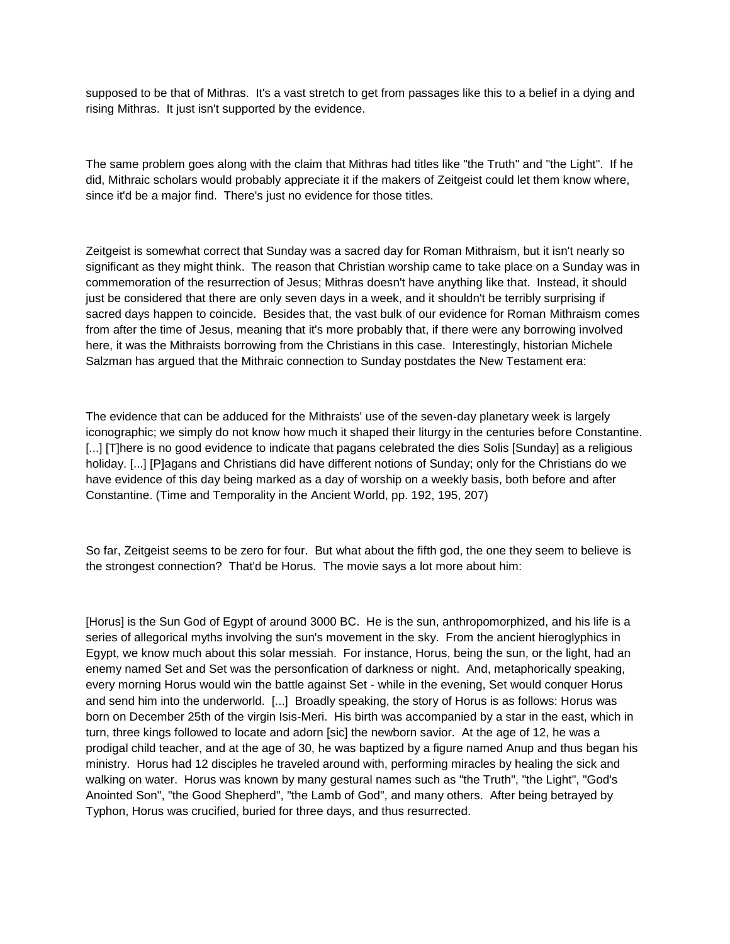supposed to be that of Mithras. It's a vast stretch to get from passages like this to a belief in a dying and rising Mithras. It just isn't supported by the evidence.

The same problem goes along with the claim that Mithras had titles like "the Truth" and "the Light". If he did, Mithraic scholars would probably appreciate it if the makers of Zeitgeist could let them know where, since it'd be a major find. There's just no evidence for those titles.

Zeitgeist is somewhat correct that Sunday was a sacred day for Roman Mithraism, but it isn't nearly so significant as they might think. The reason that Christian worship came to take place on a Sunday was in commemoration of the resurrection of Jesus; Mithras doesn't have anything like that. Instead, it should just be considered that there are only seven days in a week, and it shouldn't be terribly surprising if sacred days happen to coincide. Besides that, the vast bulk of our evidence for Roman Mithraism comes from after the time of Jesus, meaning that it's more probably that, if there were any borrowing involved here, it was the Mithraists borrowing from the Christians in this case. Interestingly, historian Michele Salzman has argued that the Mithraic connection to Sunday postdates the New Testament era:

The evidence that can be adduced for the Mithraists' use of the seven-day planetary week is largely iconographic; we simply do not know how much it shaped their liturgy in the centuries before Constantine. [...] [T]here is no good evidence to indicate that pagans celebrated the dies Solis [Sunday] as a religious holiday. [...] [P]agans and Christians did have different notions of Sunday; only for the Christians do we have evidence of this day being marked as a day of worship on a weekly basis, both before and after Constantine. (Time and Temporality in the Ancient World, pp. 192, 195, 207)

So far, Zeitgeist seems to be zero for four. But what about the fifth god, the one they seem to believe is the strongest connection? That'd be Horus. The movie says a lot more about him:

[Horus] is the Sun God of Egypt of around 3000 BC. He is the sun, anthropomorphized, and his life is a series of allegorical myths involving the sun's movement in the sky. From the ancient hieroglyphics in Egypt, we know much about this solar messiah. For instance, Horus, being the sun, or the light, had an enemy named Set and Set was the personfication of darkness or night. And, metaphorically speaking, every morning Horus would win the battle against Set - while in the evening, Set would conquer Horus and send him into the underworld. [...] Broadly speaking, the story of Horus is as follows: Horus was born on December 25th of the virgin Isis-Meri. His birth was accompanied by a star in the east, which in turn, three kings followed to locate and adorn [sic] the newborn savior. At the age of 12, he was a prodigal child teacher, and at the age of 30, he was baptized by a figure named Anup and thus began his ministry. Horus had 12 disciples he traveled around with, performing miracles by healing the sick and walking on water. Horus was known by many gestural names such as "the Truth", "the Light", "God's Anointed Son", "the Good Shepherd", "the Lamb of God", and many others. After being betrayed by Typhon, Horus was crucified, buried for three days, and thus resurrected.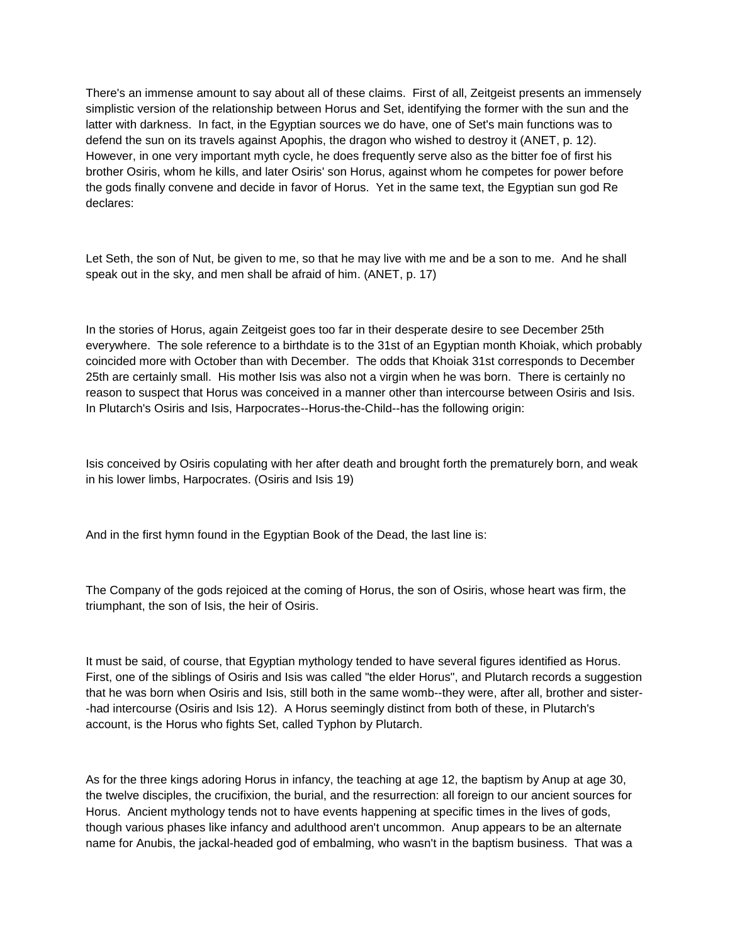There's an immense amount to say about all of these claims. First of all, Zeitgeist presents an immensely simplistic version of the relationship between Horus and Set, identifying the former with the sun and the latter with darkness. In fact, in the Egyptian sources we do have, one of Set's main functions was to defend the sun on its travels against Apophis, the dragon who wished to destroy it (ANET, p. 12). However, in one very important myth cycle, he does frequently serve also as the bitter foe of first his brother Osiris, whom he kills, and later Osiris' son Horus, against whom he competes for power before the gods finally convene and decide in favor of Horus. Yet in the same text, the Egyptian sun god Re declares:

Let Seth, the son of Nut, be given to me, so that he may live with me and be a son to me. And he shall speak out in the sky, and men shall be afraid of him. (ANET, p. 17)

In the stories of Horus, again Zeitgeist goes too far in their desperate desire to see December 25th everywhere. The sole reference to a birthdate is to the 31st of an Egyptian month Khoiak, which probably coincided more with October than with December. The odds that Khoiak 31st corresponds to December 25th are certainly small. His mother Isis was also not a virgin when he was born. There is certainly no reason to suspect that Horus was conceived in a manner other than intercourse between Osiris and Isis. In Plutarch's Osiris and Isis, Harpocrates--Horus-the-Child--has the following origin:

Isis conceived by Osiris copulating with her after death and brought forth the prematurely born, and weak in his lower limbs, Harpocrates. (Osiris and Isis 19)

And in the first hymn found in the Egyptian Book of the Dead, the last line is:

The Company of the gods rejoiced at the coming of Horus, the son of Osiris, whose heart was firm, the triumphant, the son of Isis, the heir of Osiris.

It must be said, of course, that Egyptian mythology tended to have several figures identified as Horus. First, one of the siblings of Osiris and Isis was called "the elder Horus", and Plutarch records a suggestion that he was born when Osiris and Isis, still both in the same womb--they were, after all, brother and sister- -had intercourse (Osiris and Isis 12). A Horus seemingly distinct from both of these, in Plutarch's account, is the Horus who fights Set, called Typhon by Plutarch.

As for the three kings adoring Horus in infancy, the teaching at age 12, the baptism by Anup at age 30, the twelve disciples, the crucifixion, the burial, and the resurrection: all foreign to our ancient sources for Horus. Ancient mythology tends not to have events happening at specific times in the lives of gods, though various phases like infancy and adulthood aren't uncommon. Anup appears to be an alternate name for Anubis, the jackal-headed god of embalming, who wasn't in the baptism business. That was a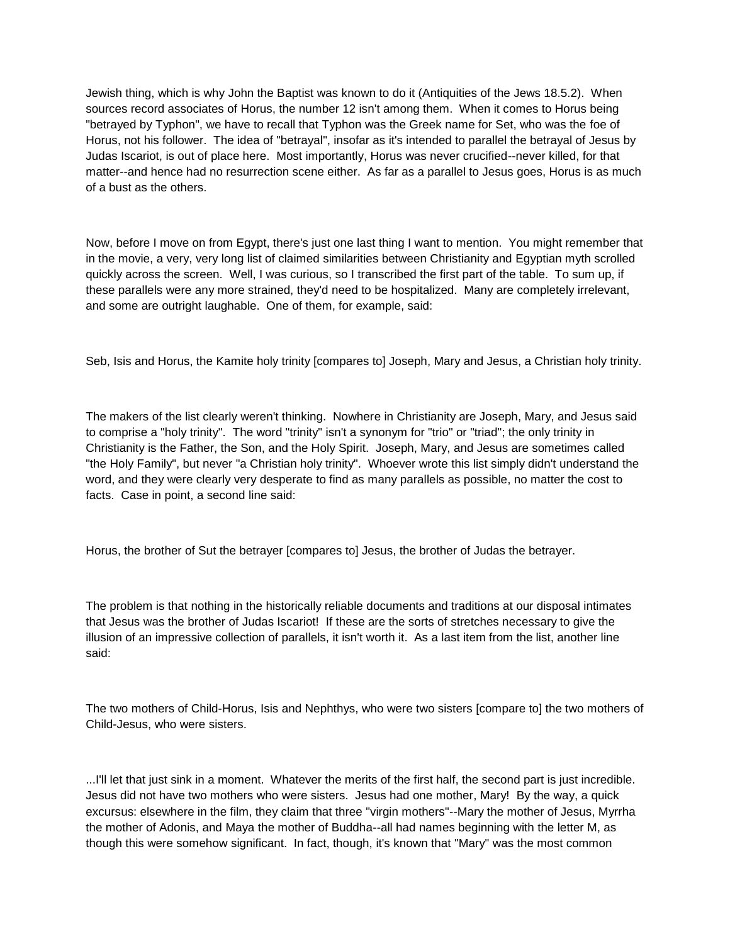Jewish thing, which is why John the Baptist was known to do it (Antiquities of the Jews 18.5.2). When sources record associates of Horus, the number 12 isn't among them. When it comes to Horus being "betrayed by Typhon", we have to recall that Typhon was the Greek name for Set, who was the foe of Horus, not his follower. The idea of "betrayal", insofar as it's intended to parallel the betrayal of Jesus by Judas Iscariot, is out of place here. Most importantly, Horus was never crucified--never killed, for that matter--and hence had no resurrection scene either. As far as a parallel to Jesus goes, Horus is as much of a bust as the others.

Now, before I move on from Egypt, there's just one last thing I want to mention. You might remember that in the movie, a very, very long list of claimed similarities between Christianity and Egyptian myth scrolled quickly across the screen. Well, I was curious, so I transcribed the first part of the table. To sum up, if these parallels were any more strained, they'd need to be hospitalized. Many are completely irrelevant, and some are outright laughable. One of them, for example, said:

Seb, Isis and Horus, the Kamite holy trinity [compares to] Joseph, Mary and Jesus, a Christian holy trinity.

The makers of the list clearly weren't thinking. Nowhere in Christianity are Joseph, Mary, and Jesus said to comprise a "holy trinity". The word "trinity" isn't a synonym for "trio" or "triad"; the only trinity in Christianity is the Father, the Son, and the Holy Spirit. Joseph, Mary, and Jesus are sometimes called "the Holy Family", but never "a Christian holy trinity". Whoever wrote this list simply didn't understand the word, and they were clearly very desperate to find as many parallels as possible, no matter the cost to facts. Case in point, a second line said:

Horus, the brother of Sut the betrayer [compares to] Jesus, the brother of Judas the betrayer.

The problem is that nothing in the historically reliable documents and traditions at our disposal intimates that Jesus was the brother of Judas Iscariot! If these are the sorts of stretches necessary to give the illusion of an impressive collection of parallels, it isn't worth it. As a last item from the list, another line said:

The two mothers of Child-Horus, Isis and Nephthys, who were two sisters [compare to] the two mothers of Child-Jesus, who were sisters.

...I'll let that just sink in a moment. Whatever the merits of the first half, the second part is just incredible. Jesus did not have two mothers who were sisters. Jesus had one mother, Mary! By the way, a quick excursus: elsewhere in the film, they claim that three "virgin mothers"--Mary the mother of Jesus, Myrrha the mother of Adonis, and Maya the mother of Buddha--all had names beginning with the letter M, as though this were somehow significant. In fact, though, it's known that "Mary" was the most common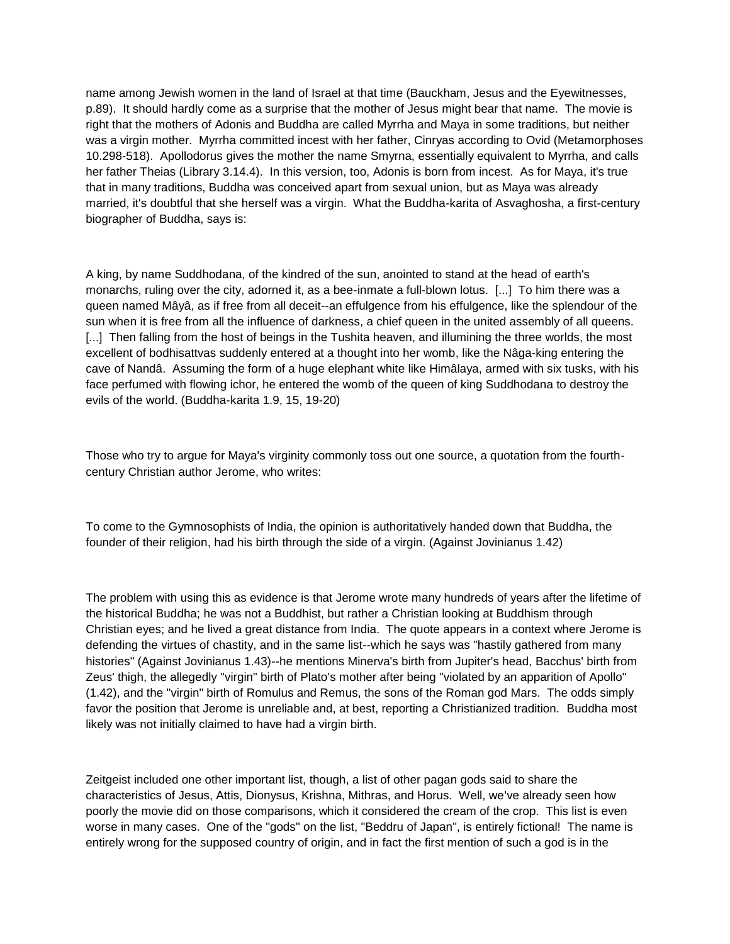name among Jewish women in the land of Israel at that time (Bauckham, Jesus and the Eyewitnesses, p.89). It should hardly come as a surprise that the mother of Jesus might bear that name. The movie is right that the mothers of Adonis and Buddha are called Myrrha and Maya in some traditions, but neither was a virgin mother. Myrrha committed incest with her father, Cinryas according to Ovid (Metamorphoses 10.298-518). Apollodorus gives the mother the name Smyrna, essentially equivalent to Myrrha, and calls her father Theias (Library 3.14.4). In this version, too, Adonis is born from incest. As for Maya, it's true that in many traditions, Buddha was conceived apart from sexual union, but as Maya was already married, it's doubtful that she herself was a virgin. What the Buddha-karita of Asvaghosha, a first-century biographer of Buddha, says is:

A king, by name Suddhodana, of the kindred of the sun, anointed to stand at the head of earth's monarchs, ruling over the city, adorned it, as a bee-inmate a full-blown lotus. [...] To him there was a queen named Mâyâ, as if free from all deceit--an effulgence from his effulgence, like the splendour of the sun when it is free from all the influence of darkness, a chief queen in the united assembly of all queens. [...] Then falling from the host of beings in the Tushita heaven, and illumining the three worlds, the most excellent of bodhisattvas suddenly entered at a thought into her womb, like the Nâga-king entering the cave of Nandâ. Assuming the form of a huge elephant white like Himâlaya, armed with six tusks, with his face perfumed with flowing ichor, he entered the womb of the queen of king Suddhodana to destroy the evils of the world. (Buddha-karita 1.9, 15, 19-20)

Those who try to argue for Maya's virginity commonly toss out one source, a quotation from the fourthcentury Christian author Jerome, who writes:

To come to the Gymnosophists of India, the opinion is authoritatively handed down that Buddha, the founder of their religion, had his birth through the side of a virgin. (Against Jovinianus 1.42)

The problem with using this as evidence is that Jerome wrote many hundreds of years after the lifetime of the historical Buddha; he was not a Buddhist, but rather a Christian looking at Buddhism through Christian eyes; and he lived a great distance from India. The quote appears in a context where Jerome is defending the virtues of chastity, and in the same list--which he says was "hastily gathered from many histories" (Against Jovinianus 1.43)--he mentions Minerva's birth from Jupiter's head, Bacchus' birth from Zeus' thigh, the allegedly "virgin" birth of Plato's mother after being "violated by an apparition of Apollo" (1.42), and the "virgin" birth of Romulus and Remus, the sons of the Roman god Mars. The odds simply favor the position that Jerome is unreliable and, at best, reporting a Christianized tradition. Buddha most likely was not initially claimed to have had a virgin birth.

Zeitgeist included one other important list, though, a list of other pagan gods said to share the characteristics of Jesus, Attis, Dionysus, Krishna, Mithras, and Horus. Well, we've already seen how poorly the movie did on those comparisons, which it considered the cream of the crop. This list is even worse in many cases. One of the "gods" on the list, "Beddru of Japan", is entirely fictional! The name is entirely wrong for the supposed country of origin, and in fact the first mention of such a god is in the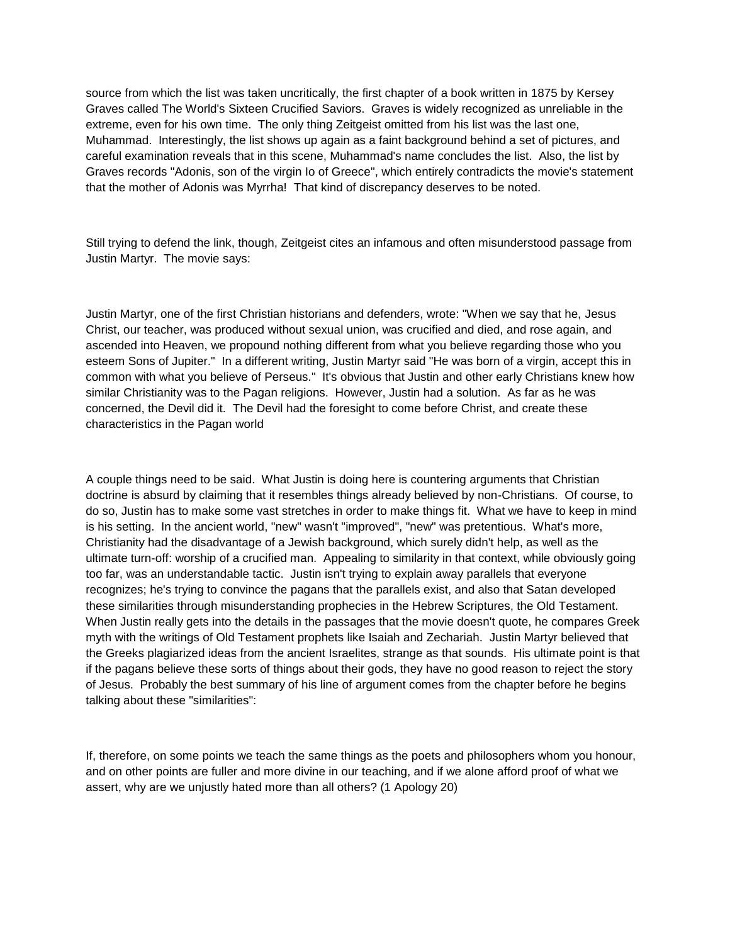source from which the list was taken uncritically, the first chapter of a book written in 1875 by Kersey Graves called The World's Sixteen Crucified Saviors. Graves is widely recognized as unreliable in the extreme, even for his own time. The only thing Zeitgeist omitted from his list was the last one, Muhammad. Interestingly, the list shows up again as a faint background behind a set of pictures, and careful examination reveals that in this scene, Muhammad's name concludes the list. Also, the list by Graves records "Adonis, son of the virgin Io of Greece", which entirely contradicts the movie's statement that the mother of Adonis was Myrrha! That kind of discrepancy deserves to be noted.

Still trying to defend the link, though, Zeitgeist cites an infamous and often misunderstood passage from Justin Martyr. The movie says:

Justin Martyr, one of the first Christian historians and defenders, wrote: "When we say that he, Jesus Christ, our teacher, was produced without sexual union, was crucified and died, and rose again, and ascended into Heaven, we propound nothing different from what you believe regarding those who you esteem Sons of Jupiter." In a different writing, Justin Martyr said "He was born of a virgin, accept this in common with what you believe of Perseus." It's obvious that Justin and other early Christians knew how similar Christianity was to the Pagan religions. However, Justin had a solution. As far as he was concerned, the Devil did it. The Devil had the foresight to come before Christ, and create these characteristics in the Pagan world

A couple things need to be said. What Justin is doing here is countering arguments that Christian doctrine is absurd by claiming that it resembles things already believed by non-Christians. Of course, to do so, Justin has to make some vast stretches in order to make things fit. What we have to keep in mind is his setting. In the ancient world, "new" wasn't "improved", "new" was pretentious. What's more, Christianity had the disadvantage of a Jewish background, which surely didn't help, as well as the ultimate turn-off: worship of a crucified man. Appealing to similarity in that context, while obviously going too far, was an understandable tactic. Justin isn't trying to explain away parallels that everyone recognizes; he's trying to convince the pagans that the parallels exist, and also that Satan developed these similarities through misunderstanding prophecies in the Hebrew Scriptures, the Old Testament. When Justin really gets into the details in the passages that the movie doesn't quote, he compares Greek myth with the writings of Old Testament prophets like Isaiah and Zechariah. Justin Martyr believed that the Greeks plagiarized ideas from the ancient Israelites, strange as that sounds. His ultimate point is that if the pagans believe these sorts of things about their gods, they have no good reason to reject the story of Jesus. Probably the best summary of his line of argument comes from the chapter before he begins talking about these "similarities":

If, therefore, on some points we teach the same things as the poets and philosophers whom you honour, and on other points are fuller and more divine in our teaching, and if we alone afford proof of what we assert, why are we unjustly hated more than all others? (1 Apology 20)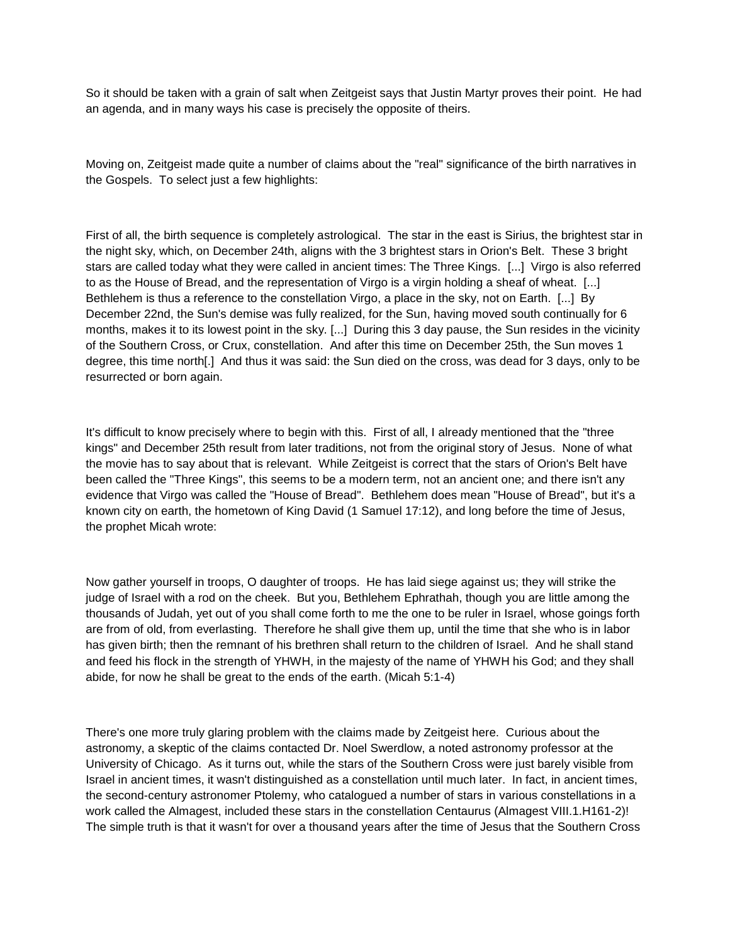So it should be taken with a grain of salt when Zeitgeist says that Justin Martyr proves their point. He had an agenda, and in many ways his case is precisely the opposite of theirs.

Moving on, Zeitgeist made quite a number of claims about the "real" significance of the birth narratives in the Gospels. To select just a few highlights:

First of all, the birth sequence is completely astrological. The star in the east is Sirius, the brightest star in the night sky, which, on December 24th, aligns with the 3 brightest stars in Orion's Belt. These 3 bright stars are called today what they were called in ancient times: The Three Kings. [...] Virgo is also referred to as the House of Bread, and the representation of Virgo is a virgin holding a sheaf of wheat. [...] Bethlehem is thus a reference to the constellation Virgo, a place in the sky, not on Earth. [...] By December 22nd, the Sun's demise was fully realized, for the Sun, having moved south continually for 6 months, makes it to its lowest point in the sky. [...] During this 3 day pause, the Sun resides in the vicinity of the Southern Cross, or Crux, constellation. And after this time on December 25th, the Sun moves 1 degree, this time north[.] And thus it was said: the Sun died on the cross, was dead for 3 days, only to be resurrected or born again.

It's difficult to know precisely where to begin with this. First of all, I already mentioned that the "three kings" and December 25th result from later traditions, not from the original story of Jesus. None of what the movie has to say about that is relevant. While Zeitgeist is correct that the stars of Orion's Belt have been called the "Three Kings", this seems to be a modern term, not an ancient one; and there isn't any evidence that Virgo was called the "House of Bread". Bethlehem does mean "House of Bread", but it's a known city on earth, the hometown of King David (1 Samuel 17:12), and long before the time of Jesus, the prophet Micah wrote:

Now gather yourself in troops, O daughter of troops. He has laid siege against us; they will strike the judge of Israel with a rod on the cheek. But you, Bethlehem Ephrathah, though you are little among the thousands of Judah, yet out of you shall come forth to me the one to be ruler in Israel, whose goings forth are from of old, from everlasting. Therefore he shall give them up, until the time that she who is in labor has given birth; then the remnant of his brethren shall return to the children of Israel. And he shall stand and feed his flock in the strength of YHWH, in the majesty of the name of YHWH his God; and they shall abide, for now he shall be great to the ends of the earth. (Micah 5:1-4)

There's one more truly glaring problem with the claims made by Zeitgeist here. Curious about the astronomy, a skeptic of the claims contacted Dr. Noel Swerdlow, a noted astronomy professor at the University of Chicago. As it turns out, while the stars of the Southern Cross were just barely visible from Israel in ancient times, it wasn't distinguished as a constellation until much later. In fact, in ancient times, the second-century astronomer Ptolemy, who catalogued a number of stars in various constellations in a work called the Almagest, included these stars in the constellation Centaurus (Almagest VIII.1.H161-2)! The simple truth is that it wasn't for over a thousand years after the time of Jesus that the Southern Cross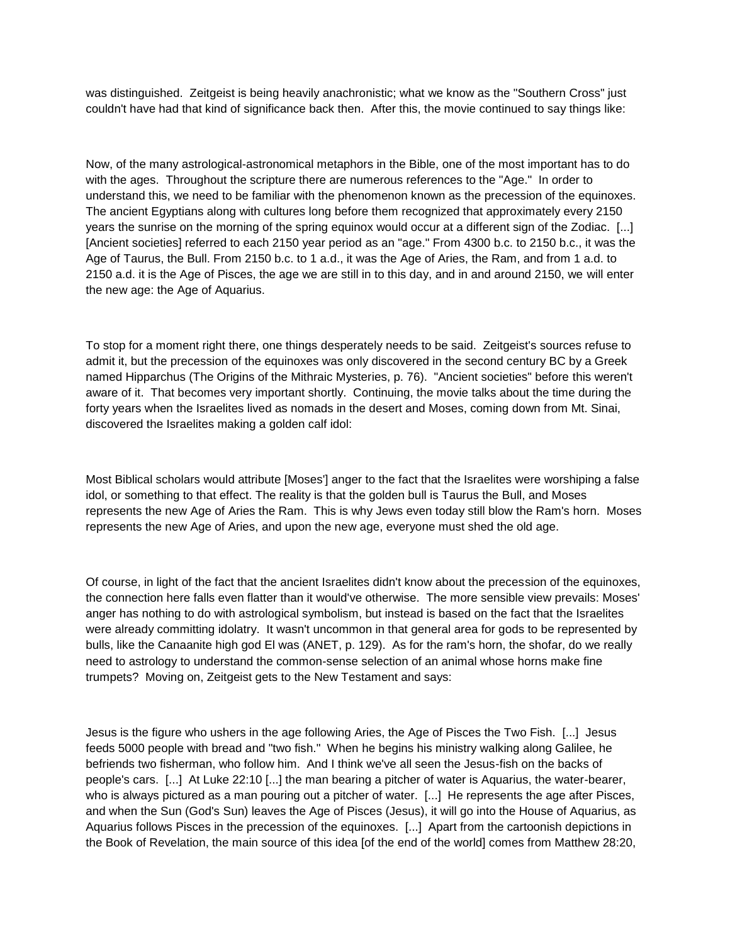was distinguished. Zeitgeist is being heavily anachronistic; what we know as the "Southern Cross" just couldn't have had that kind of significance back then. After this, the movie continued to say things like:

Now, of the many astrological-astronomical metaphors in the Bible, one of the most important has to do with the ages. Throughout the scripture there are numerous references to the "Age." In order to understand this, we need to be familiar with the phenomenon known as the precession of the equinoxes. The ancient Egyptians along with cultures long before them recognized that approximately every 2150 years the sunrise on the morning of the spring equinox would occur at a different sign of the Zodiac. [...] [Ancient societies] referred to each 2150 year period as an "age." From 4300 b.c. to 2150 b.c., it was the Age of Taurus, the Bull. From 2150 b.c. to 1 a.d., it was the Age of Aries, the Ram, and from 1 a.d. to 2150 a.d. it is the Age of Pisces, the age we are still in to this day, and in and around 2150, we will enter the new age: the Age of Aquarius.

To stop for a moment right there, one things desperately needs to be said. Zeitgeist's sources refuse to admit it, but the precession of the equinoxes was only discovered in the second century BC by a Greek named Hipparchus (The Origins of the Mithraic Mysteries, p. 76). "Ancient societies" before this weren't aware of it. That becomes very important shortly. Continuing, the movie talks about the time during the forty years when the Israelites lived as nomads in the desert and Moses, coming down from Mt. Sinai, discovered the Israelites making a golden calf idol:

Most Biblical scholars would attribute [Moses'] anger to the fact that the Israelites were worshiping a false idol, or something to that effect. The reality is that the golden bull is Taurus the Bull, and Moses represents the new Age of Aries the Ram. This is why Jews even today still blow the Ram's horn. Moses represents the new Age of Aries, and upon the new age, everyone must shed the old age.

Of course, in light of the fact that the ancient Israelites didn't know about the precession of the equinoxes, the connection here falls even flatter than it would've otherwise. The more sensible view prevails: Moses' anger has nothing to do with astrological symbolism, but instead is based on the fact that the Israelites were already committing idolatry. It wasn't uncommon in that general area for gods to be represented by bulls, like the Canaanite high god El was (ANET, p. 129). As for the ram's horn, the shofar, do we really need to astrology to understand the common-sense selection of an animal whose horns make fine trumpets? Moving on, Zeitgeist gets to the New Testament and says:

Jesus is the figure who ushers in the age following Aries, the Age of Pisces the Two Fish. [...] Jesus feeds 5000 people with bread and "two fish." When he begins his ministry walking along Galilee, he befriends two fisherman, who follow him. And I think we've all seen the Jesus-fish on the backs of people's cars. [...] At Luke 22:10 [...] the man bearing a pitcher of water is Aquarius, the water-bearer, who is always pictured as a man pouring out a pitcher of water. [...] He represents the age after Pisces, and when the Sun (God's Sun) leaves the Age of Pisces (Jesus), it will go into the House of Aquarius, as Aquarius follows Pisces in the precession of the equinoxes. [...] Apart from the cartoonish depictions in the Book of Revelation, the main source of this idea [of the end of the world] comes from Matthew 28:20,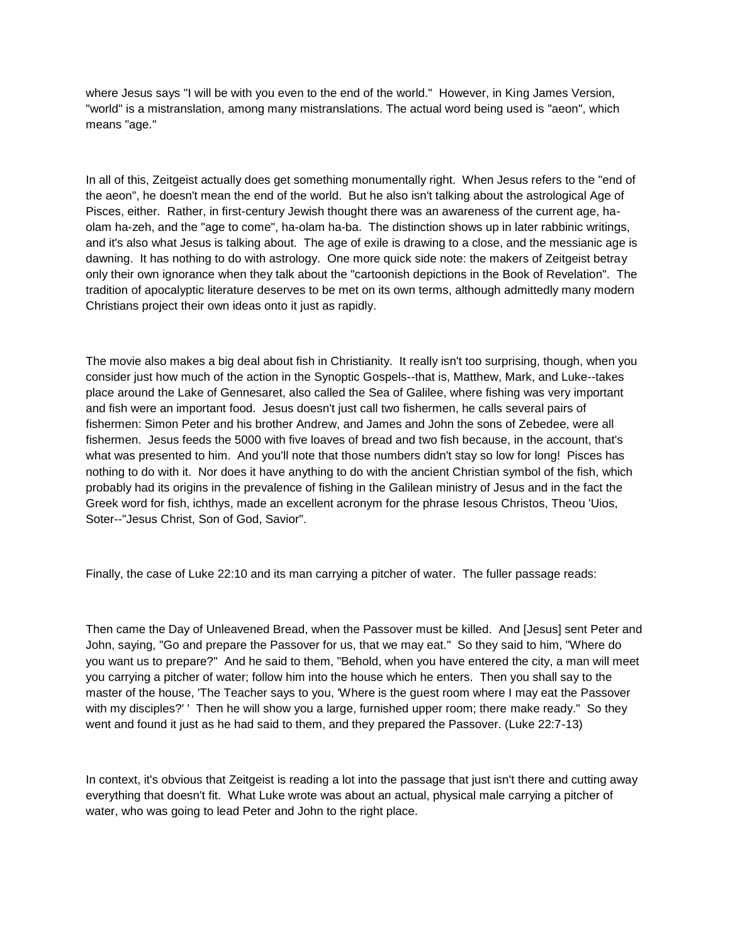where Jesus says "I will be with you even to the end of the world." However, in King James Version, "world" is a mistranslation, among many mistranslations. The actual word being used is "aeon", which means "age."

In all of this, Zeitgeist actually does get something monumentally right. When Jesus refers to the "end of the aeon", he doesn't mean the end of the world. But he also isn't talking about the astrological Age of Pisces, either. Rather, in first-century Jewish thought there was an awareness of the current age, haolam ha-zeh, and the "age to come", ha-olam ha-ba. The distinction shows up in later rabbinic writings, and it's also what Jesus is talking about. The age of exile is drawing to a close, and the messianic age is dawning. It has nothing to do with astrology. One more quick side note: the makers of Zeitgeist betray only their own ignorance when they talk about the "cartoonish depictions in the Book of Revelation". The tradition of apocalyptic literature deserves to be met on its own terms, although admittedly many modern Christians project their own ideas onto it just as rapidly.

The movie also makes a big deal about fish in Christianity. It really isn't too surprising, though, when you consider just how much of the action in the Synoptic Gospels--that is, Matthew, Mark, and Luke--takes place around the Lake of Gennesaret, also called the Sea of Galilee, where fishing was very important and fish were an important food. Jesus doesn't just call two fishermen, he calls several pairs of fishermen: Simon Peter and his brother Andrew, and James and John the sons of Zebedee, were all fishermen. Jesus feeds the 5000 with five loaves of bread and two fish because, in the account, that's what was presented to him. And you'll note that those numbers didn't stay so low for long! Pisces has nothing to do with it. Nor does it have anything to do with the ancient Christian symbol of the fish, which probably had its origins in the prevalence of fishing in the Galilean ministry of Jesus and in the fact the Greek word for fish, ichthys, made an excellent acronym for the phrase Iesous Christos, Theou 'Uios, Soter--"Jesus Christ, Son of God, Savior".

Finally, the case of Luke 22:10 and its man carrying a pitcher of water. The fuller passage reads:

Then came the Day of Unleavened Bread, when the Passover must be killed. And [Jesus] sent Peter and John, saying, "Go and prepare the Passover for us, that we may eat." So they said to him, "Where do you want us to prepare?" And he said to them, "Behold, when you have entered the city, a man will meet you carrying a pitcher of water; follow him into the house which he enters. Then you shall say to the master of the house, 'The Teacher says to you, 'Where is the guest room where I may eat the Passover with my disciples?' ' Then he will show you a large, furnished upper room; there make ready." So they went and found it just as he had said to them, and they prepared the Passover. (Luke 22:7-13)

In context, it's obvious that Zeitgeist is reading a lot into the passage that just isn't there and cutting away everything that doesn't fit. What Luke wrote was about an actual, physical male carrying a pitcher of water, who was going to lead Peter and John to the right place.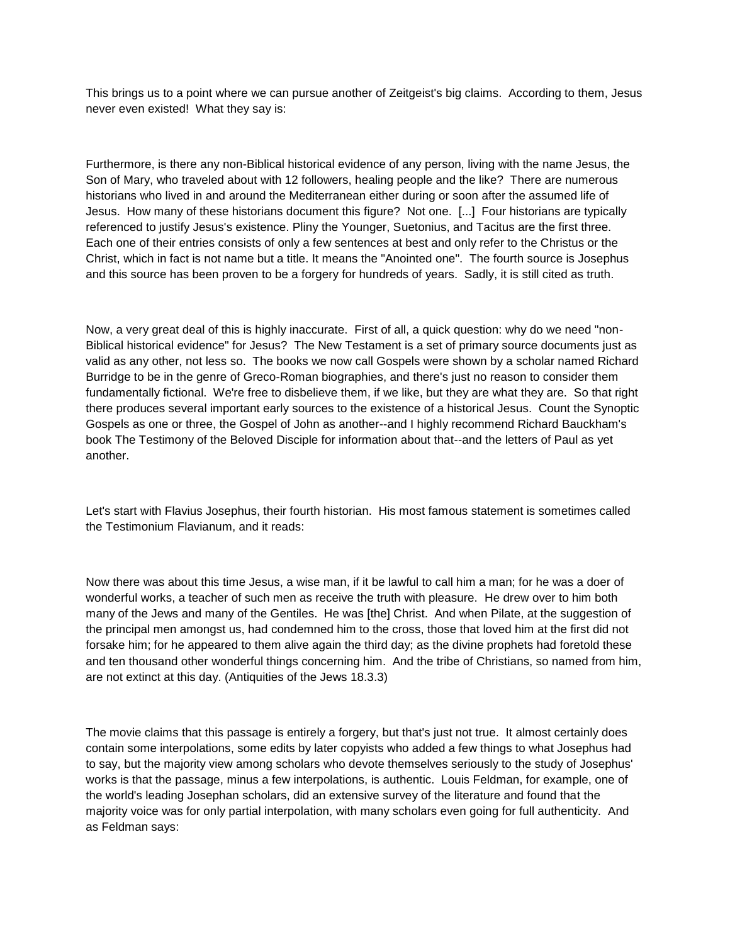This brings us to a point where we can pursue another of Zeitgeist's big claims. According to them, Jesus never even existed! What they say is:

Furthermore, is there any non-Biblical historical evidence of any person, living with the name Jesus, the Son of Mary, who traveled about with 12 followers, healing people and the like? There are numerous historians who lived in and around the Mediterranean either during or soon after the assumed life of Jesus. How many of these historians document this figure? Not one. [...] Four historians are typically referenced to justify Jesus's existence. Pliny the Younger, Suetonius, and Tacitus are the first three. Each one of their entries consists of only a few sentences at best and only refer to the Christus or the Christ, which in fact is not name but a title. It means the "Anointed one". The fourth source is Josephus and this source has been proven to be a forgery for hundreds of years. Sadly, it is still cited as truth.

Now, a very great deal of this is highly inaccurate. First of all, a quick question: why do we need "non-Biblical historical evidence" for Jesus? The New Testament is a set of primary source documents just as valid as any other, not less so. The books we now call Gospels were shown by a scholar named Richard Burridge to be in the genre of Greco-Roman biographies, and there's just no reason to consider them fundamentally fictional. We're free to disbelieve them, if we like, but they are what they are. So that right there produces several important early sources to the existence of a historical Jesus. Count the Synoptic Gospels as one or three, the Gospel of John as another--and I highly recommend Richard Bauckham's book The Testimony of the Beloved Disciple for information about that--and the letters of Paul as yet another.

Let's start with Flavius Josephus, their fourth historian. His most famous statement is sometimes called the Testimonium Flavianum, and it reads:

Now there was about this time Jesus, a wise man, if it be lawful to call him a man; for he was a doer of wonderful works, a teacher of such men as receive the truth with pleasure. He drew over to him both many of the Jews and many of the Gentiles. He was [the] Christ. And when Pilate, at the suggestion of the principal men amongst us, had condemned him to the cross, those that loved him at the first did not forsake him; for he appeared to them alive again the third day; as the divine prophets had foretold these and ten thousand other wonderful things concerning him. And the tribe of Christians, so named from him, are not extinct at this day. (Antiquities of the Jews 18.3.3)

The movie claims that this passage is entirely a forgery, but that's just not true. It almost certainly does contain some interpolations, some edits by later copyists who added a few things to what Josephus had to say, but the majority view among scholars who devote themselves seriously to the study of Josephus' works is that the passage, minus a few interpolations, is authentic. Louis Feldman, for example, one of the world's leading Josephan scholars, did an extensive survey of the literature and found that the majority voice was for only partial interpolation, with many scholars even going for full authenticity. And as Feldman says: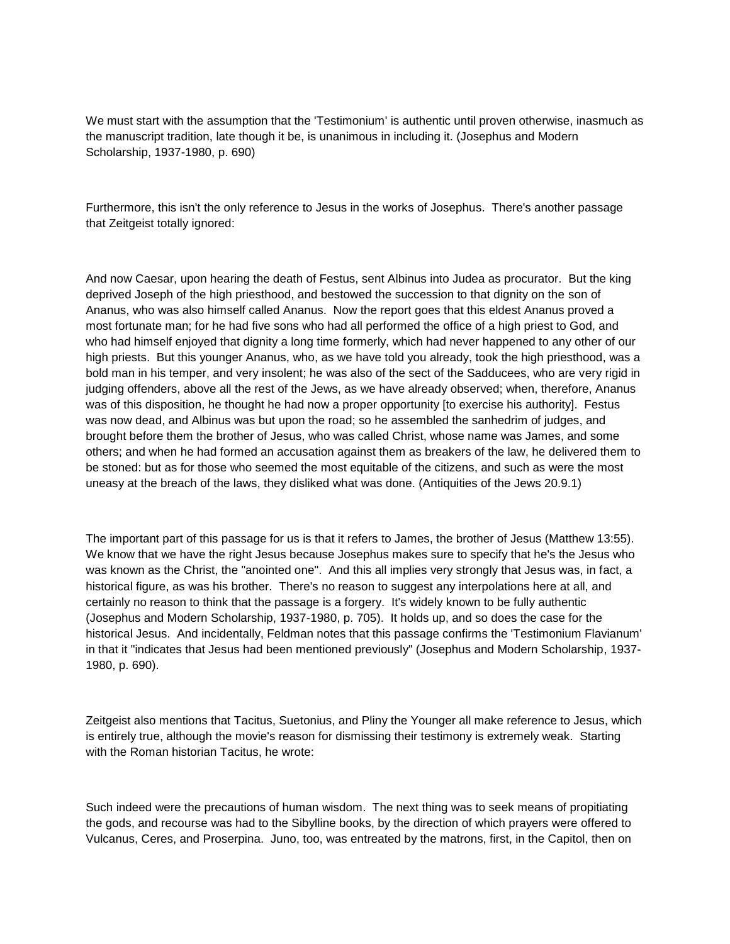We must start with the assumption that the 'Testimonium' is authentic until proven otherwise, inasmuch as the manuscript tradition, late though it be, is unanimous in including it. (Josephus and Modern Scholarship, 1937-1980, p. 690)

Furthermore, this isn't the only reference to Jesus in the works of Josephus. There's another passage that Zeitgeist totally ignored:

And now Caesar, upon hearing the death of Festus, sent Albinus into Judea as procurator. But the king deprived Joseph of the high priesthood, and bestowed the succession to that dignity on the son of Ananus, who was also himself called Ananus. Now the report goes that this eldest Ananus proved a most fortunate man; for he had five sons who had all performed the office of a high priest to God, and who had himself enjoyed that dignity a long time formerly, which had never happened to any other of our high priests. But this younger Ananus, who, as we have told you already, took the high priesthood, was a bold man in his temper, and very insolent; he was also of the sect of the Sadducees, who are very rigid in judging offenders, above all the rest of the Jews, as we have already observed; when, therefore, Ananus was of this disposition, he thought he had now a proper opportunity [to exercise his authority]. Festus was now dead, and Albinus was but upon the road; so he assembled the sanhedrim of judges, and brought before them the brother of Jesus, who was called Christ, whose name was James, and some others; and when he had formed an accusation against them as breakers of the law, he delivered them to be stoned: but as for those who seemed the most equitable of the citizens, and such as were the most uneasy at the breach of the laws, they disliked what was done. (Antiquities of the Jews 20.9.1)

The important part of this passage for us is that it refers to James, the brother of Jesus (Matthew 13:55). We know that we have the right Jesus because Josephus makes sure to specify that he's the Jesus who was known as the Christ, the "anointed one". And this all implies very strongly that Jesus was, in fact, a historical figure, as was his brother. There's no reason to suggest any interpolations here at all, and certainly no reason to think that the passage is a forgery. It's widely known to be fully authentic (Josephus and Modern Scholarship, 1937-1980, p. 705). It holds up, and so does the case for the historical Jesus. And incidentally, Feldman notes that this passage confirms the 'Testimonium Flavianum' in that it "indicates that Jesus had been mentioned previously" (Josephus and Modern Scholarship, 1937- 1980, p. 690).

Zeitgeist also mentions that Tacitus, Suetonius, and Pliny the Younger all make reference to Jesus, which is entirely true, although the movie's reason for dismissing their testimony is extremely weak. Starting with the Roman historian Tacitus, he wrote:

Such indeed were the precautions of human wisdom. The next thing was to seek means of propitiating the gods, and recourse was had to the Sibylline books, by the direction of which prayers were offered to Vulcanus, Ceres, and Proserpina. Juno, too, was entreated by the matrons, first, in the Capitol, then on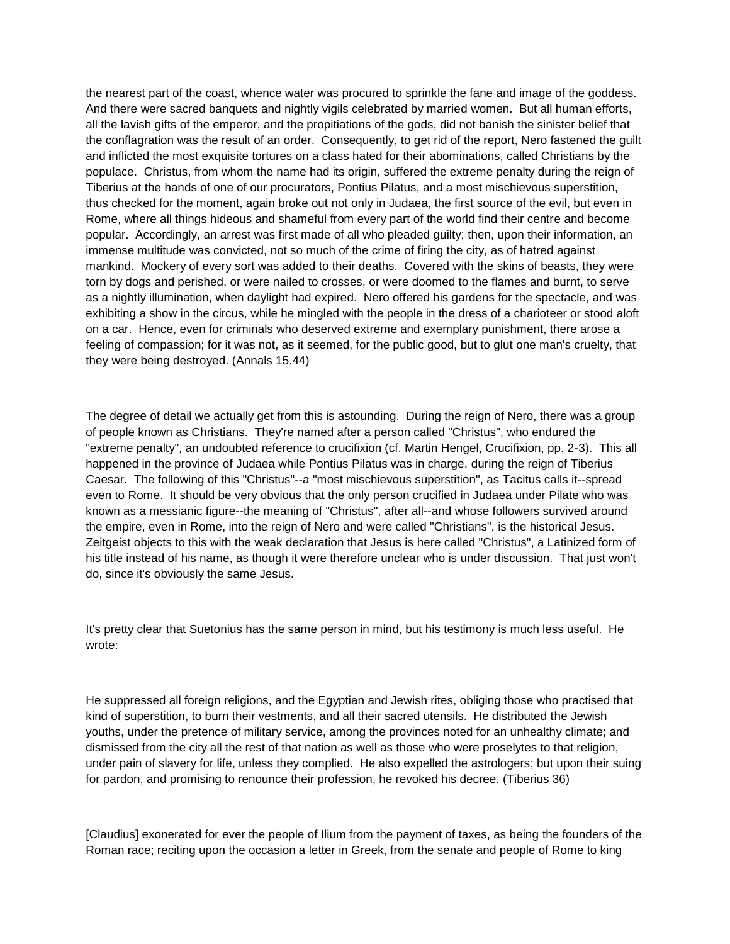the nearest part of the coast, whence water was procured to sprinkle the fane and image of the goddess. And there were sacred banquets and nightly vigils celebrated by married women. But all human efforts, all the lavish gifts of the emperor, and the propitiations of the gods, did not banish the sinister belief that the conflagration was the result of an order. Consequently, to get rid of the report, Nero fastened the guilt and inflicted the most exquisite tortures on a class hated for their abominations, called Christians by the populace. Christus, from whom the name had its origin, suffered the extreme penalty during the reign of Tiberius at the hands of one of our procurators, Pontius Pilatus, and a most mischievous superstition, thus checked for the moment, again broke out not only in Judaea, the first source of the evil, but even in Rome, where all things hideous and shameful from every part of the world find their centre and become popular. Accordingly, an arrest was first made of all who pleaded guilty; then, upon their information, an immense multitude was convicted, not so much of the crime of firing the city, as of hatred against mankind. Mockery of every sort was added to their deaths. Covered with the skins of beasts, they were torn by dogs and perished, or were nailed to crosses, or were doomed to the flames and burnt, to serve as a nightly illumination, when daylight had expired. Nero offered his gardens for the spectacle, and was exhibiting a show in the circus, while he mingled with the people in the dress of a charioteer or stood aloft on a car. Hence, even for criminals who deserved extreme and exemplary punishment, there arose a feeling of compassion; for it was not, as it seemed, for the public good, but to glut one man's cruelty, that they were being destroyed. (Annals 15.44)

The degree of detail we actually get from this is astounding. During the reign of Nero, there was a group of people known as Christians. They're named after a person called "Christus", who endured the "extreme penalty", an undoubted reference to crucifixion (cf. Martin Hengel, Crucifixion, pp. 2-3). This all happened in the province of Judaea while Pontius Pilatus was in charge, during the reign of Tiberius Caesar. The following of this "Christus"--a "most mischievous superstition", as Tacitus calls it--spread even to Rome. It should be very obvious that the only person crucified in Judaea under Pilate who was known as a messianic figure--the meaning of "Christus", after all--and whose followers survived around the empire, even in Rome, into the reign of Nero and were called "Christians", is the historical Jesus. Zeitgeist objects to this with the weak declaration that Jesus is here called "Christus", a Latinized form of his title instead of his name, as though it were therefore unclear who is under discussion. That just won't do, since it's obviously the same Jesus.

It's pretty clear that Suetonius has the same person in mind, but his testimony is much less useful. He wrote:

He suppressed all foreign religions, and the Egyptian and Jewish rites, obliging those who practised that kind of superstition, to burn their vestments, and all their sacred utensils. He distributed the Jewish youths, under the pretence of military service, among the provinces noted for an unhealthy climate; and dismissed from the city all the rest of that nation as well as those who were proselytes to that religion, under pain of slavery for life, unless they complied. He also expelled the astrologers; but upon their suing for pardon, and promising to renounce their profession, he revoked his decree. (Tiberius 36)

[Claudius] exonerated for ever the people of Ilium from the payment of taxes, as being the founders of the Roman race; reciting upon the occasion a letter in Greek, from the senate and people of Rome to king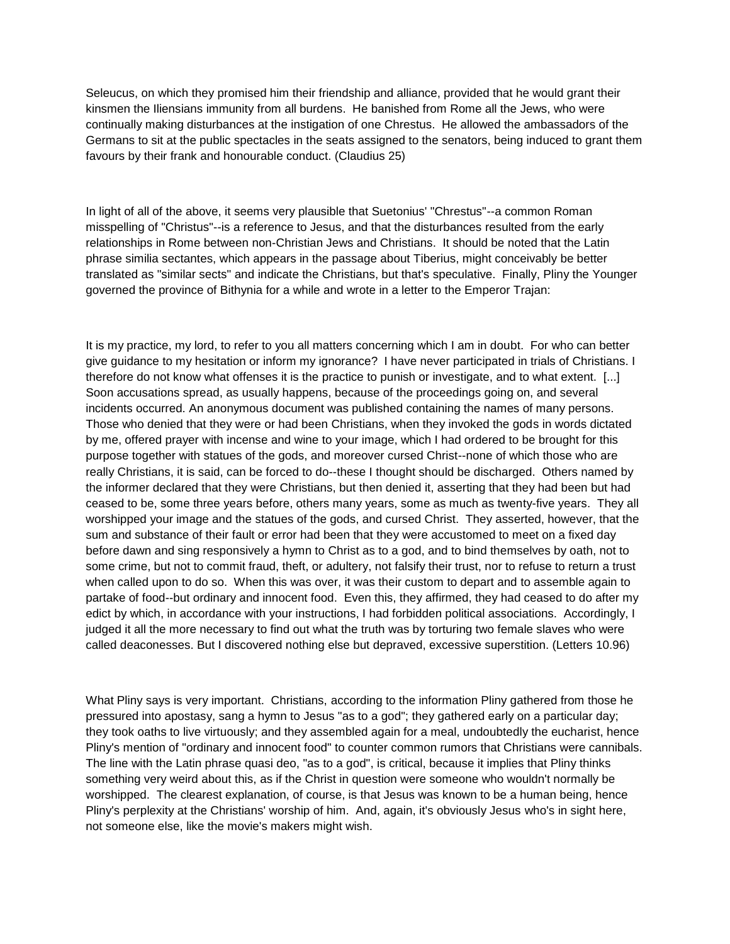Seleucus, on which they promised him their friendship and alliance, provided that he would grant their kinsmen the Iliensians immunity from all burdens. He banished from Rome all the Jews, who were continually making disturbances at the instigation of one Chrestus. He allowed the ambassadors of the Germans to sit at the public spectacles in the seats assigned to the senators, being induced to grant them favours by their frank and honourable conduct. (Claudius 25)

In light of all of the above, it seems very plausible that Suetonius' "Chrestus"--a common Roman misspelling of "Christus"--is a reference to Jesus, and that the disturbances resulted from the early relationships in Rome between non-Christian Jews and Christians. It should be noted that the Latin phrase similia sectantes, which appears in the passage about Tiberius, might conceivably be better translated as "similar sects" and indicate the Christians, but that's speculative. Finally, Pliny the Younger governed the province of Bithynia for a while and wrote in a letter to the Emperor Trajan:

It is my practice, my lord, to refer to you all matters concerning which I am in doubt. For who can better give guidance to my hesitation or inform my ignorance? I have never participated in trials of Christians. I therefore do not know what offenses it is the practice to punish or investigate, and to what extent. [...] Soon accusations spread, as usually happens, because of the proceedings going on, and several incidents occurred. An anonymous document was published containing the names of many persons. Those who denied that they were or had been Christians, when they invoked the gods in words dictated by me, offered prayer with incense and wine to your image, which I had ordered to be brought for this purpose together with statues of the gods, and moreover cursed Christ--none of which those who are really Christians, it is said, can be forced to do--these I thought should be discharged. Others named by the informer declared that they were Christians, but then denied it, asserting that they had been but had ceased to be, some three years before, others many years, some as much as twenty-five years. They all worshipped your image and the statues of the gods, and cursed Christ. They asserted, however, that the sum and substance of their fault or error had been that they were accustomed to meet on a fixed day before dawn and sing responsively a hymn to Christ as to a god, and to bind themselves by oath, not to some crime, but not to commit fraud, theft, or adultery, not falsify their trust, nor to refuse to return a trust when called upon to do so. When this was over, it was their custom to depart and to assemble again to partake of food--but ordinary and innocent food. Even this, they affirmed, they had ceased to do after my edict by which, in accordance with your instructions, I had forbidden political associations. Accordingly, I judged it all the more necessary to find out what the truth was by torturing two female slaves who were called deaconesses. But I discovered nothing else but depraved, excessive superstition. (Letters 10.96)

What Pliny says is very important. Christians, according to the information Pliny gathered from those he pressured into apostasy, sang a hymn to Jesus "as to a god"; they gathered early on a particular day; they took oaths to live virtuously; and they assembled again for a meal, undoubtedly the eucharist, hence Pliny's mention of "ordinary and innocent food" to counter common rumors that Christians were cannibals. The line with the Latin phrase quasi deo, "as to a god", is critical, because it implies that Pliny thinks something very weird about this, as if the Christ in question were someone who wouldn't normally be worshipped. The clearest explanation, of course, is that Jesus was known to be a human being, hence Pliny's perplexity at the Christians' worship of him. And, again, it's obviously Jesus who's in sight here, not someone else, like the movie's makers might wish.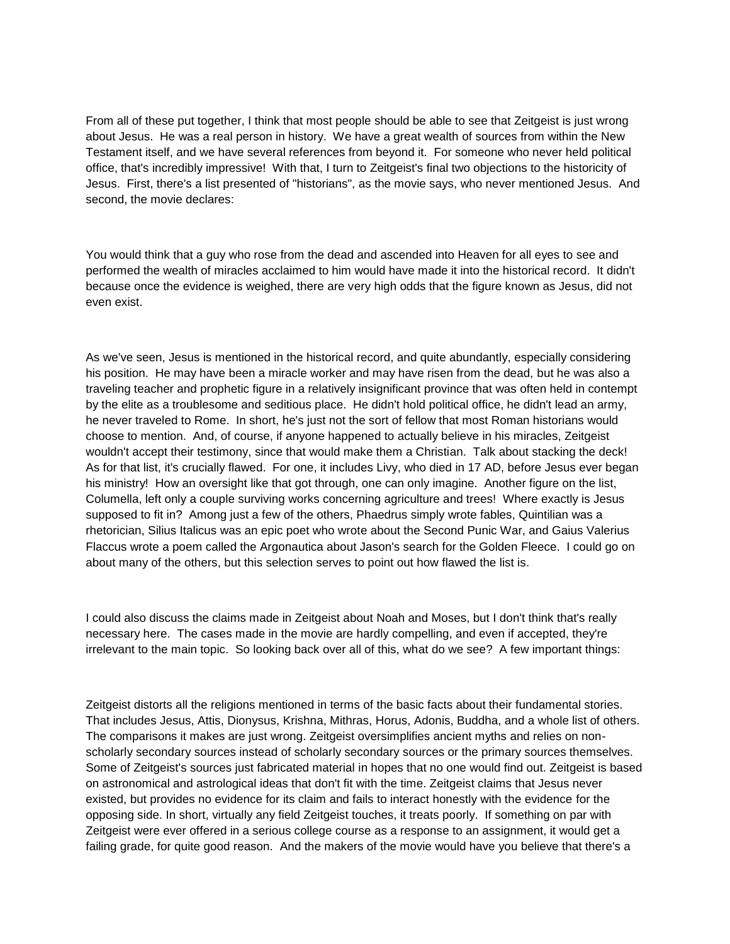From all of these put together, I think that most people should be able to see that Zeitgeist is just wrong about Jesus. He was a real person in history. We have a great wealth of sources from within the New Testament itself, and we have several references from beyond it. For someone who never held political office, that's incredibly impressive! With that, I turn to Zeitgeist's final two objections to the historicity of Jesus. First, there's a list presented of "historians", as the movie says, who never mentioned Jesus. And second, the movie declares:

You would think that a guy who rose from the dead and ascended into Heaven for all eyes to see and performed the wealth of miracles acclaimed to him would have made it into the historical record. It didn't because once the evidence is weighed, there are very high odds that the figure known as Jesus, did not even exist.

As we've seen, Jesus is mentioned in the historical record, and quite abundantly, especially considering his position. He may have been a miracle worker and may have risen from the dead, but he was also a traveling teacher and prophetic figure in a relatively insignificant province that was often held in contempt by the elite as a troublesome and seditious place. He didn't hold political office, he didn't lead an army, he never traveled to Rome. In short, he's just not the sort of fellow that most Roman historians would choose to mention. And, of course, if anyone happened to actually believe in his miracles, Zeitgeist wouldn't accept their testimony, since that would make them a Christian. Talk about stacking the deck! As for that list, it's crucially flawed. For one, it includes Livy, who died in 17 AD, before Jesus ever began his ministry! How an oversight like that got through, one can only imagine. Another figure on the list, Columella, left only a couple surviving works concerning agriculture and trees! Where exactly is Jesus supposed to fit in? Among just a few of the others, Phaedrus simply wrote fables, Quintilian was a rhetorician, Silius Italicus was an epic poet who wrote about the Second Punic War, and Gaius Valerius Flaccus wrote a poem called the Argonautica about Jason's search for the Golden Fleece. I could go on about many of the others, but this selection serves to point out how flawed the list is.

I could also discuss the claims made in Zeitgeist about Noah and Moses, but I don't think that's really necessary here. The cases made in the movie are hardly compelling, and even if accepted, they're irrelevant to the main topic. So looking back over all of this, what do we see? A few important things:

Zeitgeist distorts all the religions mentioned in terms of the basic facts about their fundamental stories. That includes Jesus, Attis, Dionysus, Krishna, Mithras, Horus, Adonis, Buddha, and a whole list of others. The comparisons it makes are just wrong. Zeitgeist oversimplifies ancient myths and relies on nonscholarly secondary sources instead of scholarly secondary sources or the primary sources themselves. Some of Zeitgeist's sources just fabricated material in hopes that no one would find out. Zeitgeist is based on astronomical and astrological ideas that don't fit with the time. Zeitgeist claims that Jesus never existed, but provides no evidence for its claim and fails to interact honestly with the evidence for the opposing side. In short, virtually any field Zeitgeist touches, it treats poorly. If something on par with Zeitgeist were ever offered in a serious college course as a response to an assignment, it would get a failing grade, for quite good reason. And the makers of the movie would have you believe that there's a